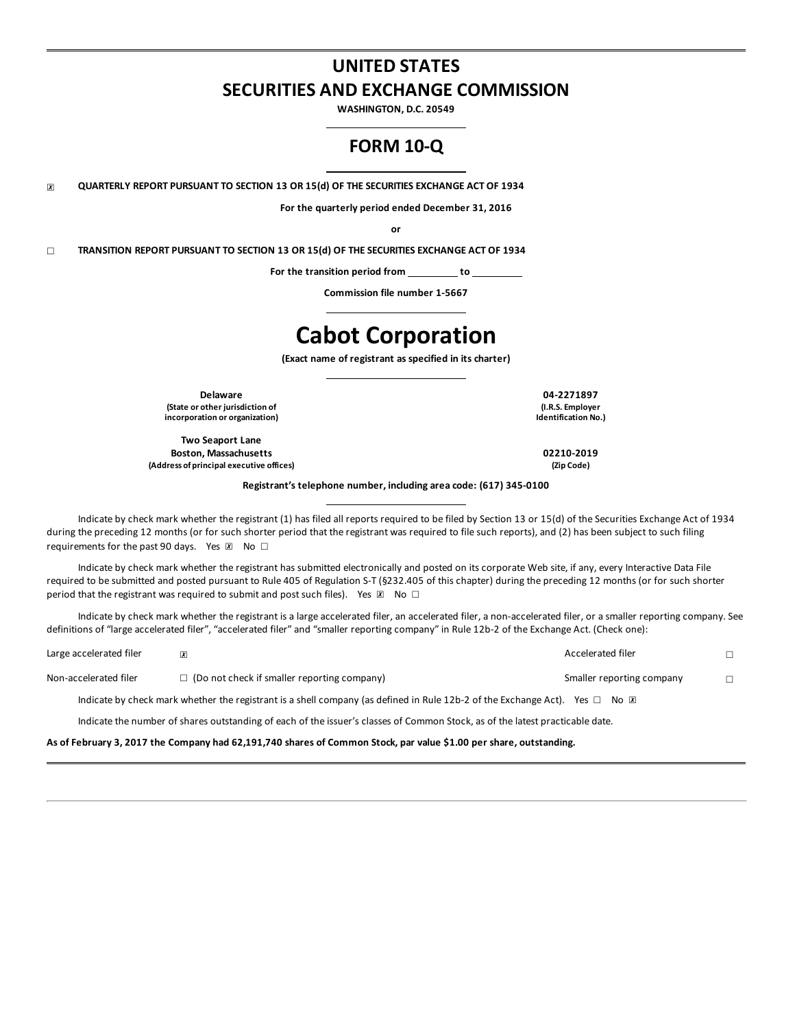# **UNITED STATES SECURITIES AND EXCHANGE COMMISSION**

**WASHINGTON, D.C. 20549**

## **FORM 10-Q**

☒ **QUARTERLY REPORT PURSUANT TO SECTION 13 OR 15(d) OF THE SECURITIES EXCHANGE ACT OF 1934**

**For the quarterly period ended December 31, 2016**

**or**

☐ **TRANSITION REPORT PURSUANT TO SECTION 13 OR 15(d) OF THE SECURITIES EXCHANGE ACT OF 1934**

**For the transition period from to**

**Commission file number 1-5667**

# **Cabot Corporation**

**(Exact name of registrant as specified in its charter)**

**Delaware 04-2271897 (State or other jurisdiction of incorporation or organization)**

**Two Seaport Lane Boston, Massachusetts 02210-2019 (Address of principal executive offices) (Zip Code)**

**(I.R.S. Employer Identification No.)**

**Registrant's telephone number, including area code: (617) 345-0100**

Indicate by check mark whether the registrant (1) has filed all reports required to be filed by Section 13 or 15(d) of the Securities Exchange Act of 1934 during the preceding 12 months (or for such shorter period that the registrant was required to file such reports), and (2) has been subject to such filing requirements for the past 90 days. Yes  $\boxtimes$  No  $\Box$ 

Indicate by check mark whether the registrant has submitted electronically and posted on its corporate Web site, if any, every Interactive Data File required to be submitted and posted pursuant to Rule 405 of Regulation S-T (§232.405 of this chapter) during the preceding 12 months (or for such shorter period that the registrant was required to submit and post such files). Yes  $\mathbb{Z}$  No  $\Box$ 

Indicate by check mark whether the registrant is a large accelerated filer, an accelerated filer, a non-accelerated filer, or a smaller reporting company. See definitions of "large accelerated filer", "accelerated filer" and "smaller reporting company" in Rule 12b-2 of the Exchange Act. (Check one):

| Large accelerated filer | $\overline{x}$                                                                                                                             | Accelerated filer         |  |
|-------------------------|--------------------------------------------------------------------------------------------------------------------------------------------|---------------------------|--|
| Non-accelerated filer   | $\Box$ (Do not check if smaller reporting company)                                                                                         | Smaller reporting company |  |
|                         | Indicate by check mark whether the registrant is a shell company (as defined in Rule 12b-2 of the Exchange Act). Yes $\Box$ No $\boxtimes$ |                           |  |
|                         | Indicate the number of shares outstanding of each of the issuer's classes of Common Stock, as of the latest practicable date.              |                           |  |

As of February 3, 2017 the Company had 62,191,740 shares of Common Stock, par value \$1.00 per share, outstanding.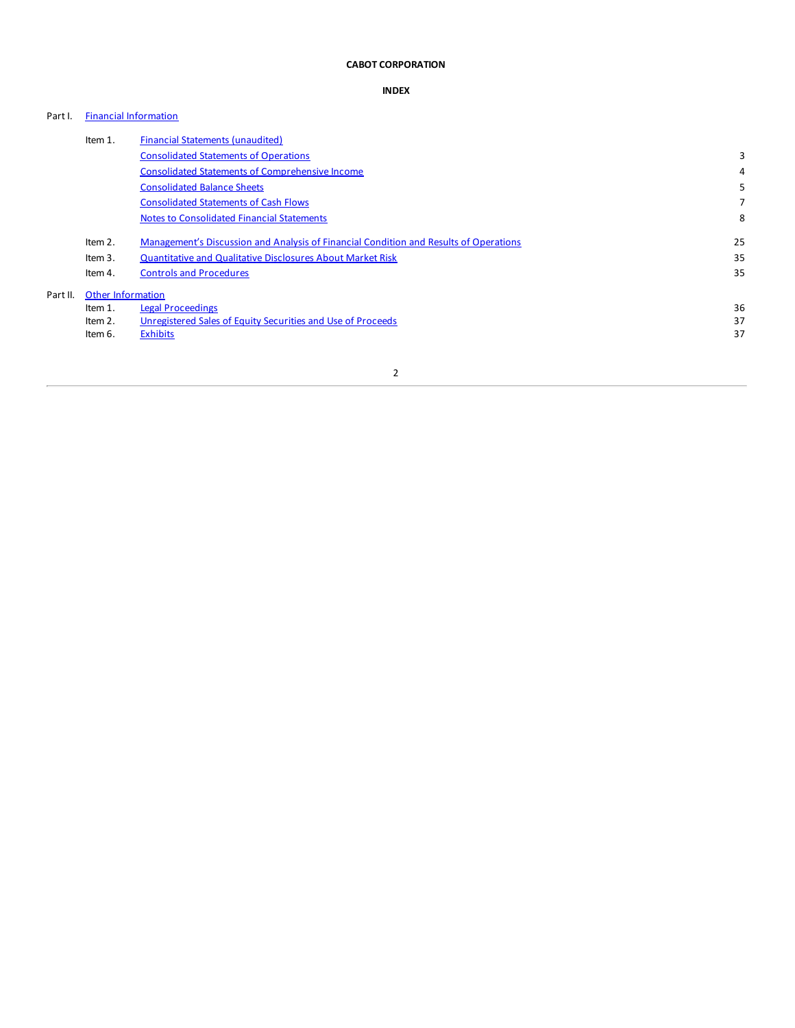### **CABOT CORPORATION**

### **INDEX**

### Part I. Financial [Information](#page-2-0)

|          | Item 1.                  | <b>Financial Statements (unaudited)</b>                                               |    |
|----------|--------------------------|---------------------------------------------------------------------------------------|----|
|          |                          | <b>Consolidated Statements of Operations</b>                                          | 3  |
|          |                          | <b>Consolidated Statements of Comprehensive Income</b>                                | 4  |
|          |                          | <b>Consolidated Balance Sheets</b>                                                    | 5  |
|          |                          | <b>Consolidated Statements of Cash Flows</b>                                          |    |
|          |                          | <b>Notes to Consolidated Financial Statements</b>                                     | 8  |
|          | Item 2.                  | Management's Discussion and Analysis of Financial Condition and Results of Operations | 25 |
|          | Item 3.                  | <b>Quantitative and Qualitative Disclosures About Market Risk</b>                     | 35 |
|          | Item 4.                  | <b>Controls and Procedures</b>                                                        | 35 |
| Part II. | <b>Other Information</b> |                                                                                       |    |
|          | Item 1.                  | Legal Proceedings                                                                     | 36 |
|          | Item 2.                  | Unregistered Sales of Equity Securities and Use of Proceeds                           | 37 |
|          | Item 6.                  | <b>Exhibits</b>                                                                       | 37 |
|          |                          |                                                                                       |    |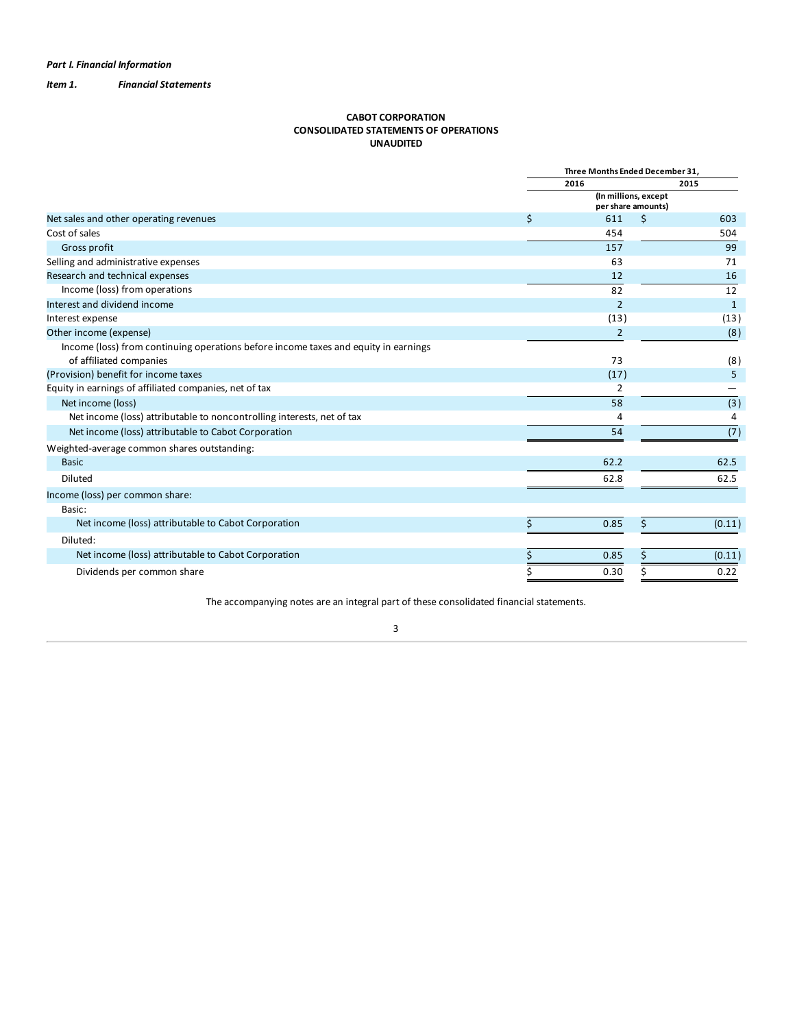<span id="page-2-0"></span>*Item 1. Financial Statements*

### **CABOT CORPORATION CONSOLIDATED STATEMENTS OF OPERATIONS UNAUDITED**

|                                                                                                                |    | Three Months Ended December 31.            |    |        |
|----------------------------------------------------------------------------------------------------------------|----|--------------------------------------------|----|--------|
|                                                                                                                |    | 2016                                       |    | 2015   |
|                                                                                                                |    | (In millions, except<br>per share amounts) |    |        |
| Net sales and other operating revenues                                                                         | \$ | 611                                        | \$ | 603    |
| Cost of sales                                                                                                  |    | 454                                        |    | 504    |
| Gross profit                                                                                                   |    | 157                                        |    | 99     |
| Selling and administrative expenses                                                                            |    | 63                                         |    | 71     |
| Research and technical expenses                                                                                |    | 12                                         |    | 16     |
| Income (loss) from operations                                                                                  |    | 82                                         |    | 12     |
| Interest and dividend income                                                                                   |    | $\overline{2}$                             |    | 1      |
| Interest expense                                                                                               |    | (13)                                       |    | (13)   |
| Other income (expense)                                                                                         |    | 2                                          |    | (8)    |
| Income (loss) from continuing operations before income taxes and equity in earnings<br>of affiliated companies |    | 73                                         |    | (8)    |
| (Provision) benefit for income taxes                                                                           |    | (17)                                       |    | 5      |
| Equity in earnings of affiliated companies, net of tax                                                         |    | 2                                          |    |        |
| Net income (loss)                                                                                              |    | 58                                         |    | (3)    |
| Net income (loss) attributable to noncontrolling interests, net of tax                                         |    | 4                                          |    | 4      |
| Net income (loss) attributable to Cabot Corporation                                                            |    | 54                                         |    | (7)    |
| Weighted-average common shares outstanding:                                                                    |    |                                            |    |        |
| <b>Basic</b>                                                                                                   |    | 62.2                                       |    | 62.5   |
| Diluted                                                                                                        |    | 62.8                                       |    | 62.5   |
| Income (loss) per common share:<br>Basic:                                                                      |    |                                            |    |        |
| Net income (loss) attributable to Cabot Corporation                                                            | Ś  | 0.85                                       | \$ | (0.11) |
| Diluted:                                                                                                       |    |                                            |    |        |
| Net income (loss) attributable to Cabot Corporation                                                            |    | 0.85                                       | Ś  | (0.11) |
| Dividends per common share                                                                                     |    | 0.30                                       |    | 0.22   |

The accompanying notes are an integral part of these consolidated financial statements.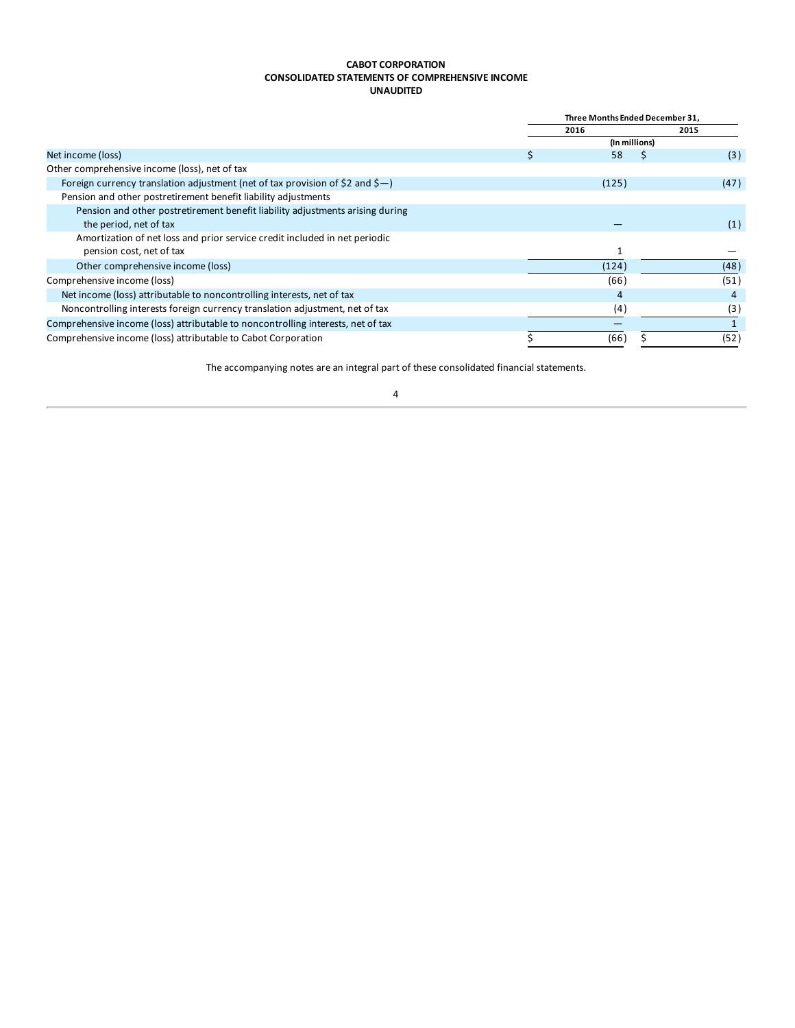### **CABOT CORPORATION CONSOLIDATED STATEMENTS OF COMPREHENSIVE INCOME UNAUDITED**

<span id="page-3-0"></span>

|                                                                                  | Three Months Ended December 31. |               |   |                |  |
|----------------------------------------------------------------------------------|---------------------------------|---------------|---|----------------|--|
|                                                                                  |                                 | 2016          |   | 2015           |  |
|                                                                                  |                                 | (In millions) |   |                |  |
| Net income (loss)                                                                | ১                               | 58            | s | (3)            |  |
| Other comprehensive income (loss), net of tax                                    |                                 |               |   |                |  |
| Foreign currency translation adjustment (net of tax provision of \$2 and \$-)    |                                 | (125)         |   | (47)           |  |
| Pension and other postretirement benefit liability adjustments                   |                                 |               |   |                |  |
| Pension and other postretirement benefit liability adjustments arising during    |                                 |               |   |                |  |
| the period, net of tax                                                           |                                 |               |   | (1)            |  |
| Amortization of net loss and prior service credit included in net periodic       |                                 |               |   |                |  |
| pension cost, net of tax                                                         |                                 |               |   |                |  |
| Other comprehensive income (loss)                                                |                                 | (124)         |   | (48)           |  |
| Comprehensive income (loss)                                                      |                                 | (66)          |   | (51)           |  |
| Net income (loss) attributable to noncontrolling interests, net of tax           |                                 | 4             |   | $\overline{4}$ |  |
| Noncontrolling interests foreign currency translation adjustment, net of tax     |                                 | (4)           |   | (3)            |  |
| Comprehensive income (loss) attributable to noncontrolling interests, net of tax |                                 |               |   |                |  |
| Comprehensive income (loss) attributable to Cabot Corporation                    |                                 | (66)          |   | (52)           |  |

The accompanying notes are an integral part of these consolidated financial statements.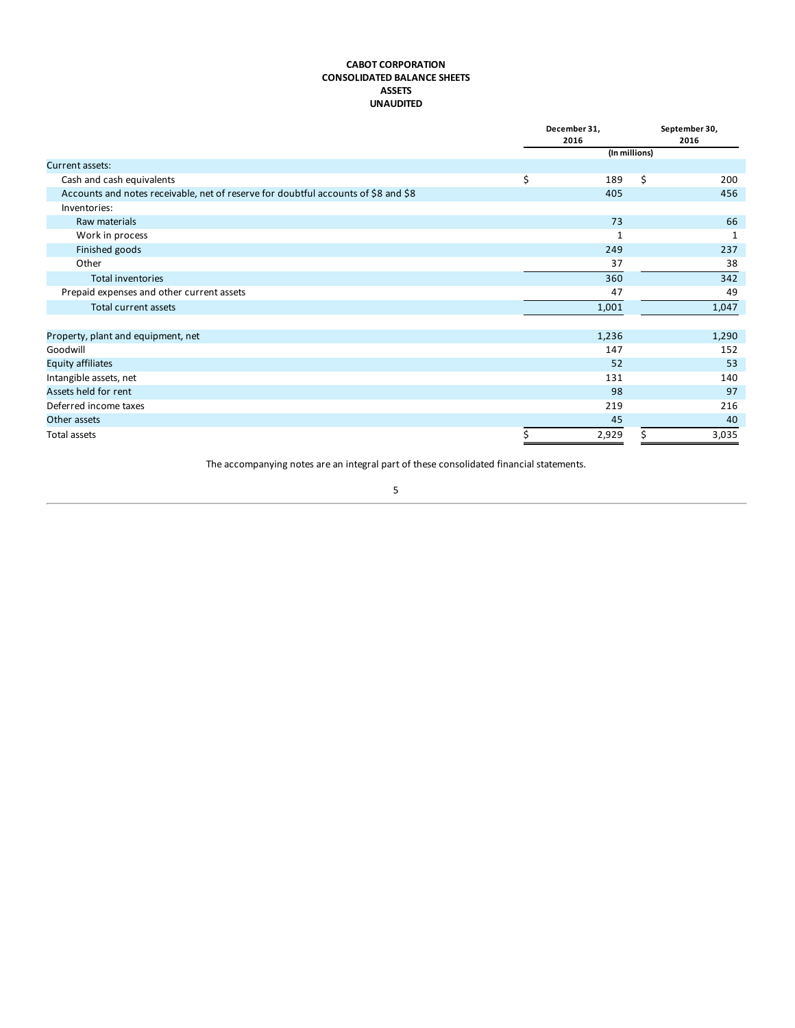### **CABOT CORPORATION CONSOLIDATED BALANCE SHEETS ASSETS UNAUDITED**

<span id="page-4-0"></span>

|                                                                                    | December 31,<br>2016 | September 30,<br>2016 |
|------------------------------------------------------------------------------------|----------------------|-----------------------|
|                                                                                    | (In millions)        |                       |
| Current assets:                                                                    |                      |                       |
| Cash and cash equivalents                                                          | \$<br>189            | \$<br>200             |
| Accounts and notes receivable, net of reserve for doubtful accounts of \$8 and \$8 | 405                  | 456                   |
| Inventories:                                                                       |                      |                       |
| Raw materials                                                                      | 73                   | 66                    |
| Work in process                                                                    | 1                    | 1                     |
| Finished goods                                                                     | 249                  | 237                   |
| Other                                                                              | 37                   | 38                    |
| <b>Total inventories</b>                                                           | 360                  | 342                   |
| Prepaid expenses and other current assets                                          | 47                   | 49                    |
| Total current assets                                                               | 1,001                | 1,047                 |
|                                                                                    |                      |                       |
| Property, plant and equipment, net                                                 | 1,236                | 1,290                 |
| Goodwill                                                                           | 147                  | 152                   |
| <b>Equity affiliates</b>                                                           | 52                   | 53                    |
| Intangible assets, net                                                             | 131                  | 140                   |
| Assets held for rent                                                               | 98                   | 97                    |
| Deferred income taxes                                                              | 219                  | 216                   |
| Other assets                                                                       | 45                   | 40                    |
| Total assets                                                                       | 2,929                | 3,035                 |

The accompanying notes are an integral part of these consolidated financial statements.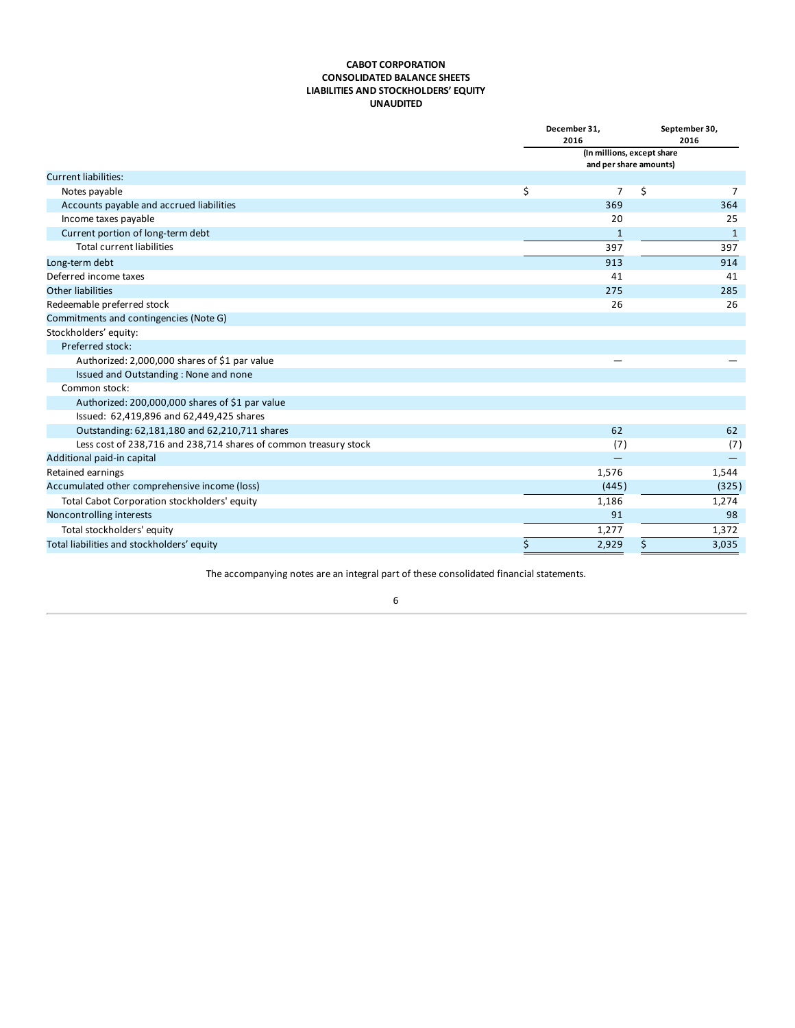### **CABOT CORPORATION CONSOLIDATED BALANCE SHEETS LIABILITIES AND STOCKHOLDERS' EQUITY UNAUDITED**

|                                                                  | December 31,<br>2016                                 | September 30,<br>2016 |
|------------------------------------------------------------------|------------------------------------------------------|-----------------------|
|                                                                  | (In millions, except share<br>and per share amounts) |                       |
| <b>Current liabilities:</b>                                      |                                                      |                       |
| Notes payable                                                    | \$<br>\$<br>7                                        | 7                     |
| Accounts payable and accrued liabilities                         | 369                                                  | 364                   |
| Income taxes payable                                             | 20                                                   | 25                    |
| Current portion of long-term debt                                | 1                                                    | 1                     |
| <b>Total current liabilities</b>                                 | 397                                                  | 397                   |
| Long-term debt                                                   | 913                                                  | 914                   |
| Deferred income taxes                                            | 41                                                   | 41                    |
| Other liabilities                                                | 275                                                  | 285                   |
| Redeemable preferred stock                                       | 26                                                   | 26                    |
| Commitments and contingencies (Note G)                           |                                                      |                       |
| Stockholders' equity:                                            |                                                      |                       |
| Preferred stock:                                                 |                                                      |                       |
| Authorized: 2,000,000 shares of \$1 par value                    |                                                      |                       |
| Issued and Outstanding: None and none                            |                                                      |                       |
| Common stock:                                                    |                                                      |                       |
| Authorized: 200,000,000 shares of \$1 par value                  |                                                      |                       |
| Issued: 62,419,896 and 62,449,425 shares                         |                                                      |                       |
| Outstanding: 62,181,180 and 62,210,711 shares                    | 62                                                   | 62                    |
| Less cost of 238,716 and 238,714 shares of common treasury stock | (7)                                                  | (7)                   |
| Additional paid-in capital                                       |                                                      |                       |
| Retained earnings                                                | 1,576                                                | 1,544                 |
| Accumulated other comprehensive income (loss)                    | (445)                                                | (325)                 |
| Total Cabot Corporation stockholders' equity                     | 1,186                                                | 1,274                 |
| Noncontrolling interests                                         | 91                                                   | 98                    |
| Total stockholders' equity                                       | 1,277                                                | 1,372                 |
| Total liabilities and stockholders' equity                       | \$<br>2,929<br>\$                                    | 3,035                 |

The accompanying notes are an integral part of these consolidated financial statements.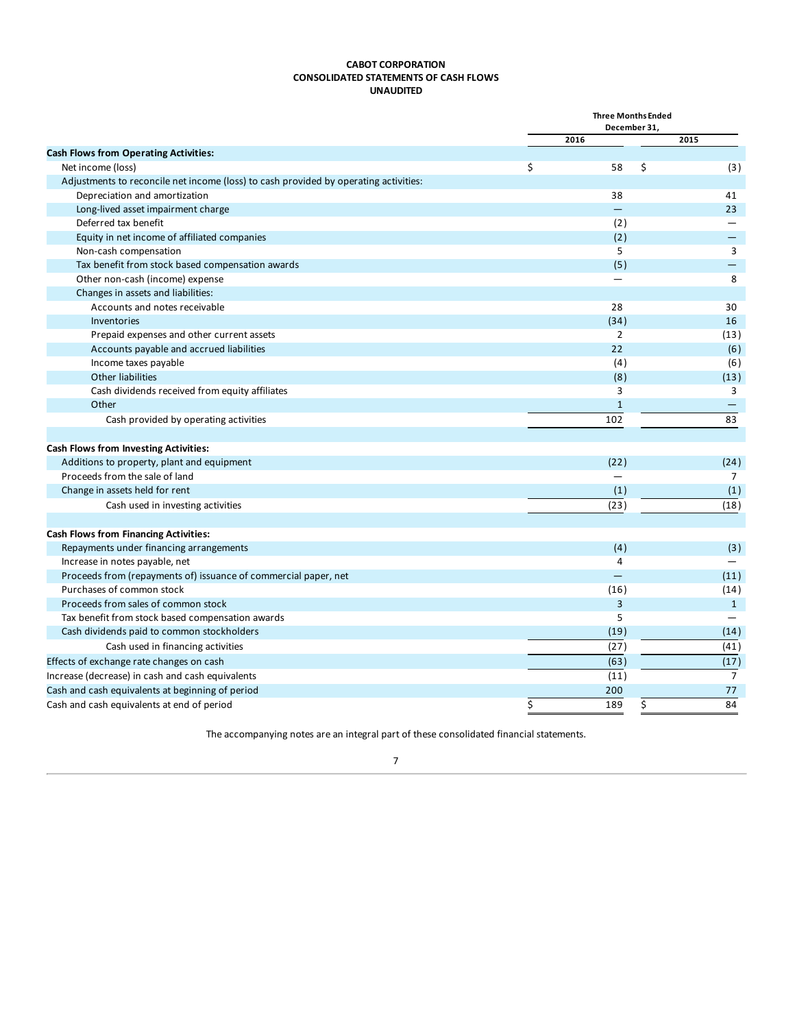### **CABOT CORPORATION CONSOLIDATED STATEMENTS OF CASH FLOWS UNAUDITED**

<span id="page-6-0"></span>

|                                                                                      | <b>Three Months Ended</b><br>December 31, |                |
|--------------------------------------------------------------------------------------|-------------------------------------------|----------------|
|                                                                                      | 2016                                      | 2015           |
| <b>Cash Flows from Operating Activities:</b>                                         |                                           |                |
| Net income (loss)                                                                    | \$<br>58<br>\$                            | (3)            |
| Adjustments to reconcile net income (loss) to cash provided by operating activities: |                                           |                |
| Depreciation and amortization                                                        | 38                                        | 41             |
| Long-lived asset impairment charge                                                   | $\equiv$                                  | 23             |
| Deferred tax benefit                                                                 | (2)                                       |                |
| Equity in net income of affiliated companies                                         | (2)                                       | —              |
| Non-cash compensation                                                                | 5                                         | 3              |
| Tax benefit from stock based compensation awards                                     | (5)                                       |                |
| Other non-cash (income) expense                                                      |                                           | 8              |
| Changes in assets and liabilities:                                                   |                                           |                |
| Accounts and notes receivable                                                        | 28                                        | 30             |
| Inventories                                                                          | (34)                                      | 16             |
| Prepaid expenses and other current assets                                            | $\overline{2}$                            | (13)           |
| Accounts payable and accrued liabilities                                             | 22                                        | (6)            |
| Income taxes payable                                                                 | (4)                                       | (6)            |
| Other liabilities                                                                    | (8)                                       | (13)           |
| Cash dividends received from equity affiliates                                       | 3                                         | 3              |
| Other                                                                                | $\mathbf{1}$                              |                |
| Cash provided by operating activities                                                | 102                                       | 83             |
| <b>Cash Flows from Investing Activities:</b>                                         |                                           |                |
| Additions to property, plant and equipment                                           | (22)                                      | (24)           |
| Proceeds from the sale of land                                                       |                                           | 7              |
| Change in assets held for rent                                                       | (1)                                       | (1)            |
| Cash used in investing activities                                                    | (23)                                      | (18)           |
| <b>Cash Flows from Financing Activities:</b>                                         |                                           |                |
| Repayments under financing arrangements                                              | (4)                                       | (3)            |
| Increase in notes payable, net                                                       | 4                                         |                |
| Proceeds from (repayments of) issuance of commercial paper, net                      | $=$                                       | (11)           |
| Purchases of common stock                                                            | (16)                                      | (14)           |
| Proceeds from sales of common stock                                                  | $\overline{3}$                            | $\mathbf{1}$   |
| Tax benefit from stock based compensation awards                                     | 5                                         |                |
| Cash dividends paid to common stockholders                                           | (19)                                      | (14)           |
| Cash used in financing activities                                                    | (27)                                      | (41)           |
| Effects of exchange rate changes on cash                                             | (63)                                      | (17)           |
| Increase (decrease) in cash and cash equivalents                                     | (11)                                      | $\overline{7}$ |
| Cash and cash equivalents at beginning of period                                     | 200                                       | 77             |
|                                                                                      | \$<br>189                                 | 84             |
| Cash and cash equivalents at end of period                                           | \$                                        |                |

The accompanying notes are an integral part of these consolidated financial statements.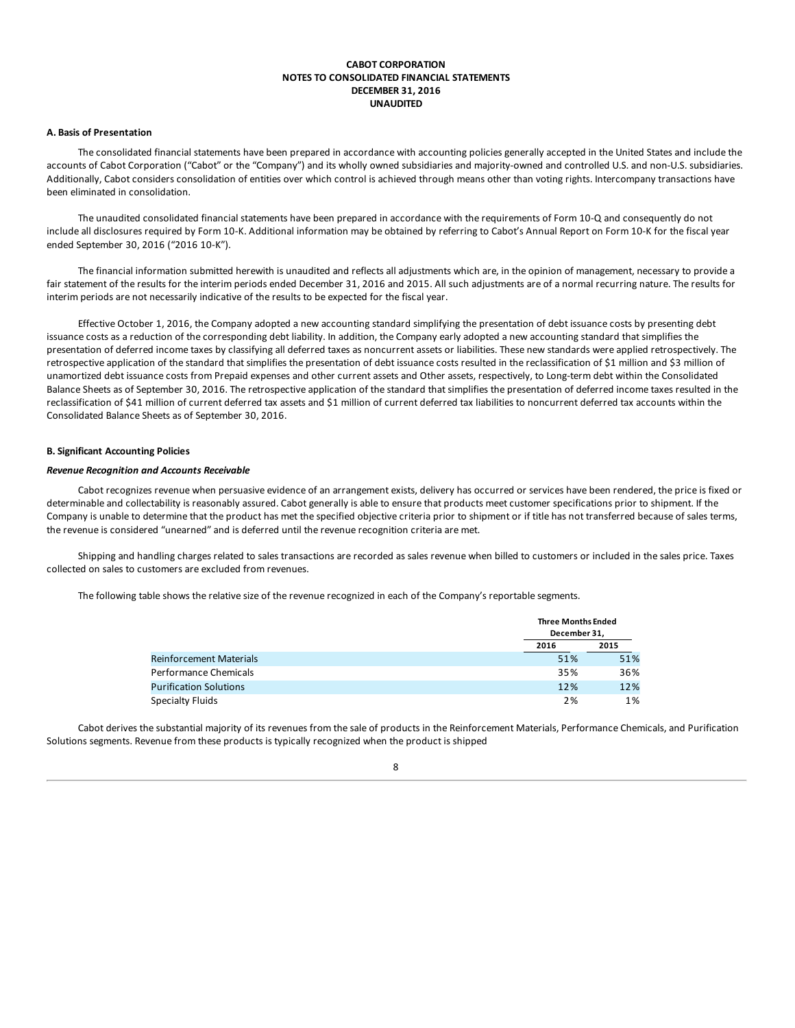### **CABOT CORPORATION NOTES TO CONSOLIDATED FINANCIAL STATEMENTS DECEMBER 31, 2016 UNAUDITED**

### <span id="page-7-0"></span>**A. Basis of Presentation**

The consolidated financial statements have been prepared in accordance with accounting policies generally accepted in the United States and include the accounts of Cabot Corporation ("Cabot" or the "Company") and its wholly owned subsidiaries and majority-owned and controlled U.S. and non-U.S. subsidiaries. Additionally, Cabot considers consolidation of entities over which control is achieved through means other than voting rights. Intercompany transactions have been eliminated in consolidation.

The unaudited consolidated financial statements have been prepared in accordance with the requirements of Form 10-Q and consequently do not include all disclosures required by Form 10-K. Additional information may be obtained by referring to Cabot's Annual Report on Form 10-K for the fiscal year ended September 30, 2016 ("2016 10-K").

The financial information submitted herewith is unaudited and reflects all adjustments which are, in the opinion of management, necessary to provide a fair statement of the results for the interim periods ended December 31, 2016 and 2015. All such adjustments are of a normal recurring nature. The results for interim periods are not necessarily indicative of the results to be expected for the fiscal year.

Effective October 1, 2016, the Company adopted a new accounting standard simplifying the presentation of debt issuance costs by presenting debt issuance costs as a reduction of the corresponding debt liability. In addition, the Company early adopted a new accounting standard that simplifies the presentation of deferred income taxes by classifying all deferred taxes as noncurrent assets or liabilities. These new standards were applied retrospectively. The retrospective application of the standard that simplifies the presentation of debt issuance costs resulted in the reclassification of \$1 million and \$3 million of unamortized debt issuance costs from Prepaid expenses and other current assets and Other assets, respectively, to Long-term debt within the Consolidated Balance Sheets as of September 30, 2016. The retrospective application of the standard that simplifies the presentation of deferred income taxes resulted in the reclassification of \$41 million of current deferred tax assets and \$1 million of current deferred tax liabilities to noncurrent deferred tax accounts within the Consolidated Balance Sheets as of September 30, 2016.

#### **B. Significant Accounting Policies**

### *Revenue Recognition and Accounts Receivable*

Cabot recognizes revenue when persuasive evidence of an arrangement exists, delivery has occurred or services have been rendered, the price is fixed or determinable and collectability is reasonably assured. Cabot generally is able to ensure that products meet customer specifications prior to shipment. If the Company is unable to determine that the product has met the specified objective criteria prior to shipment or if title has not transferred because of sales terms, the revenue is considered "unearned" and is deferred until the revenue recognition criteria are met.

Shipping and handling charges related to sales transactions are recorded as sales revenue when billed to customers or included in the sales price. Taxes collected on sales to customers are excluded from revenues.

The following table shows the relative size of the revenue recognized in each of the Company's reportable segments.

|                                | <b>Three Months Ended</b><br>December 31, |      |
|--------------------------------|-------------------------------------------|------|
|                                | 2016                                      | 2015 |
| <b>Reinforcement Materials</b> | 51%                                       | 51%  |
| Performance Chemicals          | 35%                                       | 36%  |
| <b>Purification Solutions</b>  | 12%                                       | 12%  |
| Specialty Fluids               | 2%                                        | 1%   |

Cabot derives the substantial majority of its revenues from the sale of products in the Reinforcement Materials, Performance Chemicals, and Purification Solutions segments. Revenue from these products is typically recognized when the product is shipped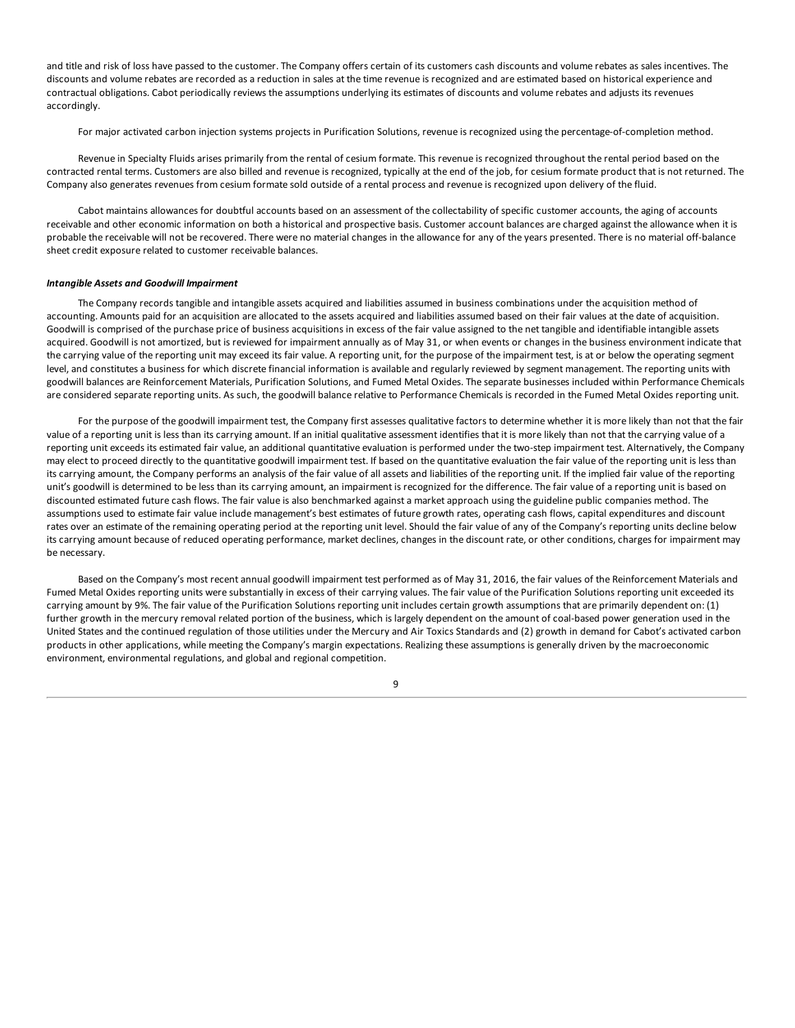and title and risk of loss have passed to the customer. The Company offers certain of its customers cash discounts and volume rebates as sales incentives. The discounts and volume rebates are recorded as a reduction in sales at the time revenue is recognized and are estimated based on historical experience and contractual obligations. Cabot periodically reviews the assumptions underlying its estimates of discounts and volume rebates and adjusts its revenues accordingly.

For major activated carbon injection systems projects in Purification Solutions, revenue is recognized using the percentage-of-completion method.

Revenue in Specialty Fluids arises primarily from the rental of cesium formate. This revenue is recognized throughout the rental period based on the contracted rental terms. Customers are also billed and revenue is recognized, typically at the end of the job, for cesium formate product that is not returned. The Company also generates revenues from cesium formate sold outside of a rental process and revenue is recognized upon delivery of the fluid.

Cabot maintains allowances for doubtful accounts based on an assessment of the collectability of specific customer accounts, the aging of accounts receivable and other economic information on both a historical and prospective basis. Customer account balances are charged against the allowance when it is probable the receivable will not be recovered. There were no material changes in the allowance for any of the years presented. There is no material off-balance sheet credit exposure related to customer receivable balances.

### *Intangible Assets and Goodwill Impairment*

The Company records tangible and intangible assets acquired and liabilities assumed in business combinations under the acquisition method of accounting. Amounts paid for an acquisition are allocated to the assets acquired and liabilities assumed based on their fair values at the date of acquisition. Goodwill is comprised of the purchase price of business acquisitions in excess of the fair value assigned to the net tangible and identifiable intangible assets acquired. Goodwill is not amortized, but is reviewed for impairment annually as of May 31, or when events or changes in the business environment indicate that the carrying value of the reporting unit may exceed its fair value. A reporting unit, for the purpose of the impairment test, is at or below the operating segment level, and constitutes a business for which discrete financial information is available and regularly reviewed by segment management. The reporting units with goodwill balances are Reinforcement Materials, Purification Solutions, and Fumed Metal Oxides. The separate businesses included within Performance Chemicals are considered separate reporting units. As such, the goodwill balance relative to Performance Chemicals is recorded in the Fumed Metal Oxides reporting unit.

For the purpose of the goodwill impairment test, the Company first assesses qualitative factors to determine whether it is more likely than not that the fair value of a reporting unit is less than its carrying amount. If an initial qualitative assessment identifies that it is more likely than not that the carrying value of a reporting unit exceeds its estimated fair value, an additional quantitative evaluation is performed under the two-step impairment test. Alternatively, the Company may elect to proceed directly to the quantitative goodwill impairment test. If based on the quantitative evaluation the fair value of the reporting unit is less than its carrying amount, the Company performs an analysis of the fair value of all assets and liabilities of the reporting unit. If the implied fair value of the reporting unit's goodwill is determined to be less than its carrying amount, an impairment is recognized for the difference. The fair value of a reporting unit is based on discounted estimated future cash flows. The fair value is also benchmarked against a market approach using the guideline public companies method. The assumptions used to estimate fair value include management's best estimates of future growth rates, operating cash flows, capital expenditures and discount rates over an estimate of the remaining operating period at the reporting unit level. Should the fair value of any of the Company's reporting units decline below its carrying amount because of reduced operating performance, market declines, changes in the discount rate, or other conditions, charges for impairment may be necessary.

Based on the Company's most recent annual goodwill impairment test performed as of May 31, 2016, the fair values of the Reinforcement Materials and Fumed Metal Oxides reporting units were substantially in excess of their carrying values. The fair value of the Purification Solutions reporting unit exceeded its carrying amount by 9%. The fair value of the Purification Solutions reporting unit includes certain growth assumptions that are primarily dependent on: (1) further growth in the mercury removal related portion of the business, which is largely dependent on the amount of coal-based power generation used in the United States and the continued regulation of those utilities under the Mercury and Air Toxics Standards and (2) growth in demand for Cabot's activated carbon products in other applications, while meeting the Company's margin expectations. Realizing these assumptions is generally driven by the macroeconomic environment, environmental regulations, and global and regional competition.

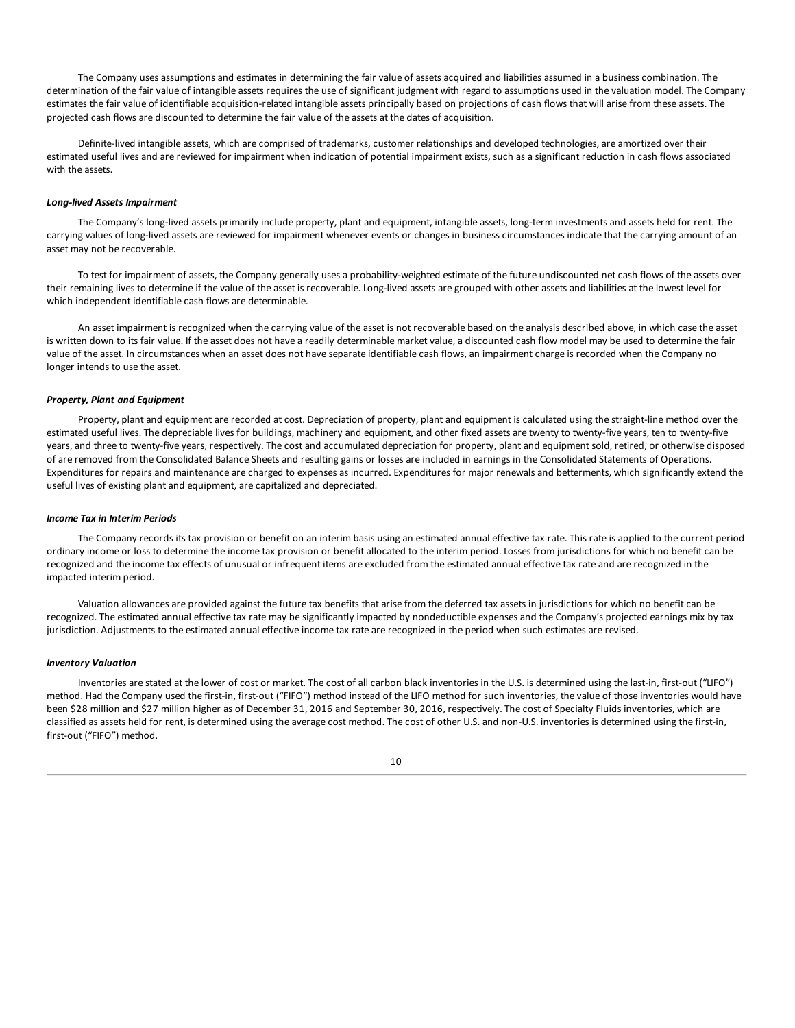The Company uses assumptions and estimates in determining the fair value of assets acquired and liabilities assumed in a business combination. The determination of the fair value of intangible assets requires the use of significant judgment with regard to assumptions used in the valuation model. The Company estimates the fair value of identifiable acquisition-related intangible assets principally based on projections of cash flows that will arise from these assets. The projected cash flows are discounted to determine the fair value of the assets at the dates of acquisition.

Definite-lived intangible assets, which are comprised of trademarks, customer relationships and developed technologies, are amortized over their estimated useful lives and are reviewed for impairment when indication of potential impairment exists, such as a significant reduction in cash flows associated with the assets.

#### *Long-lived Assets Impairment*

The Company's long-lived assets primarily include property, plant and equipment, intangible assets, long-term investments and assets held for rent. The carrying values of long-lived assets are reviewed for impairment whenever events or changes in business circumstances indicate that the carrying amount of an asset may not be recoverable.

To test for impairment of assets, the Company generally uses a probability-weighted estimate of the future undiscounted net cash flows of the assets over their remaining lives to determine if the value of the asset is recoverable. Long-lived assets are grouped with other assets and liabilities at the lowest level for which independent identifiable cash flows are determinable.

An asset impairment is recognized when the carrying value of the asset is not recoverable based on the analysis described above, in which case the asset is written down to its fair value. If the asset does not have a readily determinable market value, a discounted cash flow model may be used to determine the fair value of the asset. In circumstances when an asset does not have separate identifiable cash flows, an impairment charge is recorded when the Company no longer intends to use the asset.

#### *Property, Plant and Equipment*

Property, plant and equipment are recorded at cost. Depreciation of property, plant and equipment is calculated using the straight-line method over the estimated useful lives. The depreciable lives for buildings, machinery and equipment, and other fixed assets are twenty to twenty-five years, ten to twenty-five years, and three to twenty-five years, respectively. The cost and accumulated depreciation for property, plant and equipment sold, retired, or otherwise disposed of are removed from the Consolidated Balance Sheets and resulting gains or losses are included in earnings in the Consolidated Statements of Operations. Expenditures for repairs and maintenance are charged to expenses as incurred. Expenditures for major renewals and betterments, which significantly extend the useful lives of existing plant and equipment, are capitalized and depreciated.

### *Income Tax in Interim Periods*

The Company records its tax provision or benefit on an interim basis using an estimated annual effective tax rate. This rate is applied to the current period ordinary income or loss to determine the income tax provision or benefit allocated to the interim period. Losses from jurisdictions for which no benefit can be recognized and the income tax effects of unusual or infrequent items are excluded from the estimated annual effective tax rate and are recognized in the impacted interim period.

Valuation allowances are provided against the future tax benefits that arise from the deferred tax assets in jurisdictions for which no benefit can be recognized. The estimated annual effective tax rate may be significantly impacted by nondeductible expenses and the Company's projected earnings mix by tax jurisdiction. Adjustments to the estimated annual effective income tax rate are recognized in the period when such estimates are revised.

#### *Inventory Valuation*

Inventories are stated at the lower of cost or market. The cost of all carbon black inventories in the U.S. is determined using the last-in, first-out ("LIFO") method. Had the Company used the first-in, first-out ("FIFO") method instead of the LIFO method for such inventories, the value of those inventories would have been \$28 million and \$27 million higher as of December 31, 2016 and September 30, 2016, respectively. The cost of Specialty Fluids inventories, which are classified as assets held for rent, is determined using the average cost method. The cost of other U.S. and non-U.S. inventories is determined using the first-in, first-out ("FIFO") method.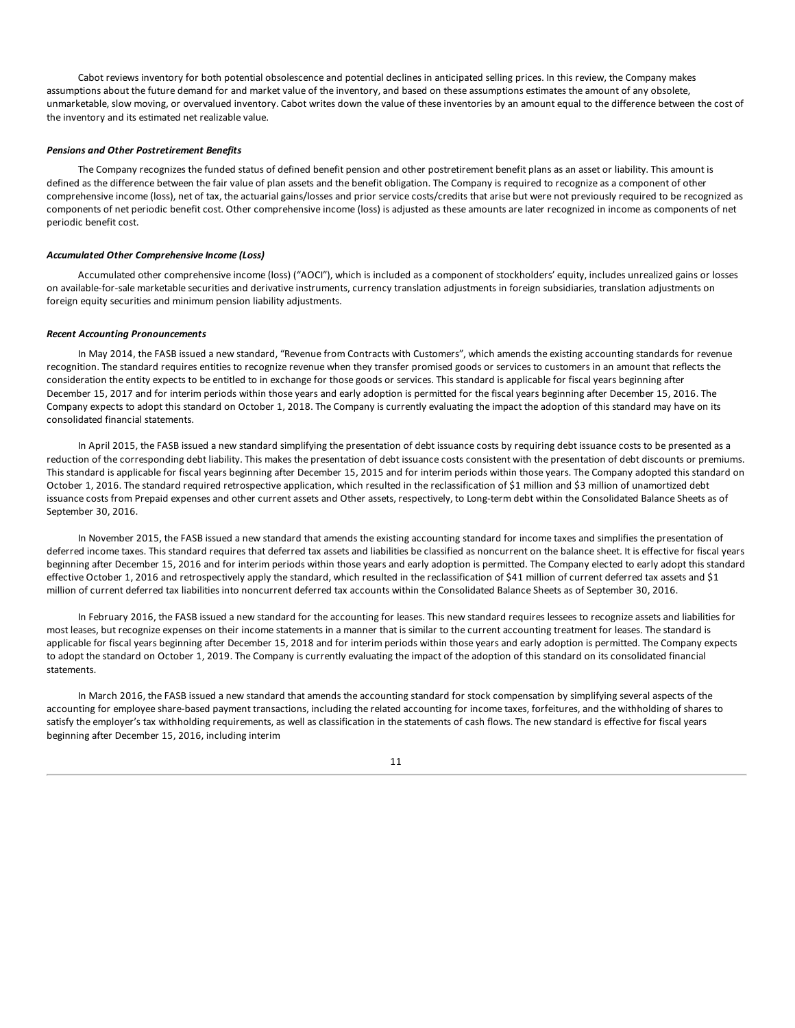Cabot reviews inventory for both potential obsolescence and potential declines in anticipated selling prices. In this review, the Company makes assumptions about the future demand for and market value of the inventory, and based on these assumptions estimates the amount of any obsolete, unmarketable, slow moving, or overvalued inventory. Cabot writes down the value of these inventories by an amount equal to the difference between the cost of the inventory and its estimated net realizable value.

### *Pensions and Other Postretirement Benefits*

The Company recognizes the funded status of defined benefit pension and other postretirement benefit plans as an asset or liability. This amount is defined as the difference between the fair value of plan assets and the benefit obligation. The Company is required to recognize as a component of other comprehensive income (loss), net of tax, the actuarial gains/losses and prior service costs/credits that arise but were not previously required to be recognized as components of net periodic benefit cost. Other comprehensive income (loss) is adjusted as these amounts are later recognized in income as components of net periodic benefit cost.

#### *Accumulated Other Comprehensive Income (Loss)*

Accumulated other comprehensive income (loss) ("AOCI"), which is included as a component of stockholders' equity, includes unrealized gains or losses on available-for-sale marketable securities and derivative instruments, currency translation adjustments in foreign subsidiaries, translation adjustments on foreign equity securities and minimum pension liability adjustments.

#### *Recent Accounting Pronouncements*

In May 2014, the FASB issued a new standard, "Revenue from Contracts with Customers", which amends the existing accounting standards for revenue recognition. The standard requires entities to recognize revenue when they transfer promised goods or services to customers in an amount that reflects the consideration the entity expects to be entitled to in exchange for those goods or services. This standard is applicable for fiscal years beginning after December 15, 2017 and for interim periods within those years and early adoption is permitted for the fiscal years beginning after December 15, 2016. The Company expects to adopt this standard on October 1, 2018. The Company is currently evaluating the impact the adoption of this standard may have on its consolidated financial statements.

In April 2015, the FASB issued a new standard simplifying the presentation of debt issuance costs by requiring debt issuance costs to be presented as a reduction of the corresponding debt liability. This makes the presentation of debt issuance costs consistent with the presentation of debt discounts or premiums. This standard is applicable for fiscal years beginning after December 15, 2015 and for interim periods within those years. The Company adopted this standard on October 1, 2016. The standard required retrospective application, which resulted in the reclassification of \$1 million and \$3 million of unamortized debt issuance costs from Prepaid expenses and other current assets and Other assets, respectively, to Long-term debt within the Consolidated Balance Sheets as of September 30, 2016.

In November 2015, the FASB issued a new standard that amends the existing accounting standard for income taxes and simplifies the presentation of deferred income taxes. This standard requires that deferred tax assets and liabilities be classified as noncurrent on the balance sheet. It is effective for fiscal years beginning after December 15, 2016 and for interim periods within those years and early adoption is permitted. The Company elected to early adopt this standard effective October 1, 2016 and retrospectively apply the standard, which resulted in the reclassification of \$41 million of current deferred tax assets and \$1 million of current deferred tax liabilities into noncurrent deferred tax accounts within the Consolidated Balance Sheets as of September 30, 2016.

In February 2016, the FASB issued a new standard for the accounting for leases. This new standard requires lessees to recognize assets and liabilities for most leases, but recognize expenses on their income statements in a manner that is similar to the current accounting treatment for leases. The standard is applicable for fiscal years beginning after December 15, 2018 and for interim periods within those years and early adoption is permitted. The Company expects to adopt the standard on October 1, 2019. The Company is currently evaluating the impact of the adoption of this standard on its consolidated financial statements.

In March 2016, the FASB issued a new standard that amends the accounting standard for stock compensation by simplifying several aspects of the accounting for employee share-based payment transactions, including the related accounting for income taxes, forfeitures, and the withholding of shares to satisfy the employer's tax withholding requirements, as well as classification in the statements of cash flows. The new standard is effective for fiscal years beginning after December 15, 2016, including interim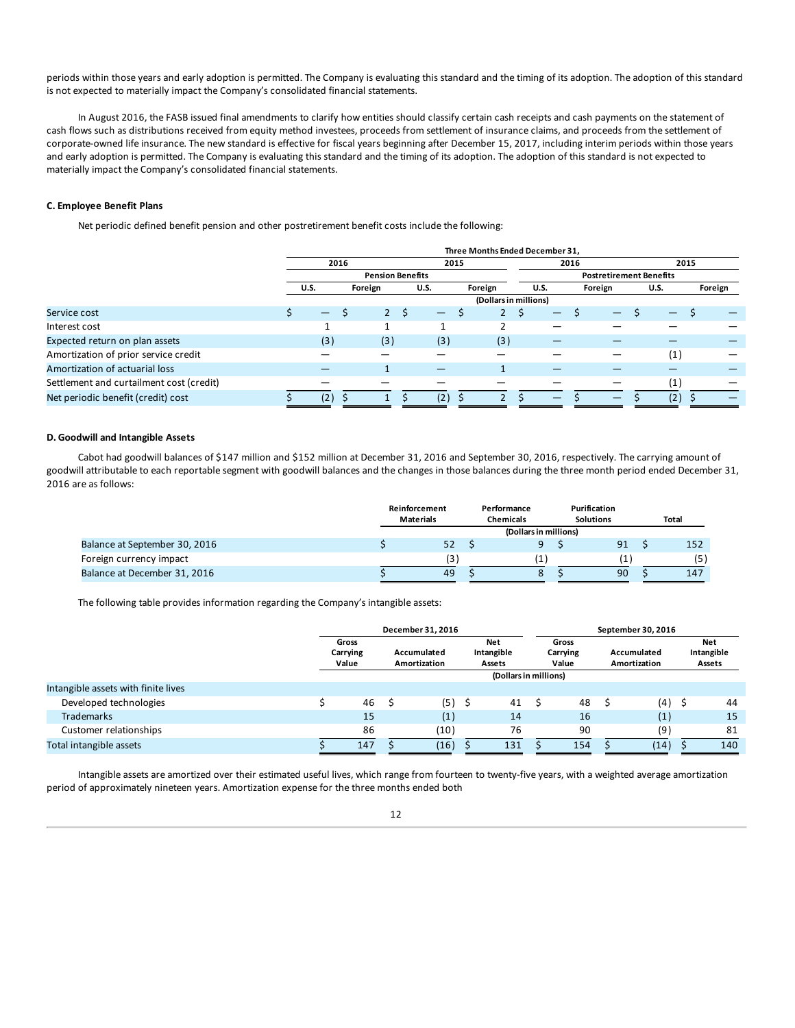periods within those years and early adoption is permitted. The Company is evaluating this standard and the timing of its adoption. The adoption of this standard is not expected to materially impact the Company's consolidated financial statements.

In August 2016, the FASB issued final amendments to clarify how entities should classify certain cash receipts and cash payments on the statement of cash flows such as distributions received from equity method investees, proceeds from settlement of insurance claims, and proceeds from the settlement of corporate-owned life insurance. The new standard is effective for fiscal years beginning after December 15, 2017, including interim periods within those years and early adoption is permitted. The Company is evaluating this standard and the timing of its adoption. The adoption of this standard is not expected to materially impact the Company's consolidated financial statements.

### **C. Employee Benefit Plans**

Net periodic defined benefit pension and other postretirement benefit costs include the following:

|                                          |                          |      |                         |   |                        |      | Three Months Ended December 31, |      |                                |         |      |  |             |     |         |  |  |
|------------------------------------------|--------------------------|------|-------------------------|---|------------------------|------|---------------------------------|------|--------------------------------|---------|------|--|-------------|-----|---------|--|--|
|                                          |                          | 2016 |                         |   |                        | 2015 |                                 |      | 2016                           |         | 2015 |  |             |     |         |  |  |
|                                          |                          |      | <b>Pension Benefits</b> |   |                        |      |                                 |      | <b>Postretirement Benefits</b> |         |      |  |             |     |         |  |  |
|                                          | <b>U.S.</b>              |      | Foreign                 |   | Foreign<br><b>U.S.</b> |      |                                 | U.S. |                                | Foreign |      |  | <b>U.S.</b> |     | Foreign |  |  |
|                                          |                          |      |                         |   |                        |      | (Dollars in millions)           |      |                                |         |      |  |             |     |         |  |  |
| Service cost                             | $\overline{\phantom{0}}$ |      |                         | S | —                      |      |                                 |      | —                              |         |      |  |             |     |         |  |  |
| Interest cost                            |                          |      |                         |   |                        |      |                                 |      |                                |         |      |  |             |     |         |  |  |
| Expected return on plan assets           | (3)                      |      | (3)                     |   | (3)                    |      | (3)                             |      |                                |         |      |  |             |     |         |  |  |
| Amortization of prior service credit     |                          |      |                         |   |                        |      |                                 |      |                                |         |      |  |             | (1) |         |  |  |
| Amortization of actuarial loss           |                          |      |                         |   |                        |      |                                 |      |                                |         |      |  |             |     |         |  |  |
| Settlement and curtailment cost (credit) |                          |      |                         |   |                        |      |                                 |      |                                |         |      |  |             | (1) |         |  |  |
| Net periodic benefit (credit) cost       | $\mathbf{2}$             |      |                         |   | (2,                    |      |                                 |      |                                |         |      |  |             | (2) |         |  |  |

### **D. Goodwill and Intangible Assets**

Cabot had goodwill balances of \$147 million and \$152 million at December 31, 2016 and September 30, 2016, respectively. The carrying amount of goodwill attributable to each reportable segment with goodwill balances and the changes in those balances during the three month period ended December 31, 2016 are as follows:

|                               | Reinforcement<br>Performance<br><b>Materials</b><br><b>Chemicals</b> |  |  | Purification<br><b>Solutions</b> | <b>Total</b> |  |     |  |  |
|-------------------------------|----------------------------------------------------------------------|--|--|----------------------------------|--------------|--|-----|--|--|
|                               | (Dollars in millions)                                                |  |  |                                  |              |  |     |  |  |
| Balance at September 30, 2016 | 52                                                                   |  |  |                                  | 91           |  | 152 |  |  |
| Foreign currency impact       | (3)                                                                  |  |  |                                  |              |  | (5) |  |  |
| Balance at December 31, 2016  | 49                                                                   |  |  |                                  | 90           |  | 147 |  |  |

The following table provides information regarding the Company's intangible assets:

|                                     |  | December 31, 2016          |  |      |  |                             | September 30, 2016 |     |                                    |      |                            |     |                             |  |  |                                    |
|-------------------------------------|--|----------------------------|--|------|--|-----------------------------|--------------------|-----|------------------------------------|------|----------------------------|-----|-----------------------------|--|--|------------------------------------|
|                                     |  | Gross<br>Carrying<br>Value |  |      |  | Accumulated<br>Amortization |                    |     | <b>Net</b><br>Intangible<br>Assets |      | Gross<br>Carrying<br>Value |     | Accumulated<br>Amortization |  |  | <b>Net</b><br>Intangible<br>Assets |
|                                     |  |                            |  |      |  | (Dollars in millions)       |                    |     |                                    |      |                            |     |                             |  |  |                                    |
| Intangible assets with finite lives |  |                            |  |      |  |                             |                    |     |                                    |      |                            |     |                             |  |  |                                    |
| Developed technologies              |  | 46                         |  | (5)  |  | 41                          |                    | 48  |                                    | (4)  | -S                         | 44  |                             |  |  |                                    |
| <b>Trademarks</b>                   |  | 15                         |  | (1)  |  | 14                          |                    | 16  |                                    | (1)  |                            | 15  |                             |  |  |                                    |
| Customer relationships              |  | 86                         |  | (10) |  | 76                          |                    | 90  |                                    | (9)  |                            | 81  |                             |  |  |                                    |
| Total intangible assets             |  | 147                        |  | (16) |  | 131                         |                    | 154 |                                    | (14) |                            | 140 |                             |  |  |                                    |

Intangible assets are amortized over their estimated useful lives, which range from fourteen to twenty-five years, with a weighted average amortization period of approximately nineteen years. Amortization expense for the three months ended both

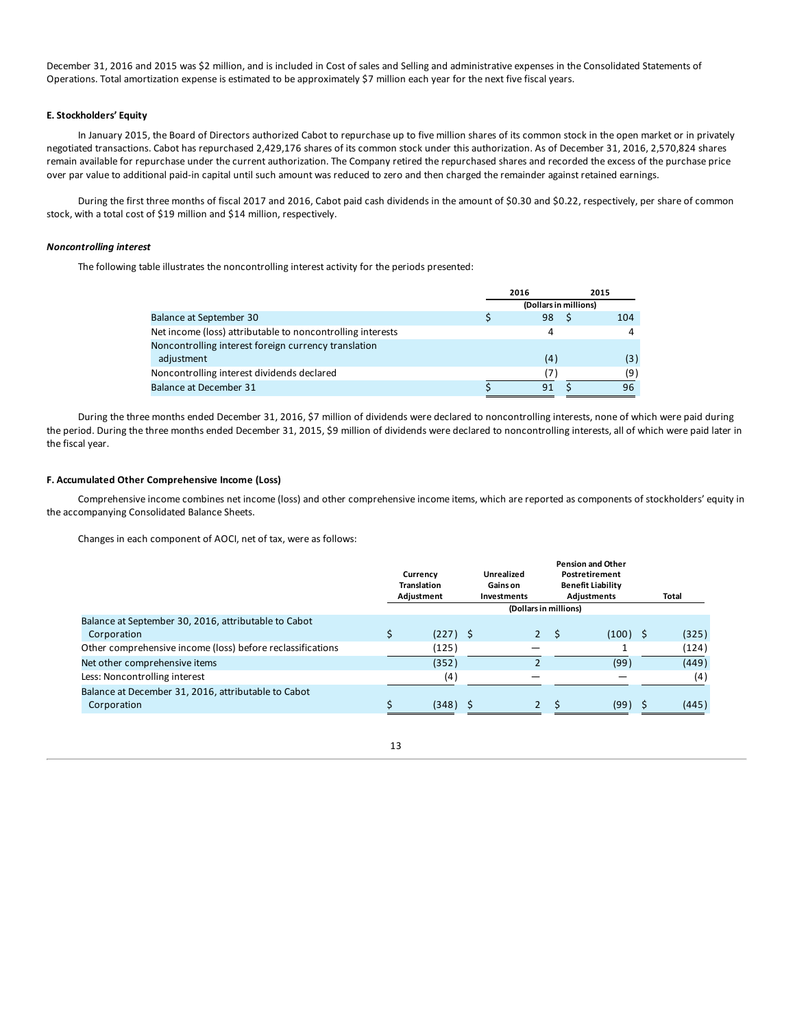December 31, 2016 and 2015 was \$2 million, and is included in Cost of sales and Selling and administrative expenses in the Consolidated Statements of Operations. Total amortization expense is estimated to be approximately \$7 million each year for the next five fiscal years.

### **E. Stockholders' Equity**

In January 2015, the Board of Directors authorized Cabot to repurchase up to five million shares of its common stock in the open market or in privately negotiated transactions. Cabot has repurchased 2,429,176 shares of its common stock under this authorization. As of December 31, 2016, 2,570,824 shares remain available for repurchase under the current authorization. The Company retired the repurchased shares and recorded the excess of the purchase price over par value to additional paid-in capital until such amount was reduced to zero and then charged the remainder against retained earnings.

During the first three months of fiscal 2017 and 2016, Cabot paid cash dividends in the amount of \$0.30 and \$0.22, respectively, per share of common stock, with a total cost of \$19 million and \$14 million, respectively.

### *Noncontrolling interest*

The following table illustrates the noncontrolling interest activity for the periods presented:

|                                                            | 2016                  |  | 2015 |
|------------------------------------------------------------|-----------------------|--|------|
|                                                            | (Dollars in millions) |  |      |
| Balance at September 30                                    | 98                    |  | 104  |
| Net income (loss) attributable to noncontrolling interests | 4                     |  |      |
| Noncontrolling interest foreign currency translation       |                       |  |      |
| adjustment                                                 | (4)                   |  | (3)  |
| Noncontrolling interest dividends declared                 |                       |  | (9   |
| <b>Balance at December 31</b>                              | 91                    |  | 96   |

During the three months ended December 31, 2016, \$7 million of dividends were declared to noncontrolling interests, none of which were paid during the period. During the three months ended December 31, 2015, \$9 million of dividends were declared to noncontrolling interests, all of which were paid later in the fiscal year.

### **F. Accumulated Other Comprehensive Income (Loss)**

Comprehensive income combines net income (loss) and other comprehensive income items, which are reported as components of stockholders' equity in the accompanying Consolidated Balance Sheets.

Changes in each component of AOCI, net of tax, were as follows:

|                                                            | Currency<br><b>Translation</b><br>Adjustment |                       |  | <b>Unrealized</b><br>Gains on<br>Investments |  | <b>Pension and Other</b><br>Postretirement<br><b>Benefit Liability</b><br><b>Adjustments</b> |  | Total |  |  |
|------------------------------------------------------------|----------------------------------------------|-----------------------|--|----------------------------------------------|--|----------------------------------------------------------------------------------------------|--|-------|--|--|
|                                                            |                                              | (Dollars in millions) |  |                                              |  |                                                                                              |  |       |  |  |
| Balance at September 30, 2016, attributable to Cabot       |                                              |                       |  |                                              |  |                                                                                              |  |       |  |  |
| Corporation                                                |                                              | $(227)$ \$            |  | $2^{\circ}$                                  |  | $(100)$ \$                                                                                   |  | (325) |  |  |
| Other comprehensive income (loss) before reclassifications |                                              | (125)                 |  |                                              |  |                                                                                              |  | (124) |  |  |
| Net other comprehensive items                              |                                              | (352)                 |  | 2                                            |  | (99)                                                                                         |  | (449) |  |  |
| Less: Noncontrolling interest                              |                                              | (4)                   |  |                                              |  |                                                                                              |  | (4)   |  |  |
| Balance at December 31, 2016, attributable to Cabot        |                                              |                       |  |                                              |  |                                                                                              |  |       |  |  |
| Corporation                                                |                                              | (348)                 |  | $\overline{2}$                               |  | (99)                                                                                         |  | (445) |  |  |
|                                                            |                                              |                       |  |                                              |  |                                                                                              |  |       |  |  |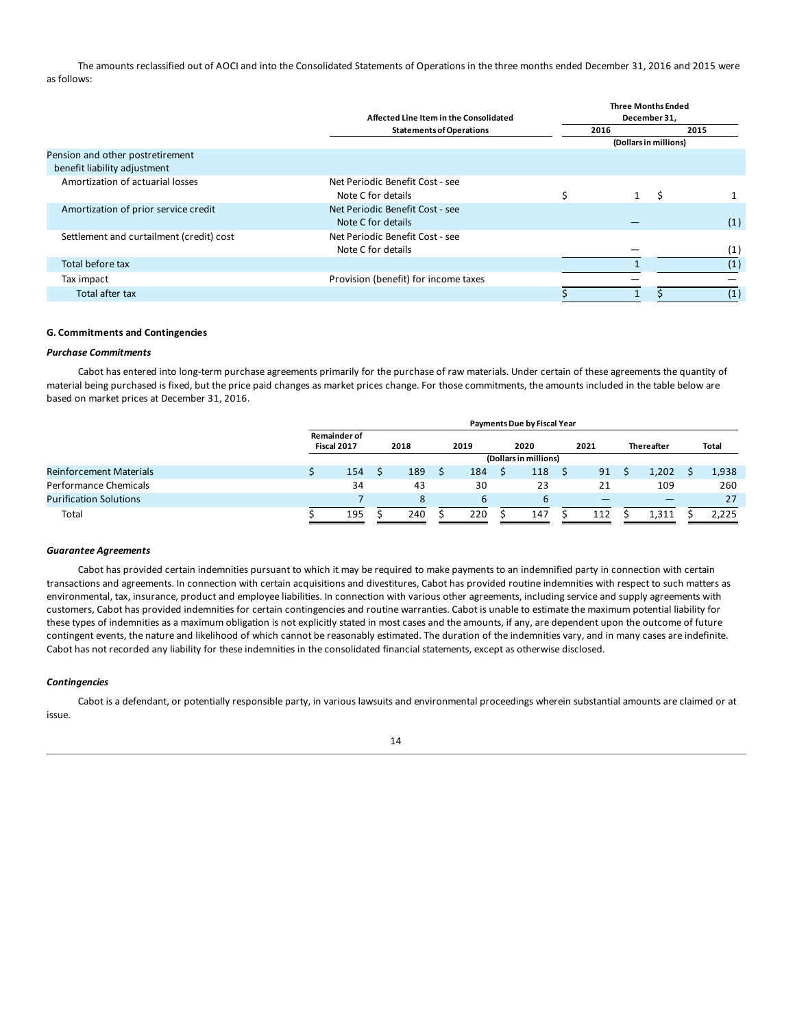The amounts reclassified out of AOCI and into the Consolidated Statements of Operations in the three months ended December 31, 2016 and 2015 were as follows:

|                                                                  | <b>Three Months Ended</b><br>December 31,             |                       |      |  |  |  |
|------------------------------------------------------------------|-------------------------------------------------------|-----------------------|------|--|--|--|
|                                                                  | <b>Statements of Operations</b>                       | 2016                  | 2015 |  |  |  |
|                                                                  |                                                       | (Dollars in millions) |      |  |  |  |
| Pension and other postretirement<br>benefit liability adjustment |                                                       |                       |      |  |  |  |
| Amortization of actuarial losses                                 | Net Periodic Benefit Cost - see<br>Note C for details | S                     |      |  |  |  |
| Amortization of prior service credit                             | Net Periodic Benefit Cost - see<br>Note C for details |                       | (1)  |  |  |  |
| Settlement and curtailment (credit) cost                         | Net Periodic Benefit Cost - see<br>Note C for details |                       | (1)  |  |  |  |
| Total before tax                                                 |                                                       |                       | (1)  |  |  |  |
| Tax impact                                                       | Provision (benefit) for income taxes                  |                       |      |  |  |  |
| Total after tax                                                  |                                                       |                       | (1)  |  |  |  |

### **G. Commitments and Contingencies**

### *Purchase Commitments*

Cabot has entered into long-term purchase agreements primarily for the purchase of raw materials. Under certain of these agreements the quantity of material being purchased is fixed, but the price paid changes as market prices change. For those commitments, the amounts included in the table below are based on market prices at December 31, 2016.

|                                | <b>Payments Due by Fiscal Year</b> |                                    |  |      |  |      |  |                       |  |      |  |                   |  |       |
|--------------------------------|------------------------------------|------------------------------------|--|------|--|------|--|-----------------------|--|------|--|-------------------|--|-------|
|                                |                                    | <b>Remainder of</b><br>Fiscal 2017 |  | 2018 |  | 2019 |  | 2020                  |  | 2021 |  | <b>Thereafter</b> |  | Total |
|                                |                                    |                                    |  |      |  |      |  | (Dollars in millions) |  |      |  |                   |  |       |
| <b>Reinforcement Materials</b> |                                    | 154                                |  | 189  |  | 184  |  | 118                   |  | 91   |  | 1.202             |  | 1,938 |
| Performance Chemicals          |                                    | 34                                 |  | 43   |  | 30   |  | 23                    |  | 21   |  | 109               |  | 260   |
| <b>Purification Solutions</b>  |                                    |                                    |  | 8    |  |      |  | $\mathbf{b}$          |  | –    |  |                   |  | 27    |
| Total                          |                                    | 195                                |  | 240  |  | 220  |  | 147                   |  | 112  |  | 1.311             |  | 2.225 |

#### *Guarantee Agreements*

Cabot has provided certain indemnities pursuant to which it may be required to make payments to an indemnified party in connection with certain transactions and agreements. In connection with certain acquisitions and divestitures, Cabot has provided routine indemnities with respect to such matters as environmental, tax, insurance, product and employee liabilities. In connection with various other agreements, including service and supply agreements with customers, Cabot has provided indemnities for certain contingencies and routine warranties. Cabot is unable to estimate the maximum potential liability for these types of indemnities as a maximum obligation is not explicitly stated in most cases and the amounts, if any, are dependent upon the outcome of future contingent events, the nature and likelihood of which cannot be reasonably estimated. The duration of the indemnities vary, and in many cases are indefinite. Cabot has not recorded any liability for these indemnities in the consolidated financial statements, except as otherwise disclosed.

#### *Contingencies*

Cabot is a defendant, or potentially responsible party, in various lawsuits and environmental proceedings wherein substantial amounts are claimed or at issue.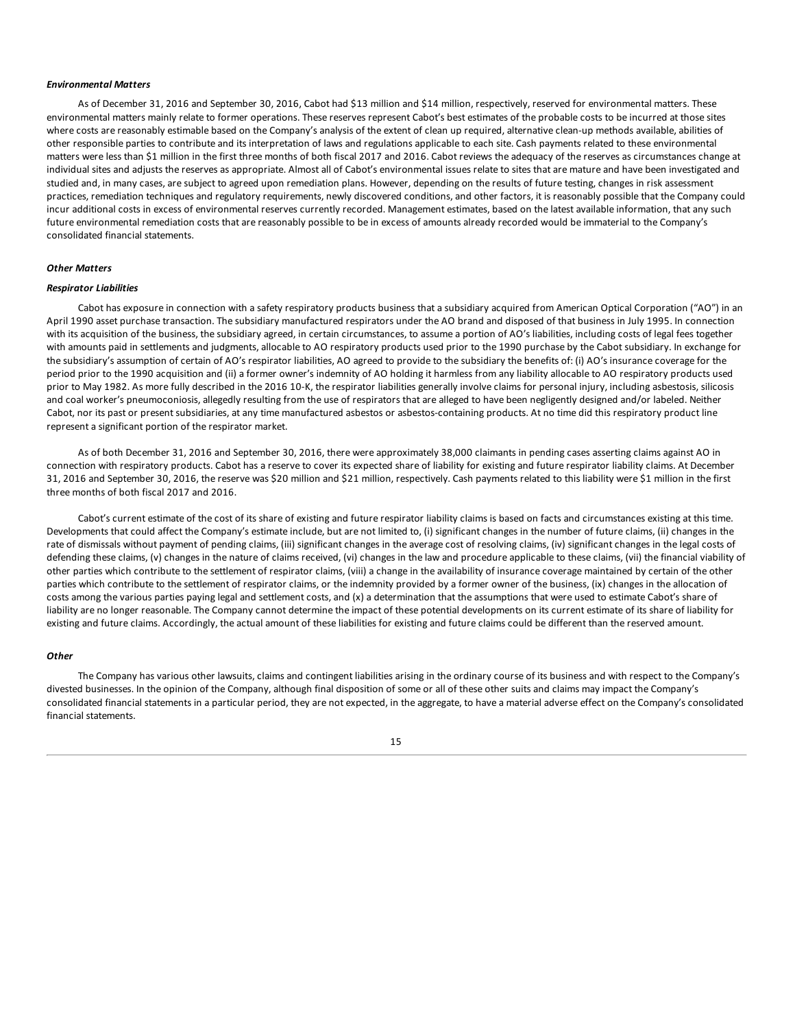#### *Environmental Matters*

As of December 31, 2016 and September 30, 2016, Cabot had \$13 million and \$14 million, respectively, reserved for environmental matters. These environmental matters mainly relate to former operations. These reserves represent Cabot's best estimates of the probable costs to be incurred at those sites where costs are reasonably estimable based on the Company's analysis of the extent of clean up required, alternative clean-up methods available, abilities of other responsible parties to contribute and its interpretation of laws and regulations applicable to each site. Cash payments related to these environmental matters were less than \$1 million in the first three months of both fiscal 2017 and 2016. Cabot reviews the adequacy of the reserves as circumstances change at individual sites and adjusts the reserves as appropriate. Almost all of Cabot's environmental issues relate to sites that are mature and have been investigated and studied and, in many cases, are subject to agreed upon remediation plans. However, depending on the results of future testing, changes in risk assessment practices, remediation techniques and regulatory requirements, newly discovered conditions, and other factors, it is reasonably possible that the Company could incur additional costs in excess of environmental reserves currently recorded. Management estimates, based on the latest available information, that any such future environmental remediation costs that are reasonably possible to be in excess of amounts already recorded would be immaterial to the Company's consolidated financial statements.

### *Other Matters*

#### *Respirator Liabilities*

Cabot has exposure in connection with a safety respiratory products business that a subsidiary acquired from American Optical Corporation ("AO") in an April 1990 asset purchase transaction. The subsidiary manufactured respirators under the AO brand and disposed of that business in July 1995. In connection with its acquisition of the business, the subsidiary agreed, in certain circumstances, to assume a portion of AO's liabilities, including costs of legal fees together with amounts paid in settlements and judgments, allocable to AO respiratory products used prior to the 1990 purchase by the Cabot subsidiary. In exchange for the subsidiary's assumption of certain of AO's respirator liabilities, AO agreed to provide to the subsidiary the benefits of: (i) AO's insurance coverage for the period prior to the 1990 acquisition and (ii) a former owner's indemnity of AO holding it harmless from any liability allocable to AO respiratory products used prior to May 1982. As more fully described in the 2016 10-K, the respirator liabilities generally involve claims for personal injury, including asbestosis, silicosis and coal worker's pneumoconiosis, allegedly resulting from the use of respirators that are alleged to have been negligently designed and/or labeled. Neither Cabot, nor its past or present subsidiaries, at any time manufactured asbestos or asbestos-containing products. At no time did this respiratory product line represent a significant portion of the respirator market.

As of both December 31, 2016 and September 30, 2016, there were approximately 38,000 claimants in pending cases asserting claims against AO in connection with respiratory products. Cabot has a reserve to cover its expected share of liability for existing and future respirator liability claims. At December 31, 2016 and September 30, 2016, the reserve was \$20 million and \$21 million, respectively. Cash payments related to this liability were \$1 million in the first three months of both fiscal 2017 and 2016.

Cabot's current estimate of the cost of its share of existing and future respirator liability claims is based on facts and circumstances existing at this time. Developments that could affect the Company's estimate include, but are not limited to, (i) significant changes in the number of future claims, (ii) changes in the rate of dismissals without payment of pending claims, (iii) significant changes in the average cost of resolving claims, (iv) significant changes in the legal costs of defending these claims, (v) changes in the nature of claims received, (vi) changes in the law and procedure applicable to these claims, (vii) the financial viability of other parties which contribute to the settlement of respirator claims, (viii) a change in the availability of insurance coverage maintained by certain of the other parties which contribute to the settlement of respirator claims, or the indemnity provided by a former owner of the business, (ix) changes in the allocation of costs among the various parties paying legal and settlement costs, and (x) a determination that the assumptions that were used to estimate Cabot's share of liability are no longer reasonable. The Company cannot determine the impact of these potential developments on its current estimate of its share of liability for existing and future claims. Accordingly, the actual amount of these liabilities for existing and future claims could be different than the reserved amount.

#### *Other*

The Company has various other lawsuits, claims and contingent liabilities arising in the ordinary course of its business and with respect to the Company's divested businesses. In the opinion of the Company, although final disposition of some or all of these other suits and claims may impact the Company's consolidated financial statements in a particular period, they are not expected, in the aggregate, to have a material adverse effect on the Company's consolidated financial statements.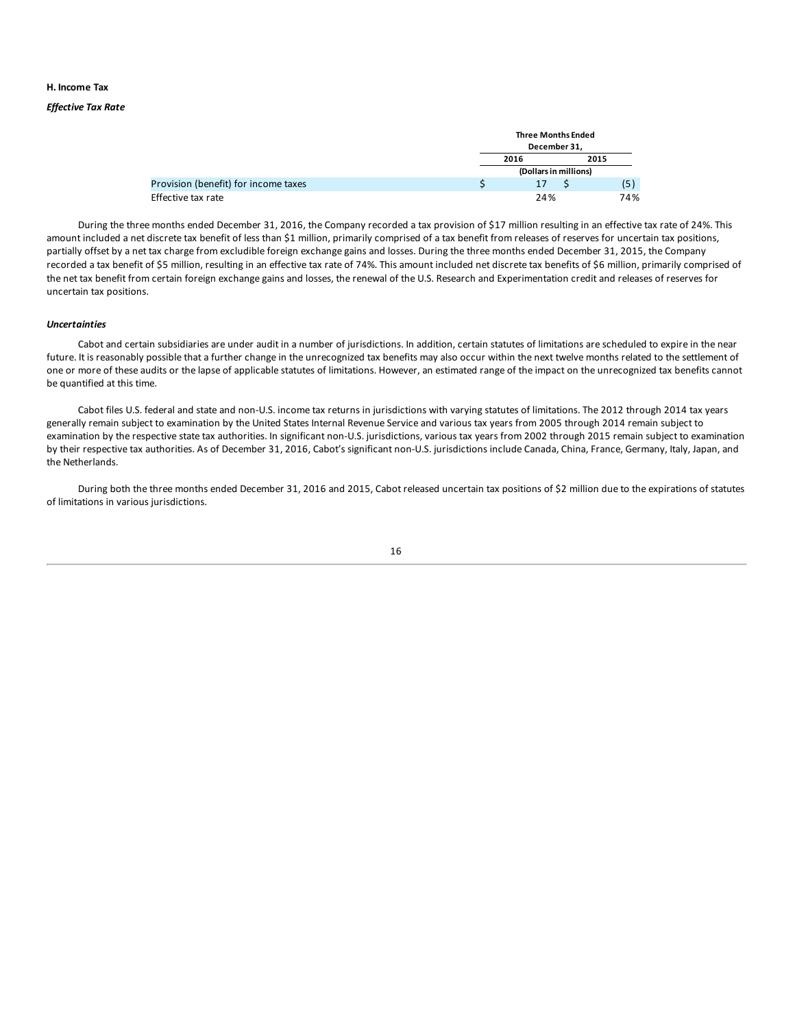### **H. Income Tax**

### *Effective Tax Rate*

|                                      |  | <b>Three Months Ended</b><br>December 31, |                       |      |  |  |  |
|--------------------------------------|--|-------------------------------------------|-----------------------|------|--|--|--|
|                                      |  |                                           |                       |      |  |  |  |
|                                      |  | 2016                                      |                       | 2015 |  |  |  |
|                                      |  |                                           | (Dollars in millions) |      |  |  |  |
| Provision (benefit) for income taxes |  | 17                                        |                       | (5   |  |  |  |
| Effective tax rate                   |  | 24%                                       |                       | 74%  |  |  |  |

During the three months ended December 31, 2016, the Company recorded a tax provision of \$17 million resulting in an effective tax rate of 24%. This amount included a net discrete tax benefit of less than \$1 million, primarily comprised of a tax benefit from releases of reserves for uncertain tax positions, partially offset by a net tax charge from excludible foreign exchange gains and losses. During the three months ended December 31, 2015, the Company recorded a tax benefit of \$5 million, resulting in an effective tax rate of 74%. This amount included net discrete tax benefits of \$6 million, primarily comprised of the net tax benefit from certain foreign exchange gains and losses, the renewal of the U.S. Research and Experimentation credit and releases of reserves for uncertain tax positions.

#### *Uncertainties*

Cabot and certain subsidiaries are under audit in a number of jurisdictions. In addition, certain statutes of limitations are scheduled to expire in the near future. It is reasonably possible that a further change in the unrecognized tax benefits may also occur within the next twelve months related to the settlement of one or more of these audits or the lapse of applicable statutes of limitations. However, an estimated range of the impact on the unrecognized tax benefits cannot be quantified at this time.

Cabot files U.S. federal and state and non-U.S. income tax returns in jurisdictions with varying statutes of limitations. The 2012 through 2014 tax years generally remain subject to examination by the United States Internal Revenue Service and various tax years from 2005 through 2014 remain subject to examination by the respective state tax authorities. In significant non-U.S. jurisdictions, various tax years from 2002 through 2015 remain subject to examination by their respective tax authorities. As of December 31, 2016, Cabot's significant non-U.S. jurisdictions include Canada, China, France, Germany, Italy, Japan, and the Netherlands.

During both the three months ended December 31, 2016 and 2015, Cabot released uncertain tax positions of \$2 million due to the expirations of statutes of limitations in various jurisdictions.

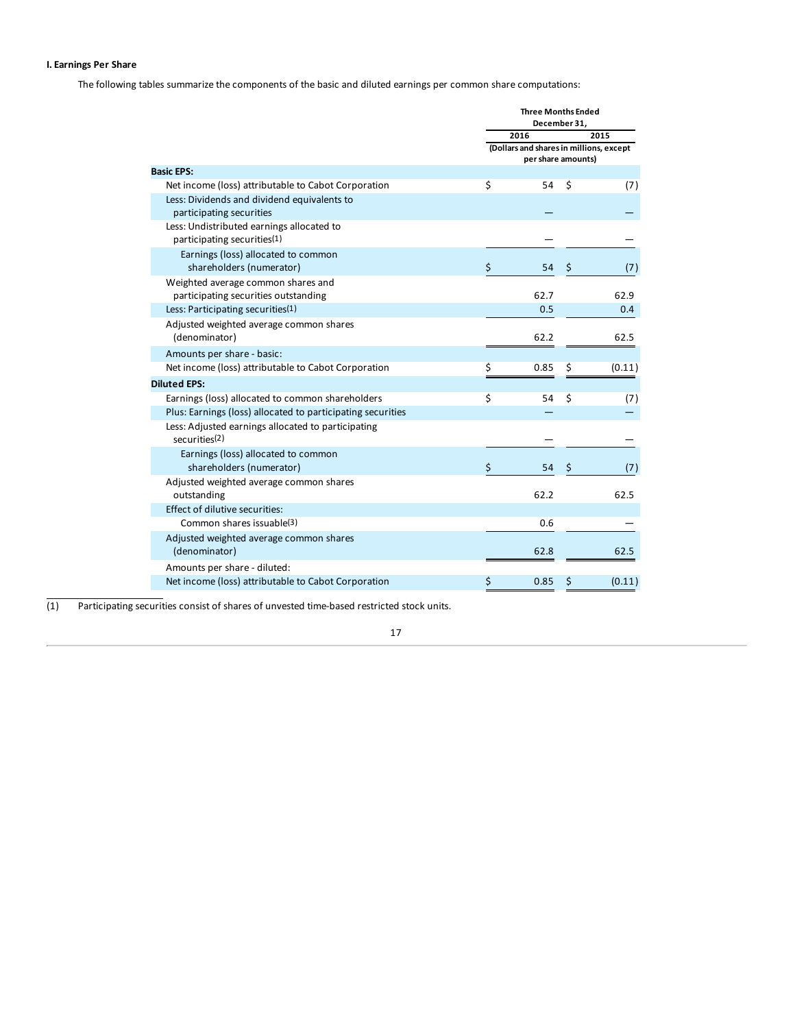### **I. Earnings Per Share**

The following tables summarize the components of the basic and diluted earnings per common share computations:

|                                                                            | <b>Three Months Ended</b><br>December 31,                     |    |        |  |  |  |  |
|----------------------------------------------------------------------------|---------------------------------------------------------------|----|--------|--|--|--|--|
|                                                                            | 2016                                                          |    | 2015   |  |  |  |  |
|                                                                            | (Dollars and shares in millions, except<br>per share amounts) |    |        |  |  |  |  |
| <b>Basic EPS:</b>                                                          |                                                               |    |        |  |  |  |  |
| Net income (loss) attributable to Cabot Corporation                        | \$<br>54                                                      | \$ | (7)    |  |  |  |  |
| Less: Dividends and dividend equivalents to                                |                                                               |    |        |  |  |  |  |
| participating securities                                                   |                                                               |    |        |  |  |  |  |
| Less: Undistributed earnings allocated to<br>participating securities(1)   |                                                               |    |        |  |  |  |  |
| Earnings (loss) allocated to common                                        |                                                               |    |        |  |  |  |  |
| shareholders (numerator)                                                   | \$<br>54                                                      | \$ | (7)    |  |  |  |  |
| Weighted average common shares and<br>participating securities outstanding | 62.7                                                          |    | 62.9   |  |  |  |  |
| Less: Participating securities(1)                                          | 0.5                                                           |    | 0.4    |  |  |  |  |
| Adjusted weighted average common shares<br>(denominator)                   | 62.2                                                          |    | 62.5   |  |  |  |  |
| Amounts per share - basic:                                                 |                                                               |    |        |  |  |  |  |
| Net income (loss) attributable to Cabot Corporation                        | \$<br>0.85                                                    | \$ | (0.11) |  |  |  |  |
| <b>Diluted EPS:</b>                                                        |                                                               |    |        |  |  |  |  |
| Earnings (loss) allocated to common shareholders                           | \$<br>54                                                      | \$ | (7)    |  |  |  |  |
| Plus: Earnings (loss) allocated to participating securities                |                                                               |    |        |  |  |  |  |
| Less: Adjusted earnings allocated to participating<br>securities(2)        |                                                               |    |        |  |  |  |  |
| Earnings (loss) allocated to common                                        |                                                               |    |        |  |  |  |  |
| shareholders (numerator)                                                   | \$<br>54                                                      | \$ | (7)    |  |  |  |  |
| Adjusted weighted average common shares<br>outstanding                     | 62.2                                                          |    | 62.5   |  |  |  |  |
| Effect of dilutive securities:                                             |                                                               |    |        |  |  |  |  |
| Common shares issuable(3)                                                  | 0.6                                                           |    |        |  |  |  |  |
| Adjusted weighted average common shares<br>(denominator)                   | 62.8                                                          |    | 62.5   |  |  |  |  |
| Amounts per share - diluted:                                               |                                                               |    |        |  |  |  |  |
| Net income (loss) attributable to Cabot Corporation                        | \$<br>0.85                                                    | \$ | (0.11) |  |  |  |  |

(1) Participating securities consist of shares of unvested time-based restricted stock units.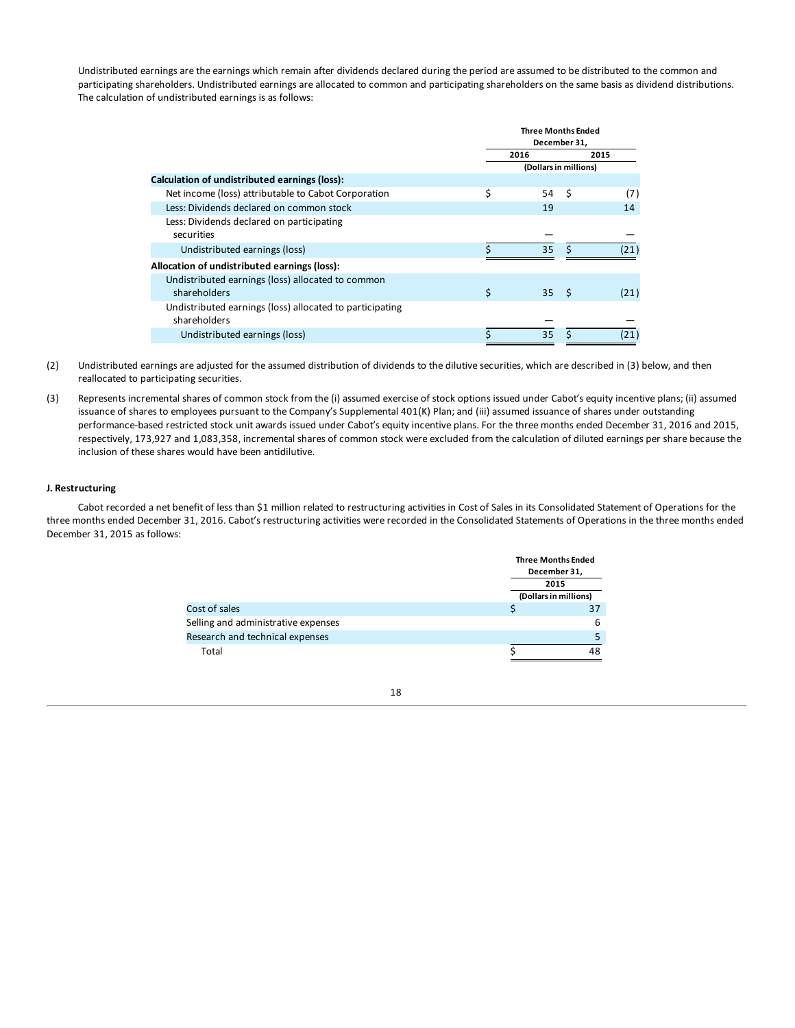Undistributed earnings are the earnings which remain after dividends declared during the period are assumed to be distributed to the common and participating shareholders. Undistributed earnings are allocated to common and participating shareholders on the same basis as dividend distributions. The calculation of undistributed earnings is as follows:

|                                                          | <b>Three Months Ended</b><br>December 31, |    |      |      |  |
|----------------------------------------------------------|-------------------------------------------|----|------|------|--|
|                                                          | 2016<br>2015                              |    |      |      |  |
|                                                          | (Dollars in millions)                     |    |      |      |  |
| Calculation of undistributed earnings (loss):            |                                           |    |      |      |  |
| Net income (loss) attributable to Cabot Corporation      | \$                                        | 54 | -\$  | (7)  |  |
| Less: Dividends declared on common stock                 |                                           | 19 |      | 14   |  |
| Less: Dividends declared on participating                |                                           |    |      |      |  |
| securities                                               |                                           |    |      |      |  |
| Undistributed earnings (loss)                            |                                           | 35 | ς    | (21) |  |
| Allocation of undistributed earnings (loss):             |                                           |    |      |      |  |
| Undistributed earnings (loss) allocated to common        |                                           |    |      |      |  |
| shareholders                                             | \$                                        | 35 | - \$ | (21) |  |
| Undistributed earnings (loss) allocated to participating |                                           |    |      |      |  |
| shareholders                                             |                                           |    |      |      |  |
| Undistributed earnings (loss)                            | Ś                                         | 35 |      | (21) |  |

- (2) Undistributed earnings are adjusted for the assumed distribution of dividends to the dilutive securities, which are described in (3) below, and then reallocated to participating securities.
- (3) Represents incremental shares of common stock from the (i) assumed exercise of stock options issued under Cabot's equity incentive plans; (ii) assumed issuance of shares to employees pursuant to the Company's Supplemental 401(K) Plan; and (iii) assumed issuance of shares under outstanding performance-based restricted stock unit awards issued under Cabot's equity incentive plans. For the three months ended December 31, 2016 and 2015, respectively, 173,927 and 1,083,358, incremental shares of common stock were excluded from the calculation of diluted earnings per share because the inclusion of these shares would have been antidilutive.

### **J. Restructuring**

Cabot recorded a net benefit of less than \$1 million related to restructuring activities in Cost of Sales in its Consolidated Statement of Operations for the three months ended December 31, 2016. Cabot's restructuring activities were recorded in the Consolidated Statements of Operations in the three months ended December 31, 2015 as follows:

|                                     | <b>Three Months Ended</b> |
|-------------------------------------|---------------------------|
|                                     | December 31,              |
|                                     | 2015                      |
|                                     | (Dollars in millions)     |
| Cost of sales                       |                           |
| Selling and administrative expenses | 6                         |
| Research and technical expenses     |                           |
| Total                               |                           |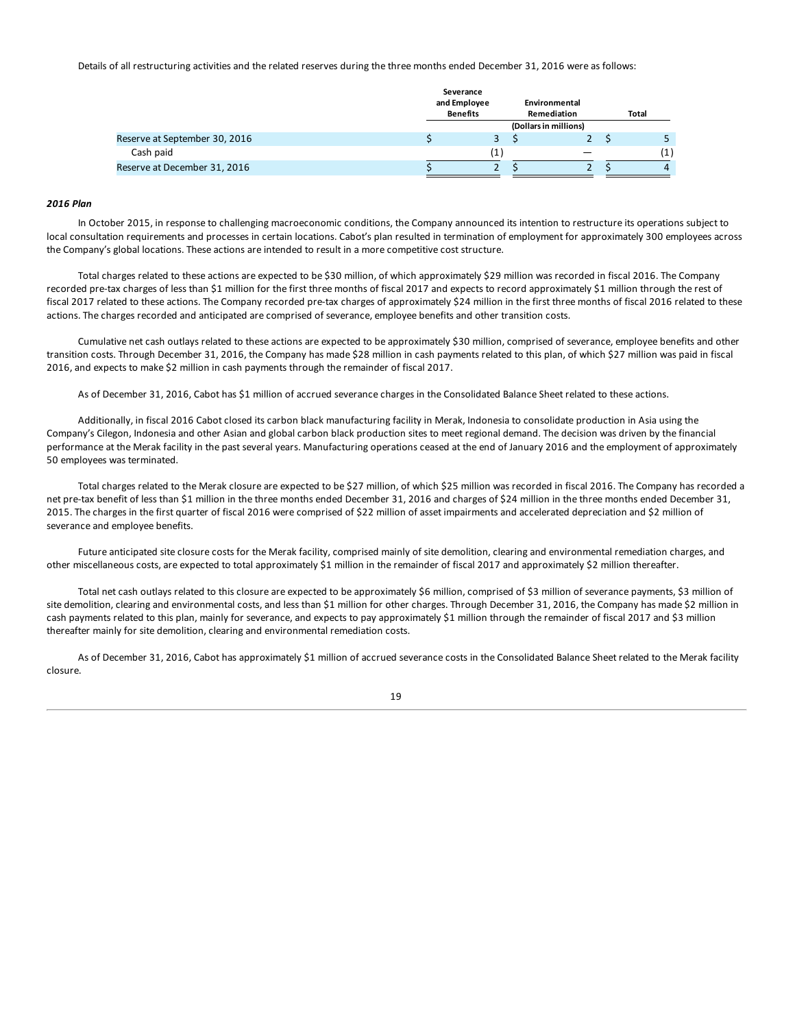Details of all restructuring activities and the related reserves during the three months ended December 31, 2016 were as follows:

|                               | Severance<br>and Employee<br><b>Benefits</b> | Environmental<br>Remediation | <b>Total</b> |
|-------------------------------|----------------------------------------------|------------------------------|--------------|
|                               |                                              | (Dollars in millions)        |              |
| Reserve at September 30, 2016 |                                              |                              |              |
| Cash paid                     |                                              |                              | (1)          |
| Reserve at December 31, 2016  |                                              |                              |              |

### *2016 Plan*

In October 2015, in response to challenging macroeconomic conditions, the Company announced its intention to restructure its operations subject to local consultation requirements and processes in certain locations. Cabot's plan resulted in termination of employment for approximately 300 employees across the Company's global locations. These actions are intended to result in a more competitive cost structure.

Total charges related to these actions are expected to be \$30 million, of which approximately \$29 million was recorded in fiscal 2016. The Company recorded pre-tax charges of less than \$1 million for the first three months of fiscal 2017 and expects to record approximately \$1 million through the rest of fiscal 2017 related to these actions. The Company recorded pre-tax charges of approximately \$24 million in the first three months of fiscal 2016 related to these actions. The charges recorded and anticipated are comprised of severance, employee benefits and other transition costs.

Cumulative net cash outlays related to these actions are expected to be approximately \$30 million, comprised of severance, employee benefits and other transition costs. Through December 31, 2016, the Company has made \$28 million in cash payments related to this plan, of which \$27 million was paid in fiscal 2016, and expects to make \$2 million in cash payments through the remainder of fiscal 2017.

As of December 31, 2016, Cabot has \$1 million of accrued severance charges in the Consolidated Balance Sheet related to these actions.

Additionally, in fiscal 2016 Cabot closed its carbon black manufacturing facility in Merak, Indonesia to consolidate production in Asia using the Company's Cilegon, Indonesia and other Asian and global carbon black production sites to meet regional demand. The decision was driven by the financial performance at the Merak facility in the past several years. Manufacturing operations ceased at the end of January 2016 and the employment of approximately 50 employees was terminated.

Total charges related to the Merak closure are expected to be \$27 million, of which \$25 million was recorded in fiscal 2016. The Company has recorded a net pre-tax benefit of less than \$1 million in the three months ended December 31, 2016 and charges of \$24 million in the three months ended December 31, 2015. The charges in the first quarter of fiscal 2016 were comprised of \$22 million of asset impairments and accelerated depreciation and \$2 million of severance and employee benefits.

Future anticipated site closure costs for the Merak facility, comprised mainly of site demolition, clearing and environmental remediation charges, and other miscellaneous costs, are expected to total approximately \$1 million in the remainder of fiscal 2017 and approximately \$2 million thereafter.

Total net cash outlays related to this closure are expected to be approximately \$6 million, comprised of \$3 million of severance payments, \$3 million of site demolition, clearing and environmental costs, and less than \$1 million for other charges. Through December 31, 2016, the Company has made \$2 million in cash payments related to this plan, mainly for severance, and expects to pay approximately \$1 million through the remainder of fiscal 2017 and \$3 million thereafter mainly for site demolition, clearing and environmental remediation costs.

As of December 31, 2016, Cabot has approximately \$1 million of accrued severance costs in the Consolidated Balance Sheet related to the Merak facility closure.

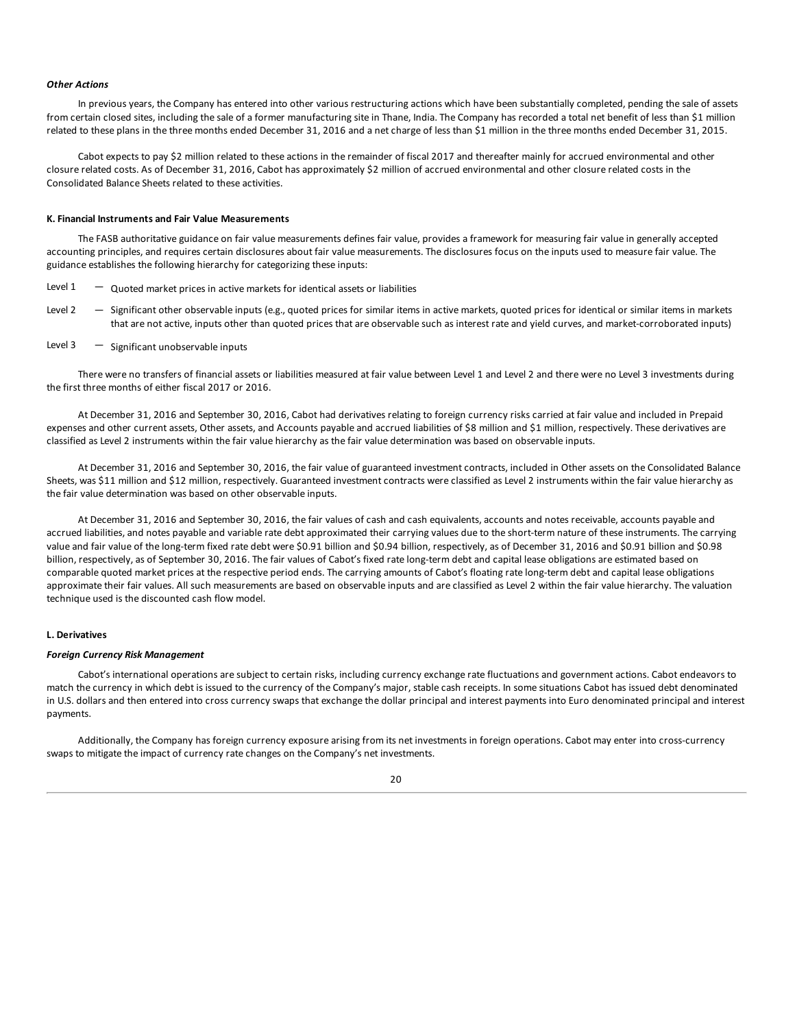#### *Other Actions*

In previous years, the Company has entered into other various restructuring actions which have been substantially completed, pending the sale of assets from certain closed sites, including the sale of a former manufacturing site in Thane, India. The Company has recorded a total net benefit of less than \$1 million related to these plans in the three months ended December 31, 2016 and a net charge of less than \$1 million in the three months ended December 31, 2015.

Cabot expects to pay \$2 million related to these actions in the remainder of fiscal 2017 and thereafter mainly for accrued environmental and other closure related costs. As of December 31, 2016, Cabot has approximately \$2 million of accrued environmental and other closure related costs in the Consolidated Balance Sheets related to these activities.

### **K. Financial Instruments and Fair Value Measurements**

The FASB authoritative guidance on fair value measurements defines fair value, provides a framework for measuring fair value in generally accepted accounting principles, and requires certain disclosures about fair value measurements. The disclosures focus on the inputs used to measure fair value. The guidance establishes the following hierarchy for categorizing these inputs:

- Level  $1 -$  Quoted market prices in active markets for identical assets or liabilities
- Level 2 Significant other observable inputs (e.g., quoted prices for similar items in active markets, quoted prices for identical or similar items in markets that are not active, inputs other than quoted prices that are observable such as interest rate and yield curves, and market-corroborated inputs)

### Level  $3 -$  Significant unobservable inputs

There were no transfers of financial assets or liabilities measured at fair value between Level 1 and Level 2 and there were no Level 3 investments during the first three months of either fiscal 2017 or 2016.

At December 31, 2016 and September 30, 2016, Cabot had derivatives relating to foreign currency risks carried at fair value and included in Prepaid expenses and other current assets, Other assets, and Accounts payable and accrued liabilities of \$8 million and \$1 million, respectively. These derivatives are classified as Level 2 instruments within the fair value hierarchy as the fair value determination was based on observable inputs.

At December 31, 2016 and September 30, 2016, the fair value of guaranteed investment contracts, included in Other assets on the Consolidated Balance Sheets, was \$11 million and \$12 million, respectively. Guaranteed investment contracts were classified as Level 2 instruments within the fair value hierarchy as the fair value determination was based on other observable inputs.

At December 31, 2016 and September 30, 2016, the fair values of cash and cash equivalents, accounts and notes receivable, accounts payable and accrued liabilities, and notes payable and variable rate debt approximated their carrying values due to the short-term nature of these instruments. The carrying value and fair value of the long-term fixed rate debt were \$0.91 billion and \$0.94 billion, respectively, as of December 31, 2016 and \$0.91 billion and \$0.98 billion, respectively, as of September 30, 2016. The fair values of Cabot's fixed rate long-term debt and capital lease obligations are estimated based on comparable quoted market prices at the respective period ends. The carrying amounts of Cabot's floating rate long-term debt and capital lease obligations approximate their fair values. All such measurements are based on observable inputs and are classified as Level 2 within the fair value hierarchy. The valuation technique used is the discounted cash flow model.

### **L. Derivatives**

### *Foreign Currency Risk Management*

Cabot's international operations are subject to certain risks, including currency exchange rate fluctuations and government actions. Cabot endeavors to match the currency in which debt is issued to the currency of the Company's major, stable cash receipts. In some situations Cabot has issued debt denominated in U.S. dollars and then entered into cross currency swaps that exchange the dollar principal and interest payments into Euro denominated principal and interest payments.

Additionally, the Company has foreign currency exposure arising from its net investments in foreign operations. Cabot may enter into cross-currency swaps to mitigate the impact of currency rate changes on the Company's net investments.

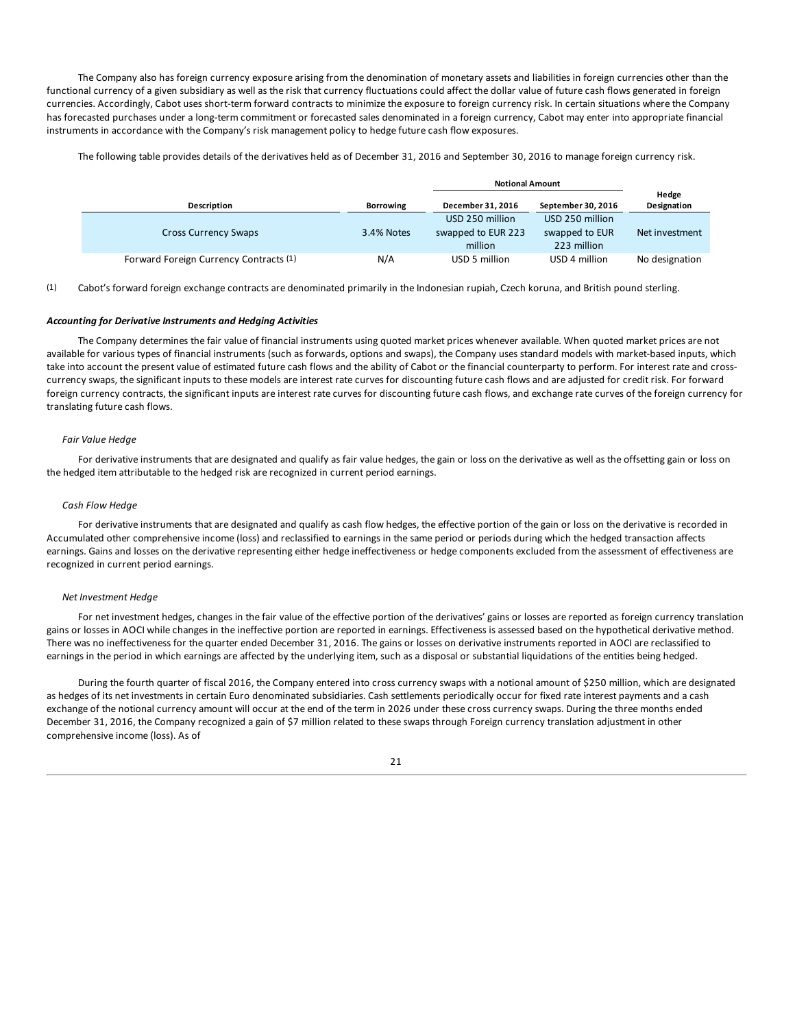The Company also has foreign currency exposure arising from the denomination of monetary assets and liabilities in foreign currencies other than the functional currency of a given subsidiary as well as the risk that currency fluctuations could affect the dollar value of future cash flows generated in foreign currencies. Accordingly, Cabot uses short-term forward contracts to minimize the exposure to foreign currency risk. In certain situations where the Company has forecasted purchases under a long-term commitment or forecasted sales denominated in a foreign currency, Cabot may enter into appropriate financial instruments in accordance with the Company's risk management policy to hedge future cash flow exposures.

The following table provides details of the derivatives held as of December 31, 2016 and September 30, 2016 to manage foreign currency risk.

|                                        |                  | <b>Notional Amount</b>                           |                                                  |                      |
|----------------------------------------|------------------|--------------------------------------------------|--------------------------------------------------|----------------------|
| Description                            | <b>Borrowing</b> | December 31, 2016                                | September 30, 2016                               | Hedge<br>Designation |
| <b>Cross Currency Swaps</b>            | 3.4% Notes       | USD 250 million<br>swapped to EUR 223<br>million | USD 250 million<br>swapped to EUR<br>223 million | Net investment       |
| Forward Foreign Currency Contracts (1) | N/A              | USD 5 million                                    | USD 4 million                                    | No designation       |

(1) Cabot's forward foreign exchange contracts are denominated primarily in the Indonesian rupiah, Czech koruna, and British pound sterling.

#### *Accounting for Derivative Instruments and Hedging Activities*

The Company determines the fair value of financial instruments using quoted market prices whenever available. When quoted market prices are not available for various types of financial instruments (such as forwards, options and swaps), the Company uses standard models with market-based inputs, which take into account the present value of estimated future cash flows and the ability of Cabot or the financial counterparty to perform. For interest rate and crosscurrency swaps, the significant inputs to these models are interest rate curves for discounting future cash flows and are adjusted for credit risk. For forward foreign currency contracts, the significant inputs are interest rate curves for discounting future cash flows, and exchange rate curves of the foreign currency for translating future cash flows.

### *Fair Value Hedge*

For derivative instruments that are designated and qualify as fair value hedges, the gain or loss on the derivative as well as the offsetting gain or loss on the hedged item attributable to the hedged risk are recognized in current period earnings.

### *Cash Flow Hedge*

For derivative instruments that are designated and qualify as cash flow hedges, the effective portion of the gain or loss on the derivative is recorded in Accumulated other comprehensive income (loss) and reclassified to earnings in the same period or periods during which the hedged transaction affects earnings. Gains and losses on the derivative representing either hedge ineffectiveness or hedge components excluded from the assessment of effectiveness are recognized in current period earnings.

### *Net Investment Hedge*

For net investment hedges, changes in the fair value of the effective portion of the derivatives' gains or losses are reported as foreign currency translation gains or losses in AOCI while changes in the ineffective portion are reported in earnings. Effectiveness is assessed based on the hypothetical derivative method. There was no ineffectiveness for the quarter ended December 31, 2016. The gains or losses on derivative instruments reported in AOCI are reclassified to earnings in the period in which earnings are affected by the underlying item, such as a disposal or substantial liquidations of the entities being hedged.

During the fourth quarter of fiscal 2016, the Company entered into cross currency swaps with a notional amount of \$250 million, which are designated as hedges of its net investments in certain Euro denominated subsidiaries. Cash settlements periodically occur for fixed rate interest payments and a cash exchange of the notional currency amount will occur at the end of the term in 2026 under these cross currency swaps. During the three months ended December 31, 2016, the Company recognized a gain of \$7 million related to these swaps through Foreign currency translation adjustment in other comprehensive income (loss). As of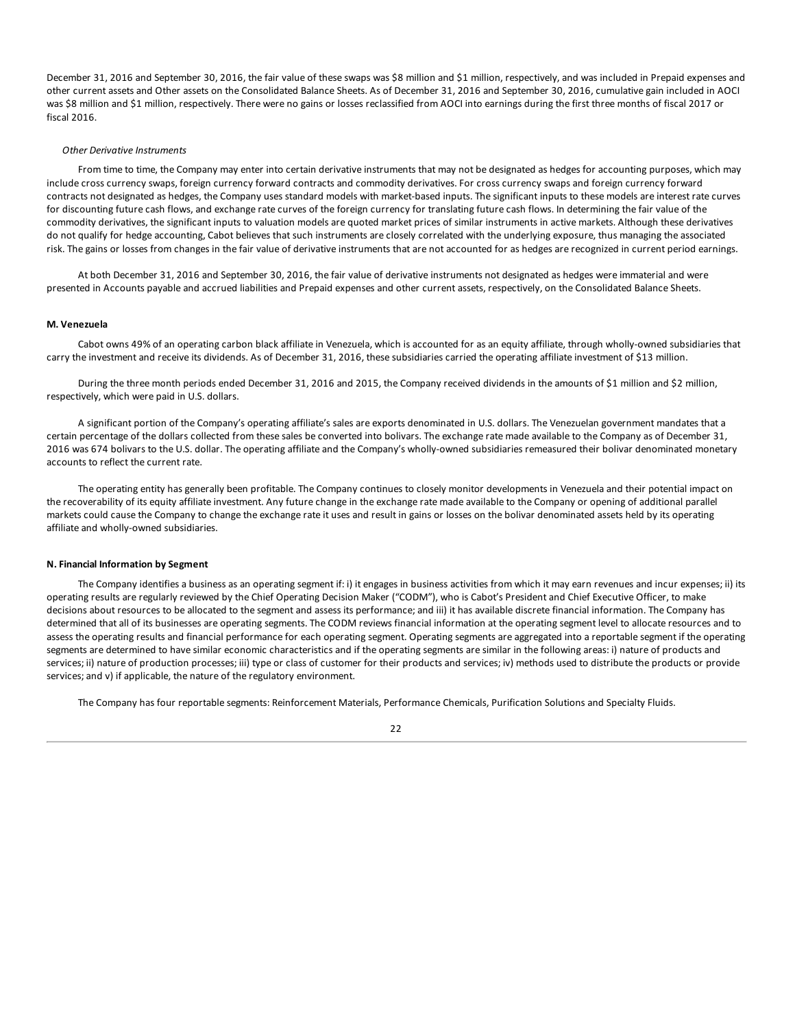December 31, 2016 and September 30, 2016, the fair value of these swaps was \$8 million and \$1 million, respectively, and was included in Prepaid expenses and other current assets and Other assets on the Consolidated Balance Sheets. As of December 31, 2016 and September 30, 2016, cumulative gain included in AOCI was \$8 million and \$1 million, respectively. There were no gains or losses reclassified from AOCI into earnings during the first three months of fiscal 2017 or fiscal 2016.

### *Other Derivative Instruments*

From time to time, the Company may enter into certain derivative instruments that may not be designated as hedges for accounting purposes, which may include cross currency swaps, foreign currency forward contracts and commodity derivatives. For cross currency swaps and foreign currency forward contracts not designated as hedges, the Company uses standard models with market-based inputs. The significant inputs to these models are interest rate curves for discounting future cash flows, and exchange rate curves of the foreign currency for translating future cash flows. In determining the fair value of the commodity derivatives, the significant inputs to valuation models are quoted market prices of similar instruments in active markets. Although these derivatives do not qualify for hedge accounting, Cabot believes that such instruments are closely correlated with the underlying exposure, thus managing the associated risk. The gains or losses from changes in the fair value of derivative instruments that are not accounted for as hedges are recognized in current period earnings.

At both December 31, 2016 and September 30, 2016, the fair value of derivative instruments not designated as hedges were immaterial and were presented in Accounts payable and accrued liabilities and Prepaid expenses and other current assets, respectively, on the Consolidated Balance Sheets.

#### **M. Venezuela**

Cabot owns 49% of an operating carbon black affiliate in Venezuela, which is accounted for as an equity affiliate, through wholly-owned subsidiaries that carry the investment and receive its dividends. As of December 31, 2016, these subsidiaries carried the operating affiliate investment of \$13 million.

During the three month periods ended December 31, 2016 and 2015, the Company received dividends in the amounts of \$1 million and \$2 million, respectively, which were paid in U.S. dollars.

A significant portion of the Company's operating affiliate's sales are exports denominated in U.S. dollars. The Venezuelan government mandates that a certain percentage of the dollars collected from these sales be converted into bolivars. The exchange rate made available to the Company as of December 31, 2016 was 674 bolivars to the U.S. dollar. The operating affiliate and the Company's wholly-owned subsidiaries remeasured their bolivar denominated monetary accounts to reflect the current rate.

The operating entity has generally been profitable. The Company continues to closely monitor developments in Venezuela and their potential impact on the recoverability of its equity affiliate investment. Any future change in the exchange rate made available to the Company or opening of additional parallel markets could cause the Company to change the exchange rate it uses and result in gains or losses on the bolivar denominated assets held by its operating affiliate and wholly-owned subsidiaries.

#### **N. Financial Information by Segment**

The Company identifies a business as an operating segment if: i) it engages in business activities from which it may earn revenues and incur expenses; ii) its operating results are regularly reviewed by the Chief Operating Decision Maker ("CODM"), who is Cabot's President and Chief Executive Officer, to make decisions about resources to be allocated to the segment and assess its performance; and iii) it has available discrete financial information. The Company has determined that all of its businesses are operating segments. The CODM reviews financial information at the operating segment level to allocate resources and to assess the operating results and financial performance for each operating segment. Operating segments are aggregated into a reportable segment if the operating segments are determined to have similar economic characteristics and if the operating segments are similar in the following areas: i) nature of products and services; ii) nature of production processes; iii) type or class of customer for their products and services; iv) methods used to distribute the products or provide services; and v) if applicable, the nature of the regulatory environment.

The Company has four reportable segments: Reinforcement Materials, Performance Chemicals, Purification Solutions and Specialty Fluids.

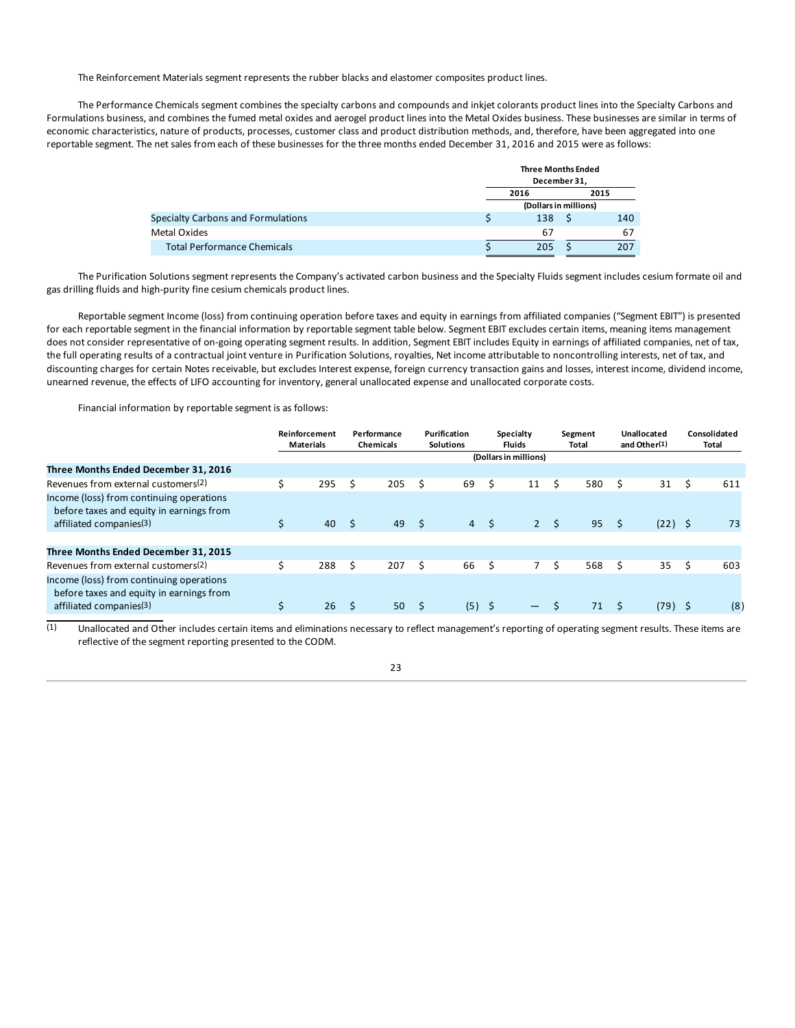The Reinforcement Materials segment represents the rubber blacks and elastomer composites product lines.

The Performance Chemicals segment combines the specialty carbons and compounds and inkjet colorants product lines into the Specialty Carbons and Formulations business, and combines the fumed metal oxides and aerogel product lines into the Metal Oxides business. These businesses are similar in terms of economic characteristics, nature of products, processes, customer class and product distribution methods, and, therefore, have been aggregated into one reportable segment. The net sales from each of these businesses for the three months ended December 31, 2016 and 2015 were as follows:

|                                    | <b>Three Months Ended</b><br>December 31, |  |     |  |  |  |
|------------------------------------|-------------------------------------------|--|-----|--|--|--|
|                                    | 2016<br>2015                              |  |     |  |  |  |
|                                    | (Dollars in millions)                     |  |     |  |  |  |
| Specialty Carbons and Formulations | 138                                       |  | 140 |  |  |  |
| Metal Oxides                       | 67                                        |  | 67  |  |  |  |
| <b>Total Performance Chemicals</b> | 205                                       |  | 207 |  |  |  |

The Purification Solutions segment represents the Company's activated carbon business and the Specialty Fluids segment includes cesium formate oil and gas drilling fluids and high-purity fine cesium chemicals product lines.

Reportable segment Income (loss) from continuing operation before taxes and equity in earnings from affiliated companies ("Segment EBIT") is presented for each reportable segment in the financial information by reportable segment table below. Segment EBIT excludes certain items, meaning items management does not consider representative of on-going operating segment results. In addition, Segment EBIT includes Equity in earnings of affiliated companies, net of tax, the full operating results of a contractual joint venture in Purification Solutions, royalties, Net income attributable to noncontrolling interests, net of tax, and discounting charges for certain Notes receivable, but excludes Interest expense, foreign currency transaction gains and losses, interest income, dividend income, unearned revenue, the effects of LIFO accounting for inventory, general unallocated expense and unallocated corporate costs.

Financial information by reportable segment is as follows:

|                                                                                                                             | Reinforcement<br><b>Materials</b> |     | Performance<br><b>Chemicals</b> |      | Purification<br><b>Solutions</b> |      | <b>Specialty</b><br><b>Fluids</b> |    | Segment<br>Total |    | Unallocated<br>and Other(1) |   | Consolidated<br>Total |
|-----------------------------------------------------------------------------------------------------------------------------|-----------------------------------|-----|---------------------------------|------|----------------------------------|------|-----------------------------------|----|------------------|----|-----------------------------|---|-----------------------|
|                                                                                                                             |                                   |     |                                 |      |                                  |      | (Dollars in millions)             |    |                  |    |                             |   |                       |
| Three Months Ended December 31, 2016                                                                                        |                                   |     |                                 |      |                                  |      |                                   |    |                  |    |                             |   |                       |
| Revenues from external customers(2)                                                                                         | 295                               | Ś   | 205                             | Ś.   | 69                               | \$   | 11                                | Ŝ. | 580              | Ś  | 31                          | S | 611                   |
| Income (loss) from continuing operations<br>before taxes and equity in earnings from<br>affiliated companies <sup>(3)</sup> | 40                                | - Ś | 49                              | - \$ | $\overline{4}$                   | - \$ | $2^{\circ}$                       | -Ś | 95               | Ŝ. | $(22)$ \$                   |   | 73                    |
|                                                                                                                             |                                   |     |                                 |      |                                  |      |                                   |    |                  |    |                             |   |                       |
| Three Months Ended December 31, 2015                                                                                        |                                   |     |                                 |      |                                  |      |                                   |    |                  |    |                             |   |                       |
| Revenues from external customers(2)                                                                                         | 288                               | Ŝ.  | 207                             | Ŝ.   | 66                               | Ŝ.   | $7^{\circ}$                       | .s | 568              | Ś  | 35                          | Ŝ | 603                   |
| Income (loss) from continuing operations<br>before taxes and equity in earnings from<br>affiliated companies <sup>(3)</sup> | 26                                |     | 50                              |      | (5)                              |      | —                                 |    | 71               |    | (79)                        |   | (8)                   |
|                                                                                                                             |                                   |     |                                 |      |                                  |      |                                   |    |                  |    |                             |   |                       |

 $(1)$  Unallocated and Other includes certain items and eliminations necessary to reflect management's reporting of operating segment results. These items are reflective of the segment reporting presented to the CODM.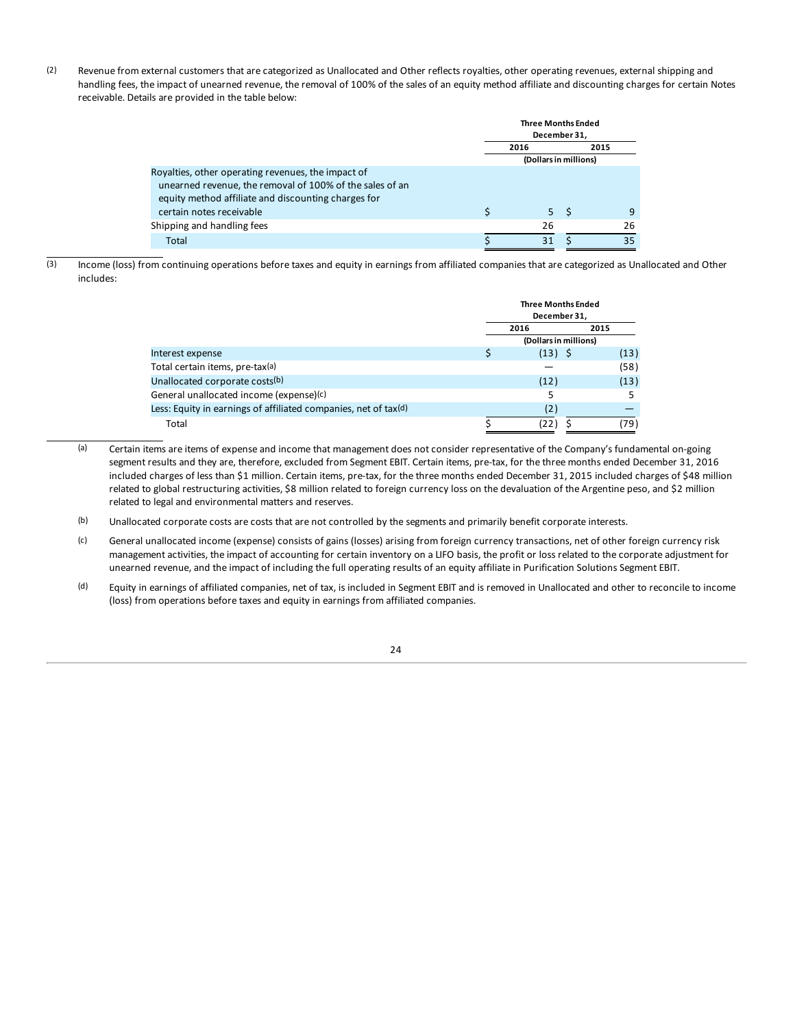(2) Revenue from external customers that are categorized as Unallocated and Other reflects royalties, other operating revenues, external shipping and handling fees, the impact of unearned revenue, the removal of 100% of the sales of an equity method affiliate and discounting charges for certain Notes receivable. Details are provided in the table below:

|                                                          | <b>Three Months Ended</b><br>December 31, |                       |                |    |  |  |
|----------------------------------------------------------|-------------------------------------------|-----------------------|----------------|----|--|--|
|                                                          |                                           | 2015<br>2016          |                |    |  |  |
|                                                          |                                           | (Dollars in millions) |                |    |  |  |
| Royalties, other operating revenues, the impact of       |                                           |                       |                |    |  |  |
| unearned revenue, the removal of 100% of the sales of an |                                           |                       |                |    |  |  |
| equity method affiliate and discounting charges for      |                                           |                       |                |    |  |  |
| certain notes receivable                                 | S                                         |                       | 5 <sup>5</sup> | q  |  |  |
| Shipping and handling fees                               |                                           | 26                    |                | 26 |  |  |
| Total                                                    |                                           | 31                    |                | 35 |  |  |

 $\overline{3}$  Income (loss) from continuing operations before taxes and equity in earnings from affiliated companies that are categorized as Unallocated and Other includes:

|                                                                 |                       | <b>Three Months Ended</b><br>December 31, |  |      |  |
|-----------------------------------------------------------------|-----------------------|-------------------------------------------|--|------|--|
|                                                                 |                       | 2016<br>2015                              |  |      |  |
|                                                                 | (Dollars in millions) |                                           |  |      |  |
| Interest expense                                                |                       | $(13)$ \$                                 |  | (13) |  |
| Total certain items, pre-tax(a)                                 |                       |                                           |  | (58) |  |
| Unallocated corporate costs(b)                                  |                       | (12)                                      |  | (13) |  |
| General unallocated income (expense)(c)                         |                       |                                           |  |      |  |
| Less: Equity in earnings of affiliated companies, net of tax(d) |                       | (2)                                       |  |      |  |
| Total                                                           |                       | 122                                       |  | (79) |  |

(a) Certain items are items of expense and income that management does not consider representative of the Company's fundamental on-going segment results and they are, therefore, excluded from Segment EBIT. Certain items, pre-tax, for the three months ended December 31, 2016 included charges of less than \$1 million. Certain items, pre-tax, for the three months ended December 31, 2015 included charges of \$48 million related to global restructuring activities, \$8 million related to foreign currency loss on the devaluation of the Argentine peso, and \$2 million related to legal and environmental matters and reserves.

(b) Unallocated corporate costs are costs that are not controlled by the segments and primarily benefit corporate interests.

- (c) General unallocated income (expense) consists of gains (losses) arising from foreign currency transactions, net of other foreign currency risk management activities, the impact of accounting for certain inventory on a LIFO basis, the profit or loss related to the corporate adjustment for unearned revenue, and the impact of including the full operating results of an equity affiliate in Purification Solutions Segment EBIT.
- (d) Equity in earnings of affiliated companies, net of tax, is included in Segment EBIT and is removed in Unallocated and other to reconcile to income (loss) from operations before taxes and equity in earnings from affiliated companies.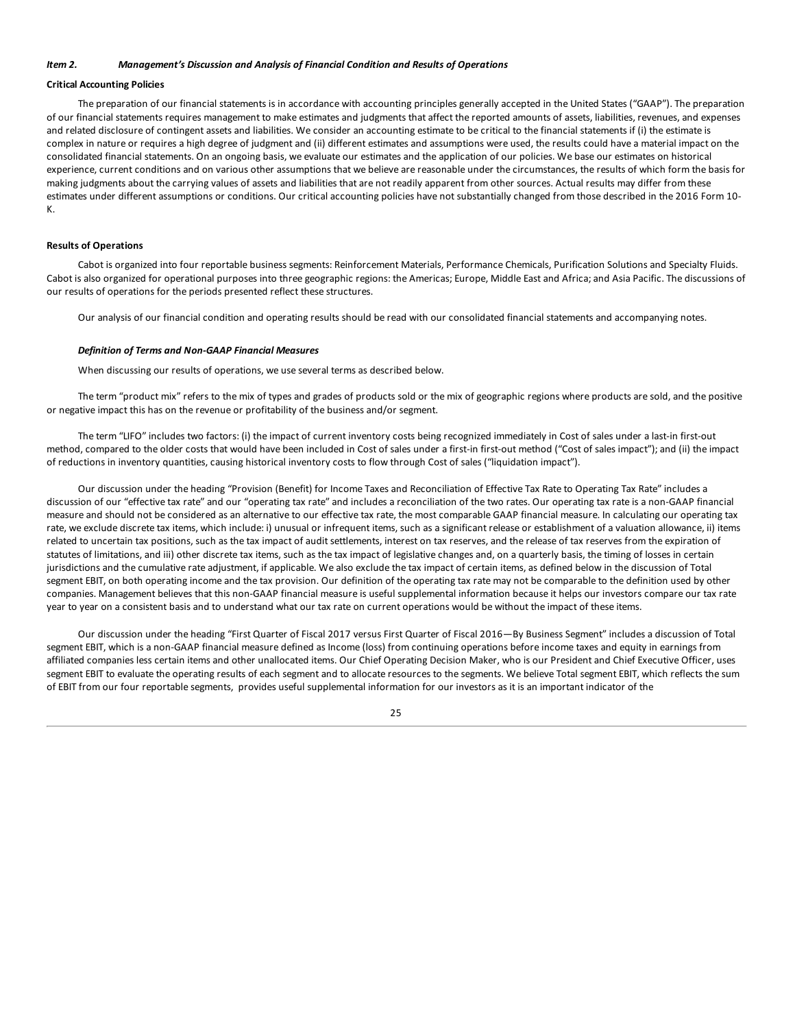### <span id="page-24-0"></span>*Item 2. Management's Discussion and Analysis of Financial Condition and Results of Operations*

### **Critical Accounting Policies**

The preparation of our financial statements is in accordance with accounting principles generally accepted in the United States ("GAAP"). The preparation of our financial statements requires management to make estimates and judgments that affect the reported amounts of assets, liabilities, revenues, and expenses and related disclosure of contingent assets and liabilities. We consider an accounting estimate to be critical to the financial statements if (i) the estimate is complex in nature or requires a high degree of judgment and (ii) different estimates and assumptions were used, the results could have a material impact on the consolidated financial statements. On an ongoing basis, we evaluate our estimates and the application of our policies. We base our estimates on historical experience, current conditions and on various other assumptions that we believe are reasonable under the circumstances, the results of which form the basis for making judgments about the carrying values of assets and liabilities that are not readily apparent from other sources. Actual results may differ from these estimates under different assumptions or conditions. Our critical accounting policies have not substantially changed from those described in the 2016 Form 10- K.

#### **Results of Operations**

Cabot is organized into four reportable business segments: Reinforcement Materials, Performance Chemicals, Purification Solutions and Specialty Fluids. Cabot is also organized for operational purposes into three geographic regions: the Americas; Europe, Middle East and Africa; and Asia Pacific. The discussions of our results of operations for the periods presented reflect these structures.

Our analysis of our financial condition and operating results should be read with our consolidated financial statements and accompanying notes.

#### *Definition of Terms and Non-GAAP Financial Measures*

When discussing our results of operations, we use several terms as described below.

The term "product mix" refers to the mix of types and grades of products sold or the mix of geographic regions where products are sold, and the positive or negative impact this has on the revenue or profitability of the business and/or segment.

The term "LIFO" includes two factors: (i) the impact of current inventory costs being recognized immediately in Cost of sales under a last-in first-out method, compared to the older costs that would have been included in Cost of sales under a first-in first-out method ("Cost of sales impact"); and (ii) the impact of reductions in inventory quantities, causing historical inventory costs to flow through Cost of sales ("liquidation impact").

Our discussion under the heading "Provision (Benefit) for Income Taxes and Reconciliation of Effective Tax Rate to Operating Tax Rate" includes a discussion of our "effective tax rate" and our "operating tax rate" and includes a reconciliation of the two rates. Our operating tax rate is a non-GAAP financial measure and should not be considered as an alternative to our effective tax rate, the most comparable GAAP financial measure. In calculating our operating tax rate, we exclude discrete tax items, which include: i) unusual or infrequent items, such as a significant release or establishment of a valuation allowance, ii) items related to uncertain tax positions, such as the tax impact of audit settlements, interest on tax reserves, and the release of tax reserves from the expiration of statutes of limitations, and iii) other discrete tax items, such as the tax impact of legislative changes and, on a quarterly basis, the timing of losses in certain jurisdictions and the cumulative rate adjustment, if applicable. We also exclude the tax impact of certain items, as defined below in the discussion of Total segment EBIT, on both operating income and the tax provision. Our definition of the operating tax rate may not be comparable to the definition used by other companies. Management believes that this non-GAAP financial measure is useful supplemental information because it helps our investors compare our tax rate year to year on a consistent basis and to understand what our tax rate on current operations would be without the impact of these items.

Our discussion under the heading "First Quarter of Fiscal 2017 versus First Quarter of Fiscal 2016—By Business Segment" includes a discussion of Total segment EBIT, which is a non-GAAP financial measure defined as Income (loss) from continuing operations before income taxes and equity in earnings from affiliated companies less certain items and other unallocated items. Our Chief Operating Decision Maker, who is our President and Chief Executive Officer, uses segment EBIT to evaluate the operating results of each segment and to allocate resources to the segments. We believe Total segment EBIT, which reflects the sum of EBIT from our four reportable segments, provides useful supplemental information for our investors as it is an important indicator of the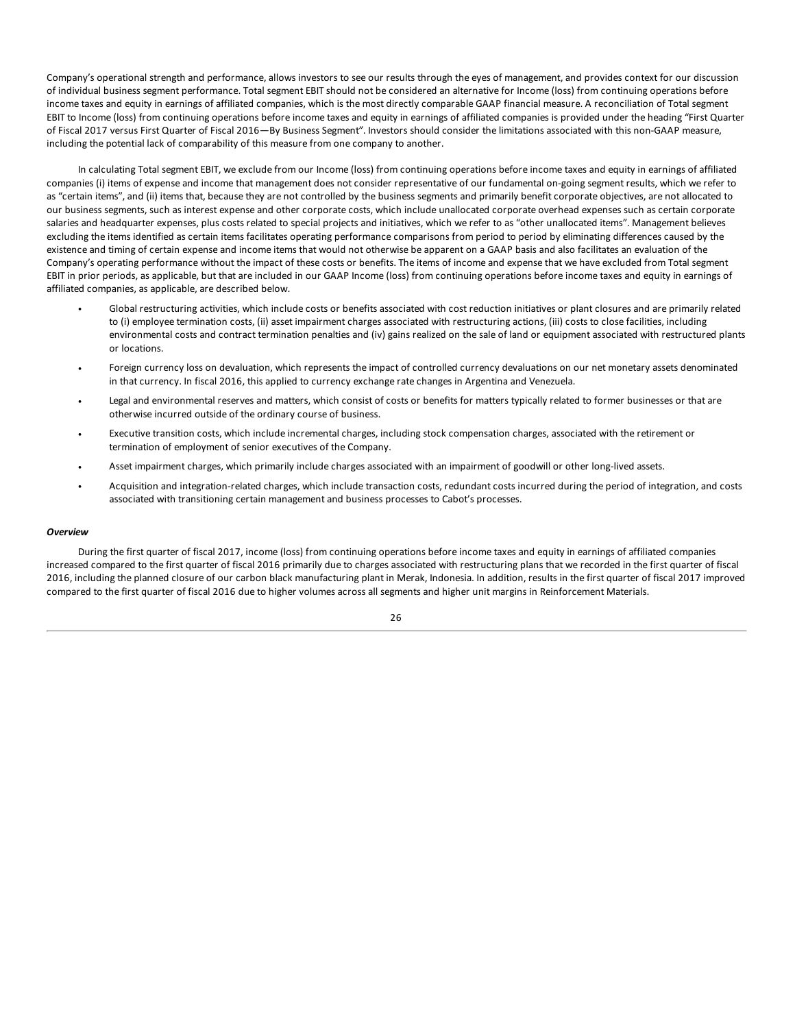Company's operational strength and performance, allows investors to see our results through the eyes of management, and provides context for our discussion of individual business segment performance. Total segment EBIT should not be considered an alternative for Income (loss) from continuing operations before income taxes and equity in earnings of affiliated companies, which is the most directly comparable GAAP financial measure. A reconciliation of Total segment EBIT to Income (loss) from continuing operations before income taxes and equity in earnings of affiliated companies is provided under the heading "First Quarter of Fiscal 2017 versus First Quarter of Fiscal 2016—By Business Segment". Investors should consider the limitations associated with this non-GAAP measure, including the potential lack of comparability of this measure from one company to another.

In calculating Total segment EBIT, we exclude from our Income (loss) from continuing operations before income taxes and equity in earnings of affiliated companies (i) items of expense and income that management does not consider representative of our fundamental on-going segment results, which we refer to as "certain items", and (ii) items that, because they are not controlled by the business segments and primarily benefit corporate objectives, are not allocated to our business segments, such as interest expense and other corporate costs, which include unallocated corporate overhead expenses such as certain corporate salaries and headquarter expenses, plus costs related to special projects and initiatives, which we refer to as "other unallocated items". Management believes excluding the items identified as certain items facilitates operating performance comparisons from period to period by eliminating differences caused by the existence and timing of certain expense and income items that would not otherwise be apparent on a GAAP basis and also facilitates an evaluation of the Company's operating performance without the impact of these costs or benefits. The items of income and expense that we have excluded from Total segment EBIT in prior periods, as applicable, but that are included in our GAAP Income (loss) from continuing operations before income taxes and equity in earnings of affiliated companies, as applicable, are described below.

- Global restructuring activities, which include costs or benefits associated with cost reduction initiatives or plant closures and are primarily related to (i) employee termination costs, (ii) asset impairment charges associated with restructuring actions, (iii) costs to close facilities, including environmental costs and contract termination penalties and (iv) gains realized on the sale of land or equipment associated with restructured plants or locations.
- Foreign currency loss on devaluation, which represents the impact of controlled currency devaluations on our net monetary assets denominated in that currency. In fiscal 2016, this applied to currency exchange rate changes in Argentina and Venezuela.
- Legal and environmental reserves and matters, which consist of costs or benefits for matters typically related to former businesses or that are otherwise incurred outside of the ordinary course of business.
- Executive transition costs, which include incremental charges, including stock compensation charges, associated with the retirement or termination of employment of senior executives of the Company.
- Asset impairment charges, which primarily include charges associated with an impairment of goodwill or other long-lived assets.
- Acquisition and integration-related charges, which include transaction costs, redundant costs incurred during the period of integration, and costs associated with transitioning certain management and business processes to Cabot's processes.

#### *Overview*

During the first quarter of fiscal 2017, income (loss) from continuing operations before income taxes and equity in earnings of affiliated companies increased compared to the first quarter of fiscal 2016 primarily due to charges associated with restructuring plans that we recorded in the first quarter of fiscal 2016, including the planned closure of our carbon black manufacturing plant in Merak, Indonesia. In addition, results in the first quarter of fiscal 2017 improved compared to the first quarter of fiscal 2016 due to higher volumes across all segments and higher unit margins in Reinforcement Materials.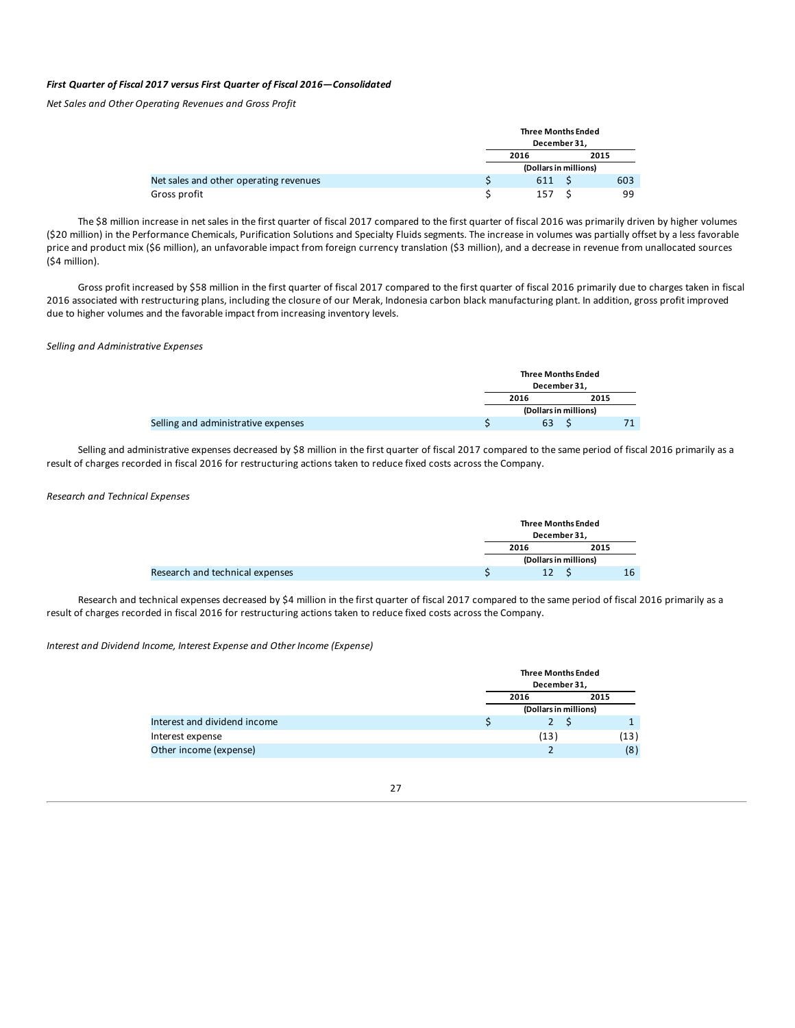### *First Quarter of Fiscal 2017 versus First Quarter of Fiscal 2016—Consolidated*

*Net Sales and Other Operating Revenues and Gross Profit*

|                                        | <b>Three Months Ended</b><br>December 31, |      |
|----------------------------------------|-------------------------------------------|------|
|                                        | 2016                                      | 2015 |
|                                        | (Dollars in millions)                     |      |
| Net sales and other operating revenues | 611                                       | 603  |
| Gross profit                           | 157                                       | 99   |

The \$8 million increase in net sales in the first quarter of fiscal 2017 compared to the first quarter of fiscal 2016 was primarily driven by higher volumes (\$20 million) in the Performance Chemicals, Purification Solutions and Specialty Fluids segments. The increase in volumes was partially offset by a less favorable price and product mix (\$6 million), an unfavorable impact from foreign currency translation (\$3 million), and a decrease in revenue from unallocated sources (\$4 million).

Gross profit increased by \$58 million in the first quarter of fiscal 2017 compared to the first quarter of fiscal 2016 primarily due to charges taken in fiscal 2016 associated with restructuring plans, including the closure of our Merak, Indonesia carbon black manufacturing plant. In addition, gross profit improved due to higher volumes and the favorable impact from increasing inventory levels.

### *Selling and Administrative Expenses*

|                                     | <b>Three Months Ended</b> | December 31, |  |
|-------------------------------------|---------------------------|--------------|--|
|                                     | 2016<br>2015              |              |  |
|                                     | (Dollars in millions)     |              |  |
| Selling and administrative expenses | 63                        |              |  |

Selling and administrative expenses decreased by \$8 million in the first quarter of fiscal 2017 compared to the same period of fiscal 2016 primarily as a result of charges recorded in fiscal 2016 for restructuring actions taken to reduce fixed costs across the Company.

#### *Research and Technical Expenses*

|                                 | <b>Three Months Ended</b><br>December 31. |  |      |
|---------------------------------|-------------------------------------------|--|------|
|                                 | 2016                                      |  | 2015 |
|                                 | (Dollars in millions)                     |  |      |
| Research and technical expenses | 12                                        |  | 16   |

Research and technical expenses decreased by \$4 million in the first quarter of fiscal 2017 compared to the same period of fiscal 2016 primarily as a result of charges recorded in fiscal 2016 for restructuring actions taken to reduce fixed costs across the Company.

### *Interest and Dividend Income, Interest Expense and Other Income (Expense)*

|                              | <b>Three Months Ended</b><br>December 31. |      |      |
|------------------------------|-------------------------------------------|------|------|
|                              | 2016                                      | 2015 |      |
|                              | (Dollars in millions)                     |      |      |
| Interest and dividend income | 2 S                                       |      |      |
| Interest expense             | (13)                                      |      | (13) |
| Other income (expense)       |                                           |      | (8)  |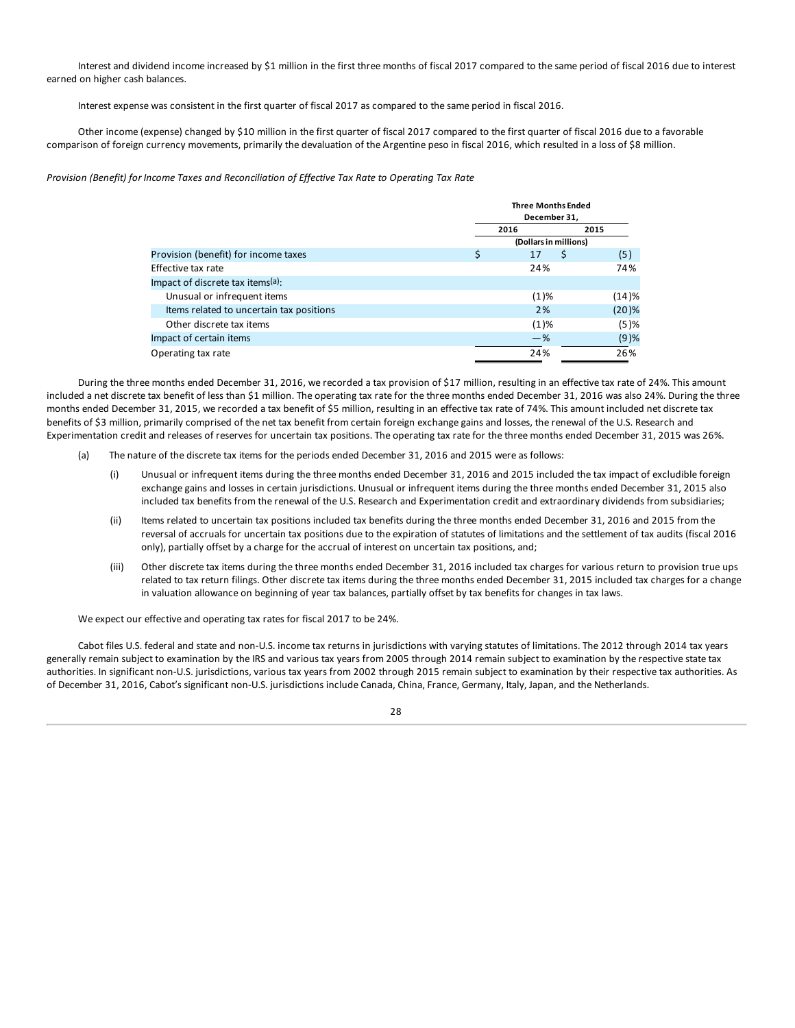Interest and dividend income increased by \$1 million in the first three months of fiscal 2017 compared to the same period of fiscal 2016 due to interest earned on higher cash balances.

Interest expense was consistent in the first quarter of fiscal 2017 as compared to the same period in fiscal 2016.

Other income (expense) changed by \$10 million in the first quarter of fiscal 2017 compared to the first quarter of fiscal 2016 due to a favorable comparison of foreign currency movements, primarily the devaluation of the Argentine peso in fiscal 2016, which resulted in a loss of \$8 million.

*Provision (Benefit) for Income Taxes and Reconciliation of Effective Tax Rate to Operating Tax Rate*

|                                          |      | <b>Three Months Ended</b><br>December 31, |         |  |  |
|------------------------------------------|------|-------------------------------------------|---------|--|--|
|                                          | 2016 |                                           | 2015    |  |  |
|                                          |      | (Dollars in millions)                     |         |  |  |
| Provision (benefit) for income taxes     | \$   | \$<br>17                                  | (5)     |  |  |
| Effective tax rate                       |      | 24%                                       | 74%     |  |  |
| Impact of discrete tax items(a):         |      |                                           |         |  |  |
| Unusual or infrequent items              |      | $(1)\%$                                   | (14)%   |  |  |
| Items related to uncertain tax positions |      | 2%                                        | (20)%   |  |  |
| Other discrete tax items                 |      | $(1)\%$                                   | (5)%    |  |  |
| Impact of certain items                  |      | $-$ %                                     | $(9)$ % |  |  |
| Operating tax rate                       |      | 24%                                       | 26%     |  |  |

During the three months ended December 31, 2016, we recorded a tax provision of \$17 million, resulting in an effective tax rate of 24%. This amount included a net discrete tax benefit of less than \$1 million. The operating tax rate for the three months ended December 31, 2016 was also 24%. During the three months ended December 31, 2015, we recorded a tax benefit of \$5 million, resulting in an effective tax rate of 74%. This amount included net discrete tax benefits of \$3 million, primarily comprised of the net tax benefit from certain foreign exchange gains and losses, the renewal of the U.S. Research and Experimentation credit and releases of reserves for uncertain tax positions. The operating tax rate for the three months ended December 31, 2015 was 26%.

- (a) The nature of the discrete tax items for the periods ended December 31, 2016 and 2015 were as follows:
	- (i) Unusual or infrequent items during the three months ended December 31, 2016 and 2015 included the tax impact of excludible foreign exchange gains and losses in certain jurisdictions. Unusual or infrequent items during the three months ended December 31, 2015 also included tax benefits from the renewal of the U.S. Research and Experimentation credit and extraordinary dividends from subsidiaries;
	- (ii) Items related to uncertain tax positions included tax benefits during the three months ended December 31, 2016 and 2015 from the reversal of accruals for uncertain tax positions due to the expiration of statutes of limitations and the settlement of tax audits (fiscal 2016 only), partially offset by a charge for the accrual of interest on uncertain tax positions, and;
	- (iii) Other discrete tax items during the three months ended December 31, 2016 included tax charges for various return to provision true ups related to tax return filings. Other discrete tax items during the three months ended December 31, 2015 included tax charges for a change in valuation allowance on beginning of year tax balances, partially offset by tax benefits for changes in tax laws.

We expect our effective and operating tax rates for fiscal 2017 to be 24%.

Cabot files U.S. federal and state and non-U.S. income tax returns in jurisdictions with varying statutes of limitations. The 2012 through 2014 tax years generally remain subject to examination by the IRS and various tax years from 2005 through 2014 remain subject to examination by the respective state tax authorities. In significant non-U.S. jurisdictions, various tax years from 2002 through 2015 remain subject to examination by their respective tax authorities. As of December 31, 2016, Cabot's significant non-U.S. jurisdictions include Canada, China, France, Germany, Italy, Japan, and the Netherlands.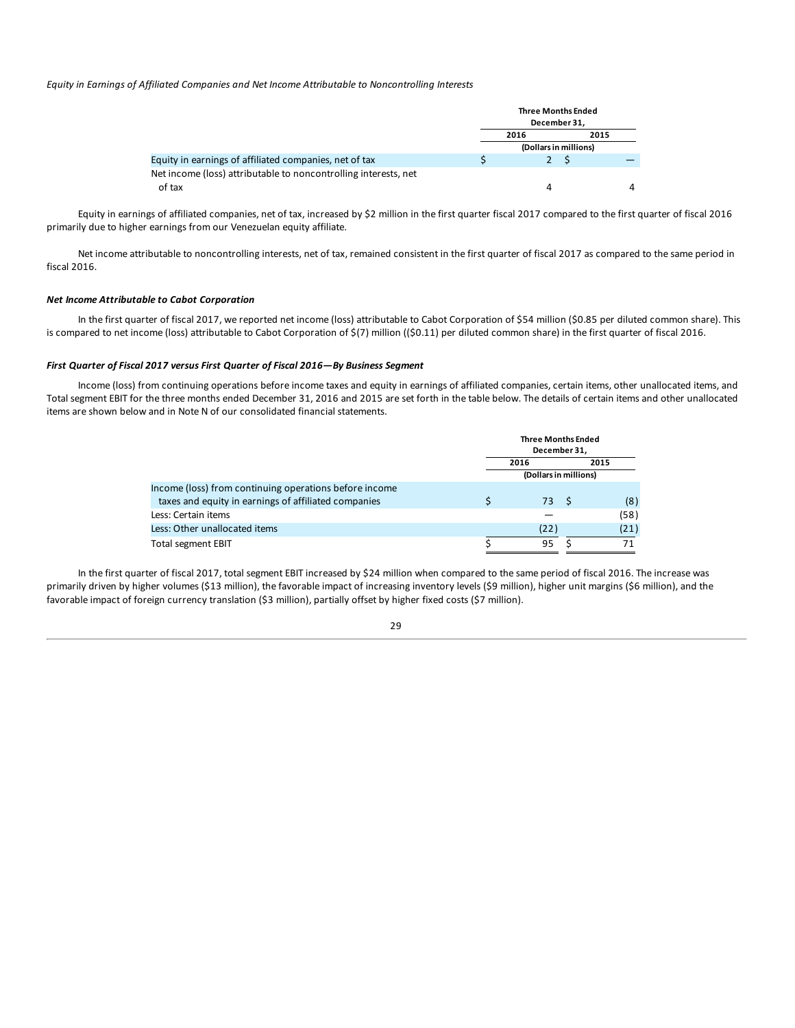*Equity in Earnings of Affiliated Companies and Net Income Attributable to Noncontrolling Interests*

|                                                                 |      | <b>Three Months Ended</b><br>December 31. |  |
|-----------------------------------------------------------------|------|-------------------------------------------|--|
|                                                                 | 2016 | 2015                                      |  |
|                                                                 |      | (Dollars in millions)                     |  |
| Equity in earnings of affiliated companies, net of tax          |      |                                           |  |
| Net income (loss) attributable to noncontrolling interests, net |      |                                           |  |
| of tax                                                          |      | Δ                                         |  |

Equity in earnings of affiliated companies, net of tax, increased by \$2 million in the first quarter fiscal 2017 compared to the first quarter of fiscal 2016 primarily due to higher earnings from our Venezuelan equity affiliate.

Net income attributable to noncontrolling interests, net of tax, remained consistent in the first quarter of fiscal 2017 as compared to the same period in fiscal 2016.

### *Net Income Attributable to Cabot Corporation*

In the first quarter of fiscal 2017, we reported net income (loss) attributable to Cabot Corporation of \$54 million (\$0.85 per diluted common share). This is compared to net income (loss) attributable to Cabot Corporation of \$(7) million ((\$0.11) per diluted common share) in the first quarter of fiscal 2016.

### *First Quarter of Fiscal 2017 versus First Quarter of Fiscal 2016—By Business Segment*

Income (loss) from continuing operations before income taxes and equity in earnings of affiliated companies, certain items, other unallocated items, and Total segment EBIT for the three months ended December 31, 2016 and 2015 are set forth in the table below. The details of certain items and other unallocated items are shown below and in Note N of our consolidated financial statements.

|                                                        | <b>Three Months Ended</b>    |  |      |  |
|--------------------------------------------------------|------------------------------|--|------|--|
|                                                        | December 31,<br>2016<br>2015 |  |      |  |
|                                                        | (Dollars in millions)        |  |      |  |
| Income (loss) from continuing operations before income |                              |  |      |  |
| taxes and equity in earnings of affiliated companies   | 73                           |  | (8)  |  |
| Less: Certain items                                    |                              |  | (58) |  |
| Less: Other unallocated items                          | (22)                         |  | (21) |  |
| Total segment EBIT                                     | 95                           |  |      |  |

In the first quarter of fiscal 2017, total segment EBIT increased by \$24 million when compared to the same period of fiscal 2016. The increase was primarily driven by higher volumes (\$13 million), the favorable impact of increasing inventory levels (\$9 million), higher unit margins (\$6 million), and the favorable impact of foreign currency translation (\$3 million), partially offset by higher fixed costs (\$7 million).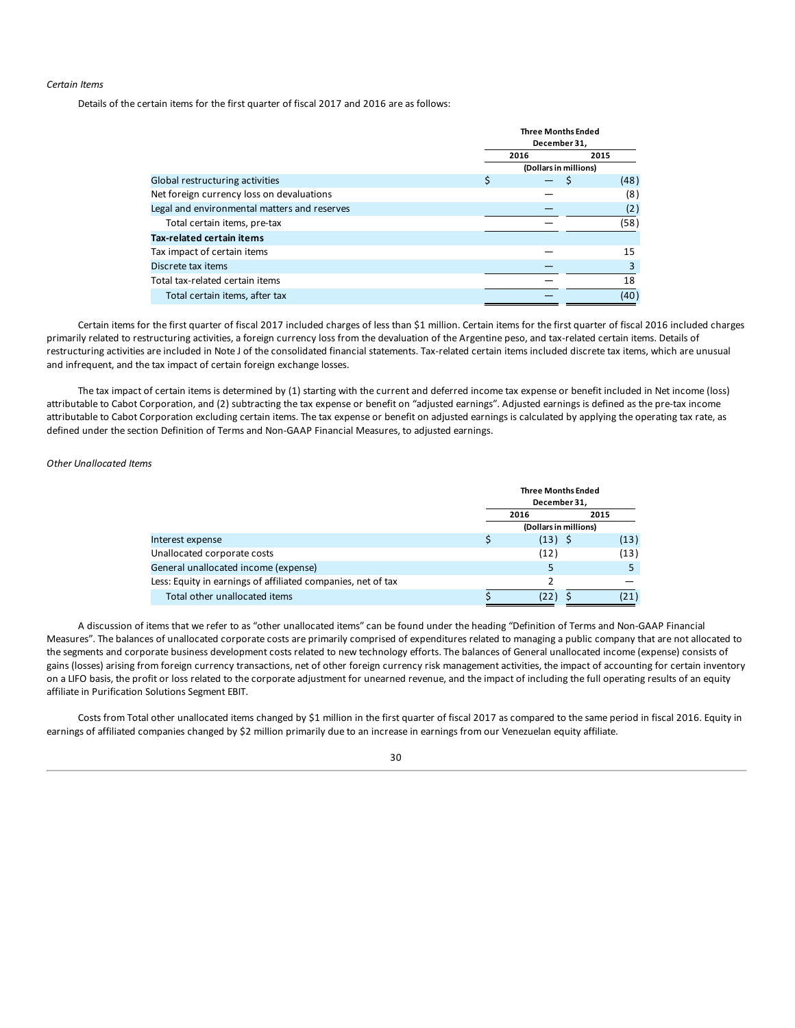### *Certain Items*

Details of the certain items for the first quarter of fiscal 2017 and 2016 are as follows:

|                                              | <b>Three Months Ended</b><br>December 31, |  |      |  |
|----------------------------------------------|-------------------------------------------|--|------|--|
|                                              | 2016<br>2015                              |  |      |  |
|                                              | (Dollars in millions)                     |  |      |  |
| Global restructuring activities              | \$                                        |  | (48) |  |
| Net foreign currency loss on devaluations    |                                           |  | (8)  |  |
| Legal and environmental matters and reserves |                                           |  | (2)  |  |
| Total certain items, pre-tax                 |                                           |  | (58) |  |
| Tax-related certain items                    |                                           |  |      |  |
| Tax impact of certain items                  |                                           |  | 15   |  |
| Discrete tax items                           |                                           |  | 3    |  |
| Total tax-related certain items              |                                           |  | 18   |  |
| Total certain items, after tax               |                                           |  | (40) |  |

Certain items for the first quarter of fiscal 2017 included charges of less than \$1 million. Certain items for the first quarter of fiscal 2016 included charges primarily related to restructuring activities, a foreign currency loss from the devaluation of the Argentine peso, and tax-related certain items. Details of restructuring activities are included in Note J of the consolidated financial statements. Tax-related certain items included discrete tax items, which are unusual and infrequent, and the tax impact of certain foreign exchange losses.

The tax impact of certain items is determined by (1) starting with the current and deferred income tax expense or benefit included in Net income (loss) attributable to Cabot Corporation, and (2) subtracting the tax expense or benefit on "adjusted earnings". Adjusted earnings is defined as the pre-tax income attributable to Cabot Corporation excluding certain items. The tax expense or benefit on adjusted earnings is calculated by applying the operating tax rate, as defined under the section Definition of Terms and Non-GAAP Financial Measures, to adjusted earnings.

*Other Unallocated Items*

|                                                              | <b>Three Months Ended</b><br>December 31, |           |      |  |
|--------------------------------------------------------------|-------------------------------------------|-----------|------|--|
|                                                              | 2016<br>2015                              |           |      |  |
|                                                              | (Dollars in millions)                     |           |      |  |
| Interest expense                                             |                                           | $(13)$ \$ | (13) |  |
| Unallocated corporate costs                                  |                                           | (12)      | (13) |  |
| General unallocated income (expense)                         |                                           |           |      |  |
| Less: Equity in earnings of affiliated companies, net of tax |                                           |           |      |  |
| Total other unallocated items                                |                                           |           | (21) |  |

A discussion of items that we refer to as "other unallocated items" can be found under the heading "Definition of Terms and Non-GAAP Financial Measures". The balances of unallocated corporate costs are primarily comprised of expenditures related to managing a public company that are not allocated to the segments and corporate business development costs related to new technology efforts. The balances of General unallocated income (expense) consists of gains (losses) arising from foreign currency transactions, net of other foreign currency risk management activities, the impact of accounting for certain inventory on a LIFO basis, the profit or loss related to the corporate adjustment for unearned revenue, and the impact of including the full operating results of an equity affiliate in Purification Solutions Segment EBIT.

Costs from Total other unallocated items changed by \$1 million in the first quarter of fiscal 2017 as compared to the same period in fiscal 2016. Equity in earnings of affiliated companies changed by \$2 million primarily due to an increase in earnings from our Venezuelan equity affiliate.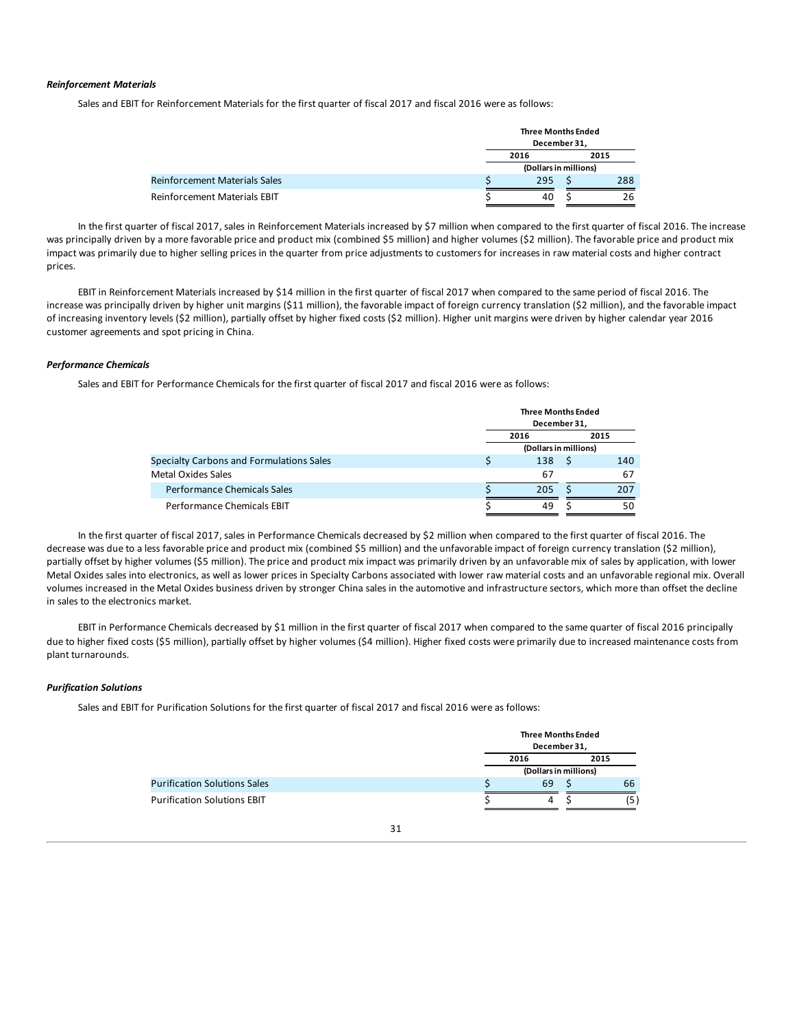### *Reinforcement Materials*

Sales and EBIT for Reinforcement Materials for the first quarter of fiscal 2017 and fiscal 2016 were as follows:

|                                      | <b>Three Months Ended</b><br>December 31, |  |      |
|--------------------------------------|-------------------------------------------|--|------|
|                                      | 2016                                      |  | 2015 |
|                                      | (Dollars in millions)                     |  |      |
| <b>Reinforcement Materials Sales</b> | 295                                       |  | 288  |
| <b>Reinforcement Materials EBIT</b>  | 40                                        |  | 26   |

In the first quarter of fiscal 2017, sales in Reinforcement Materials increased by \$7 million when compared to the first quarter of fiscal 2016. The increase was principally driven by a more favorable price and product mix (combined \$5 million) and higher volumes (\$2 million). The favorable price and product mix impact was primarily due to higher selling prices in the quarter from price adjustments to customers for increases in raw material costs and higher contract prices.

EBIT in Reinforcement Materials increased by \$14 million in the first quarter of fiscal 2017 when compared to the same period of fiscal 2016. The increase was principally driven by higher unit margins (\$11 million), the favorable impact of foreign currency translation (\$2 million), and the favorable impact of increasing inventory levels (\$2 million), partially offset by higher fixed costs (\$2 million). Higher unit margins were driven by higher calendar year 2016 customer agreements and spot pricing in China.

### *Performance Chemicals*

Sales and EBIT for Performance Chemicals for the first quarter of fiscal 2017 and fiscal 2016 were as follows:

|                                          | <b>Three Months Ended</b><br>December 31. |  |     |  |
|------------------------------------------|-------------------------------------------|--|-----|--|
|                                          | 2015<br>2016                              |  |     |  |
|                                          | (Dollars in millions)                     |  |     |  |
| Specialty Carbons and Formulations Sales | 138                                       |  | 140 |  |
| Metal Oxides Sales                       | 67                                        |  | 67  |  |
| Performance Chemicals Sales              | 205                                       |  | 207 |  |
| Performance Chemicals EBIT               | 49                                        |  | 50  |  |

In the first quarter of fiscal 2017, sales in Performance Chemicals decreased by \$2 million when compared to the first quarter of fiscal 2016. The decrease was due to a less favorable price and product mix (combined \$5 million) and the unfavorable impact of foreign currency translation (\$2 million), partially offset by higher volumes (\$5 million). The price and product mix impact was primarily driven by an unfavorable mix of sales by application, with lower Metal Oxides sales into electronics, as well as lower prices in Specialty Carbons associated with lower raw material costs and an unfavorable regional mix. Overall volumes increased in the Metal Oxides business driven by stronger China sales in the automotive and infrastructure sectors, which more than offset the decline in sales to the electronics market.

EBIT in Performance Chemicals decreased by \$1 million in the first quarter of fiscal 2017 when compared to the same quarter of fiscal 2016 principally due to higher fixed costs (\$5 million), partially offset by higher volumes (\$4 million). Higher fixed costs were primarily due to increased maintenance costs from plant turnarounds.

### *Purification Solutions*

Sales and EBIT for Purification Solutions for the first quarter of fiscal 2017 and fiscal 2016 were as follows:

|                                     |  | <b>Three Months Ended</b><br>December 31, |  |    |
|-------------------------------------|--|-------------------------------------------|--|----|
|                                     |  | 2016<br>2015<br>(Dollars in millions)     |  |    |
|                                     |  |                                           |  |    |
| <b>Purification Solutions Sales</b> |  | 69                                        |  | 66 |
| <b>Purification Solutions EBIT</b>  |  | 4                                         |  |    |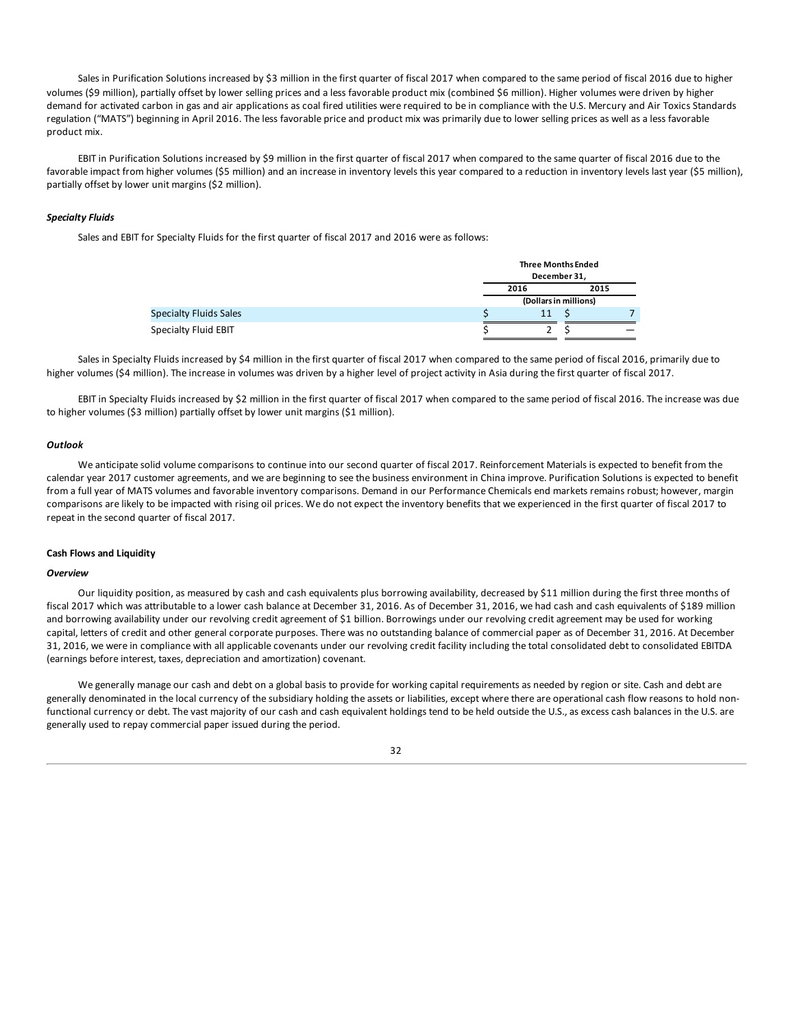Sales in Purification Solutions increased by \$3 million in the first quarter of fiscal 2017 when compared to the same period of fiscal 2016 due to higher volumes (\$9 million), partially offset by lower selling prices and a less favorable product mix (combined \$6 million). Higher volumes were driven by higher demand for activated carbon in gas and air applications as coal fired utilities were required to be in compliance with the U.S. Mercury and Air Toxics Standards regulation ("MATS") beginning in April 2016. The less favorable price and product mix was primarily due to lower selling prices as well as a less favorable product mix.

EBIT in Purification Solutions increased by \$9 million in the first quarter of fiscal 2017 when compared to the same quarter of fiscal 2016 due to the favorable impact from higher volumes (\$5 million) and an increase in inventory levels this year compared to a reduction in inventory levels last year (\$5 million), partially offset by lower unit margins (\$2 million).

### *Specialty Fluids*

Sales and EBIT for Specialty Fluids for the first quarter of fiscal 2017 and 2016 were as follows:

|                               | <b>Three Months Ended</b><br>December 31, |  |  |  |
|-------------------------------|-------------------------------------------|--|--|--|
|                               | 2015<br>2016                              |  |  |  |
|                               | (Dollars in millions)                     |  |  |  |
| <b>Specialty Fluids Sales</b> | 11                                        |  |  |  |
| Specialty Fluid EBIT          |                                           |  |  |  |

Sales in Specialty Fluids increased by \$4 million in the first quarter of fiscal 2017 when compared to the same period of fiscal 2016, primarily due to higher volumes (\$4 million). The increase in volumes was driven by a higher level of project activity in Asia during the first quarter of fiscal 2017.

EBIT in Specialty Fluids increased by \$2 million in the first quarter of fiscal 2017 when compared to the same period of fiscal 2016. The increase was due to higher volumes (\$3 million) partially offset by lower unit margins (\$1 million).

#### *Outlook*

We anticipate solid volume comparisons to continue into our second quarter of fiscal 2017. Reinforcement Materials is expected to benefit from the calendar year 2017 customer agreements, and we are beginning to see the business environment in China improve. Purification Solutions is expected to benefit from a full year of MATS volumes and favorable inventory comparisons. Demand in our Performance Chemicals end markets remains robust; however, margin comparisons are likely to be impacted with rising oil prices. We do not expect the inventory benefits that we experienced in the first quarter of fiscal 2017 to repeat in the second quarter of fiscal 2017.

#### **Cash Flows and Liquidity**

#### *Overview*

Our liquidity position, as measured by cash and cash equivalents plus borrowing availability, decreased by \$11 million during the first three months of fiscal 2017 which was attributable to a lower cash balance at December 31, 2016. As of December 31, 2016, we had cash and cash equivalents of \$189 million and borrowing availability under our revolving credit agreement of \$1 billion. Borrowings under our revolving credit agreement may be used for working capital, letters of credit and other general corporate purposes. There was no outstanding balance of commercial paper as of December 31, 2016. At December 31, 2016, we were in compliance with all applicable covenants under our revolving credit facility including the total consolidated debt to consolidated EBITDA (earnings before interest, taxes, depreciation and amortization) covenant.

We generally manage our cash and debt on a global basis to provide for working capital requirements as needed by region or site. Cash and debt are generally denominated in the local currency of the subsidiary holding the assets or liabilities, except where there are operational cash flow reasons to hold nonfunctional currency or debt. The vast majority of our cash and cash equivalent holdings tend to be held outside the U.S., as excess cash balances in the U.S. are generally used to repay commercial paper issued during the period.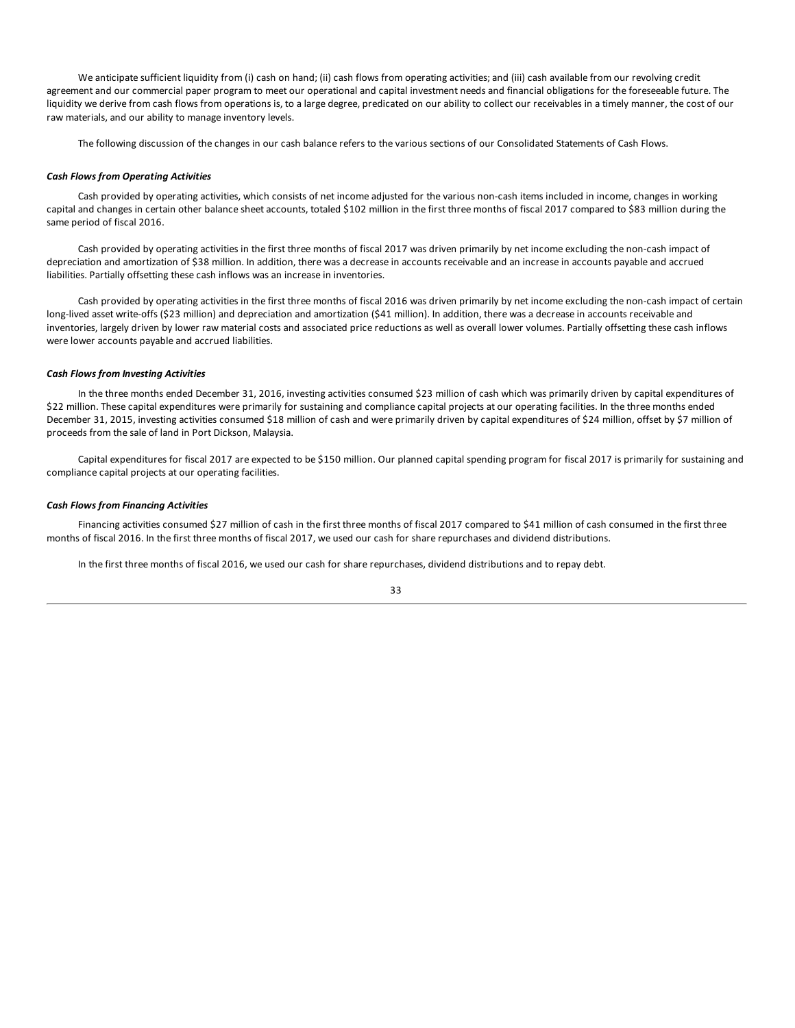We anticipate sufficient liquidity from (i) cash on hand; (ii) cash flows from operating activities; and (iii) cash available from our revolving credit agreement and our commercial paper program to meet our operational and capital investment needs and financial obligations for the foreseeable future. The liquidity we derive from cash flows from operations is, to a large degree, predicated on our ability to collect our receivables in a timely manner, the cost of our raw materials, and our ability to manage inventory levels.

The following discussion of the changes in our cash balance refers to the various sections of our Consolidated Statements of Cash Flows.

### *Cash Flows from Operating Activities*

Cash provided by operating activities, which consists of net income adjusted for the various non-cash items included in income, changes in working capital and changes in certain other balance sheet accounts, totaled \$102 million in the first three months of fiscal 2017 compared to \$83 million during the same period of fiscal 2016.

Cash provided by operating activities in the first three months of fiscal 2017 was driven primarily by net income excluding the non-cash impact of depreciation and amortization of \$38 million. In addition, there was a decrease in accounts receivable and an increase in accounts payable and accrued liabilities. Partially offsetting these cash inflows was an increase in inventories.

Cash provided by operating activities in the first three months of fiscal 2016 was driven primarily by net income excluding the non-cash impact of certain long-lived asset write-offs (\$23 million) and depreciation and amortization (\$41 million). In addition, there was a decrease in accounts receivable and inventories, largely driven by lower raw material costs and associated price reductions as well as overall lower volumes. Partially offsetting these cash inflows were lower accounts payable and accrued liabilities.

### *Cash Flows from Investing Activities*

In the three months ended December 31, 2016, investing activities consumed \$23 million of cash which was primarily driven by capital expenditures of \$22 million. These capital expenditures were primarily for sustaining and compliance capital projects at our operating facilities. In the three months ended December 31, 2015, investing activities consumed \$18 million of cash and were primarily driven by capital expenditures of \$24 million, offset by \$7 million of proceeds from the sale of land in Port Dickson, Malaysia.

Capital expenditures for fiscal 2017 are expected to be \$150 million. Our planned capital spending program for fiscal 2017 is primarily for sustaining and compliance capital projects at our operating facilities.

### *Cash Flows from Financing Activities*

Financing activities consumed \$27 million of cash in the first three months of fiscal 2017 compared to \$41 million of cash consumed in the first three months of fiscal 2016. In the first three months of fiscal 2017, we used our cash for share repurchases and dividend distributions.

In the first three months of fiscal 2016, we used our cash for share repurchases, dividend distributions and to repay debt.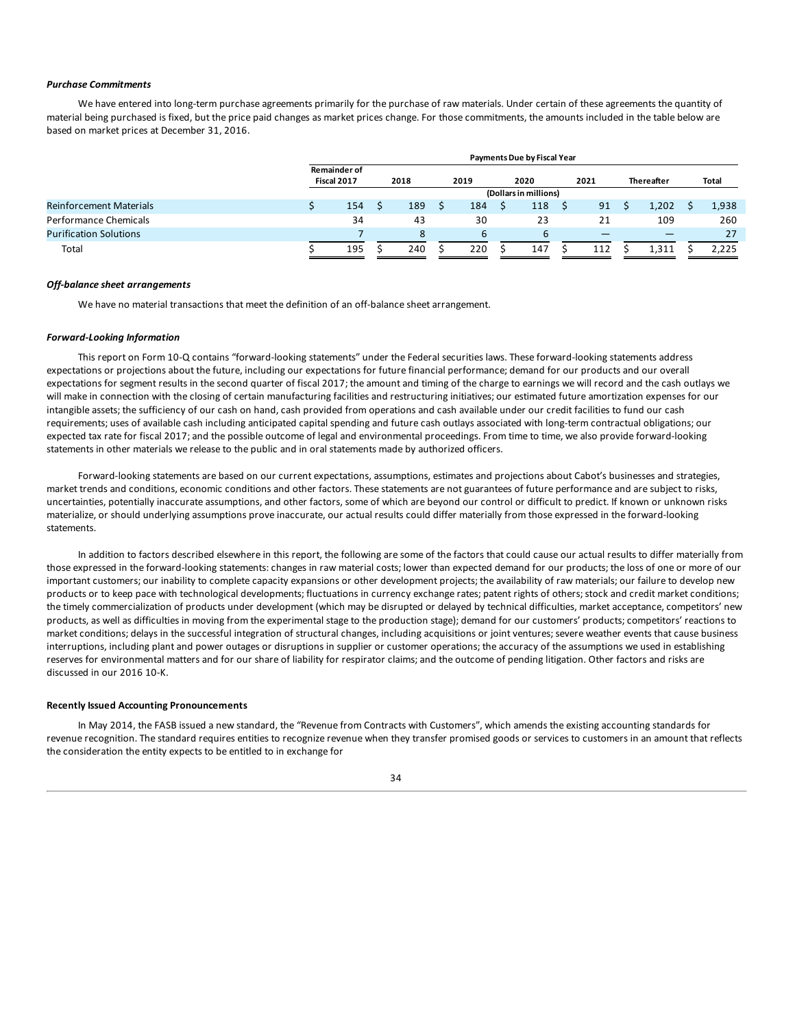#### *Purchase Commitments*

We have entered into long-term purchase agreements primarily for the purchase of raw materials. Under certain of these agreements the quantity of material being purchased is fixed, but the price paid changes as market prices change. For those commitments, the amounts included in the table below are based on market prices at December 31, 2016.

|                                | <b>Payments Due by Fiscal Year</b>         |  |     |      |     |      |                       |  |      |  |            |  |       |  |
|--------------------------------|--------------------------------------------|--|-----|------|-----|------|-----------------------|--|------|--|------------|--|-------|--|
|                                | <b>Remainder of</b><br>Fiscal 2017<br>2018 |  |     | 2019 |     | 2020 |                       |  | 2021 |  | Thereafter |  | Total |  |
|                                |                                            |  |     |      |     |      | (Dollars in millions) |  |      |  |            |  |       |  |
| <b>Reinforcement Materials</b> | 154                                        |  | 189 |      | 184 |      | 118                   |  | 91   |  | 1,202      |  | 1,938 |  |
| Performance Chemicals          | 34                                         |  | 43  |      | 30  |      | 23                    |  | 21   |  | 109        |  | 260   |  |
| <b>Purification Solutions</b>  |                                            |  | 8   |      | b   |      | 6                     |  |      |  |            |  | 27    |  |
| Total                          | 195                                        |  | 240 |      | 220 |      | 147                   |  | 112  |  | 1.311      |  | 2.225 |  |

#### *Off-balance sheet arrangements*

We have no material transactions that meet the definition of an off-balance sheet arrangement.

### *Forward-Looking Information*

This report on Form 10-Q contains "forward-looking statements" under the Federal securities laws. These forward-looking statements address expectations or projections about the future, including our expectations for future financial performance; demand for our products and our overall expectations for segment results in the second quarter of fiscal 2017; the amount and timing of the charge to earnings we will record and the cash outlays we will make in connection with the closing of certain manufacturing facilities and restructuring initiatives; our estimated future amortization expenses for our intangible assets; the sufficiency of our cash on hand, cash provided from operations and cash available under our credit facilities to fund our cash requirements; uses of available cash including anticipated capital spending and future cash outlays associated with long-term contractual obligations; our expected tax rate for fiscal 2017; and the possible outcome of legal and environmental proceedings. From time to time, we also provide forward-looking statements in other materials we release to the public and in oral statements made by authorized officers.

Forward-looking statements are based on our current expectations, assumptions, estimates and projections about Cabot's businesses and strategies, market trends and conditions, economic conditions and other factors. These statements are not guarantees of future performance and are subject to risks, uncertainties, potentially inaccurate assumptions, and other factors, some of which are beyond our control or difficult to predict. If known or unknown risks materialize, or should underlying assumptions prove inaccurate, our actual results could differ materially from those expressed in the forward-looking statements.

In addition to factors described elsewhere in this report, the following are some of the factors that could cause our actual results to differ materially from those expressed in the forward-looking statements: changes in raw material costs; lower than expected demand for our products; the loss of one or more of our important customers; our inability to complete capacity expansions or other development projects; the availability of raw materials; our failure to develop new products or to keep pace with technological developments; fluctuations in currency exchange rates; patent rights of others; stock and credit market conditions; the timely commercialization of products under development (which may be disrupted or delayed by technical difficulties, market acceptance, competitors' new products, as well as difficulties in moving from the experimental stage to the production stage); demand for our customers' products; competitors' reactions to market conditions; delays in the successful integration of structural changes, including acquisitions or joint ventures; severe weather events that cause business interruptions, including plant and power outages or disruptions in supplier or customer operations; the accuracy of the assumptions we used in establishing reserves for environmental matters and for our share of liability for respirator claims; and the outcome of pending litigation. Other factors and risks are discussed in our 2016 10-K.

### **Recently Issued Accounting Pronouncements**

In May 2014, the FASB issued a new standard, the "Revenue from Contracts with Customers", which amends the existing accounting standards for revenue recognition. The standard requires entities to recognize revenue when they transfer promised goods or services to customers in an amount that reflects the consideration the entity expects to be entitled to in exchange for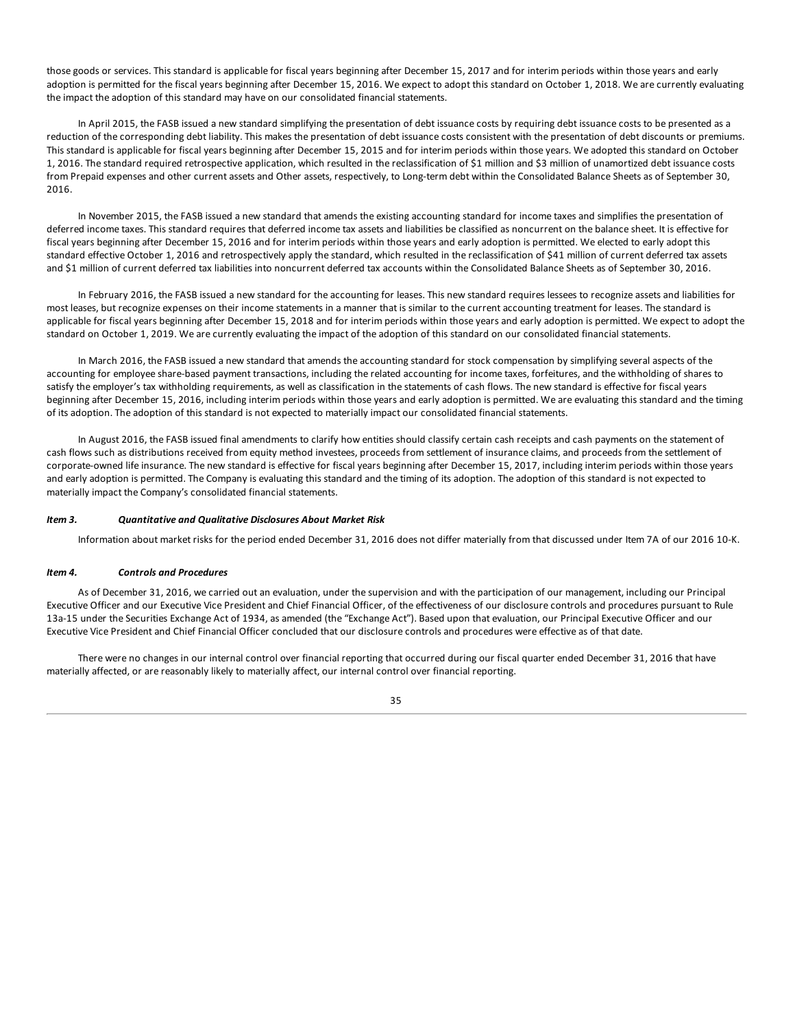<span id="page-34-0"></span>those goods or services. This standard is applicable for fiscal years beginning after December 15, 2017 and for interim periods within those years and early adoption is permitted for the fiscal years beginning after December 15, 2016. We expect to adopt this standard on October 1, 2018. We are currently evaluating the impact the adoption of this standard may have on our consolidated financial statements.

In April 2015, the FASB issued a new standard simplifying the presentation of debt issuance costs by requiring debt issuance costs to be presented as a reduction of the corresponding debt liability. This makes the presentation of debt issuance costs consistent with the presentation of debt discounts or premiums. This standard is applicable for fiscal years beginning after December 15, 2015 and for interim periods within those years. We adopted this standard on October 1, 2016. The standard required retrospective application, which resulted in the reclassification of \$1 million and \$3 million of unamortized debt issuance costs from Prepaid expenses and other current assets and Other assets, respectively, to Long-term debt within the Consolidated Balance Sheets as of September 30, 2016.

In November 2015, the FASB issued a new standard that amends the existing accounting standard for income taxes and simplifies the presentation of deferred income taxes. This standard requires that deferred income tax assets and liabilities be classified as noncurrent on the balance sheet. It is effective for fiscal years beginning after December 15, 2016 and for interim periods within those years and early adoption is permitted. We elected to early adopt this standard effective October 1, 2016 and retrospectively apply the standard, which resulted in the reclassification of \$41 million of current deferred tax assets and \$1 million of current deferred tax liabilities into noncurrent deferred tax accounts within the Consolidated Balance Sheets as of September 30, 2016.

In February 2016, the FASB issued a new standard for the accounting for leases. This new standard requires lessees to recognize assets and liabilities for most leases, but recognize expenses on their income statements in a manner that is similar to the current accounting treatment for leases. The standard is applicable for fiscal years beginning after December 15, 2018 and for interim periods within those years and early adoption is permitted. We expect to adopt the standard on October 1, 2019. We are currently evaluating the impact of the adoption of this standard on our consolidated financial statements.

In March 2016, the FASB issued a new standard that amends the accounting standard for stock compensation by simplifying several aspects of the accounting for employee share-based payment transactions, including the related accounting for income taxes, forfeitures, and the withholding of shares to satisfy the employer's tax withholding requirements, as well as classification in the statements of cash flows. The new standard is effective for fiscal years beginning after December 15, 2016, including interim periods within those years and early adoption is permitted. We are evaluating this standard and the timing of its adoption. The adoption of this standard is not expected to materially impact our consolidated financial statements.

In August 2016, the FASB issued final amendments to clarify how entities should classify certain cash receipts and cash payments on the statement of cash flows such as distributions received from equity method investees, proceeds from settlement of insurance claims, and proceeds from the settlement of corporate-owned life insurance. The new standard is effective for fiscal years beginning after December 15, 2017, including interim periods within those years and early adoption is permitted. The Company is evaluating this standard and the timing of its adoption. The adoption of this standard is not expected to materially impact the Company's consolidated financial statements.

### *Item 3. Quantitative and Qualitative Disclosures About Market Risk*

Information about market risks for the period ended December 31, 2016 does not differ materially from that discussed under Item 7A of our 2016 10-K.

### *Item 4. Controls and Procedures*

As of December 31, 2016, we carried out an evaluation, under the supervision and with the participation of our management, including our Principal Executive Officer and our Executive Vice President and Chief Financial Officer, of the effectiveness of our disclosure controls and procedures pursuant to Rule 13a-15 under the Securities Exchange Act of 1934, as amended (the "Exchange Act"). Based upon that evaluation, our Principal Executive Officer and our Executive Vice President and Chief Financial Officer concluded that our disclosure controls and procedures were effective as of that date.

There were no changes in our internal control over financial reporting that occurred during our fiscal quarter ended December 31, 2016 that have materially affected, or are reasonably likely to materially affect, our internal control over financial reporting.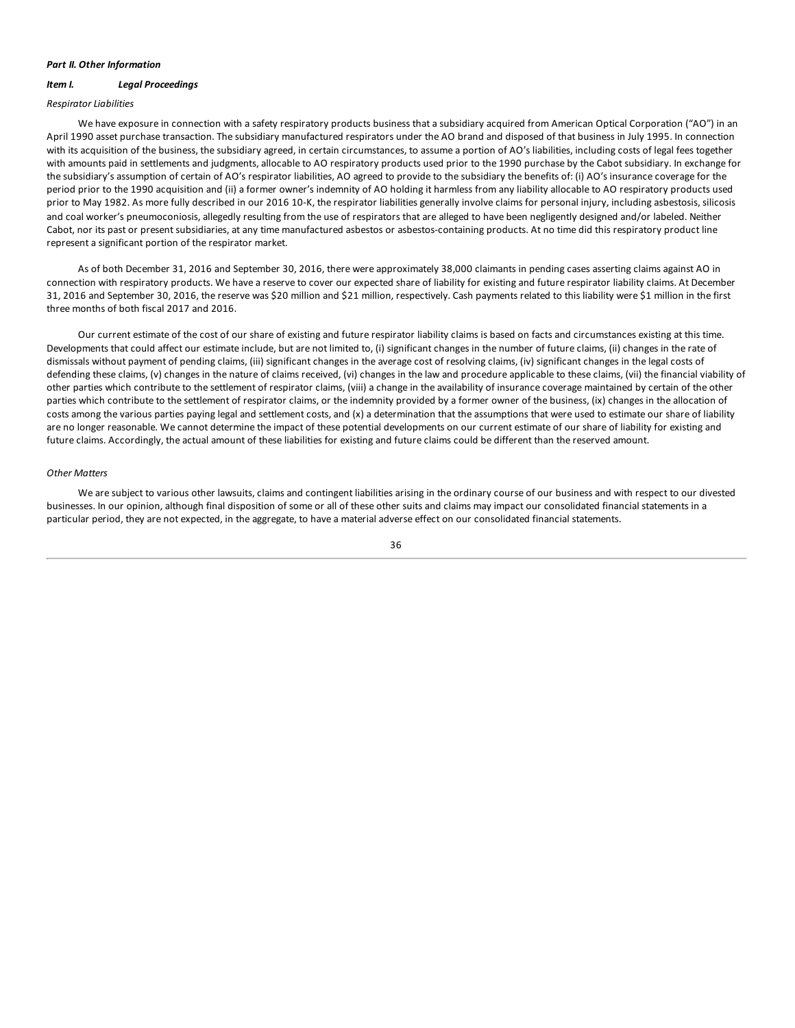### <span id="page-35-0"></span>*Part II. Other Information*

### *Item I. Legal Proceedings*

#### *Respirator Liabilities*

We have exposure in connection with a safety respiratory products business that a subsidiary acquired from American Optical Corporation ("AO") in an April 1990 asset purchase transaction. The subsidiary manufactured respirators under the AO brand and disposed of that business in July 1995. In connection with its acquisition of the business, the subsidiary agreed, in certain circumstances, to assume a portion of AO's liabilities, including costs of legal fees together with amounts paid in settlements and judgments, allocable to AO respiratory products used prior to the 1990 purchase by the Cabot subsidiary. In exchange for the subsidiary's assumption of certain of AO's respirator liabilities, AO agreed to provide to the subsidiary the benefits of: (i) AO's insurance coverage for the period prior to the 1990 acquisition and (ii) a former owner's indemnity of AO holding it harmless from any liability allocable to AO respiratory products used prior to May 1982. As more fully described in our 2016 10-K, the respirator liabilities generally involve claims for personal injury, including asbestosis, silicosis and coal worker's pneumoconiosis, allegedly resulting from the use of respirators that are alleged to have been negligently designed and/or labeled. Neither Cabot, nor its past or present subsidiaries, at any time manufactured asbestos or asbestos-containing products. At no time did this respiratory product line represent a significant portion of the respirator market.

As of both December 31, 2016 and September 30, 2016, there were approximately 38,000 claimants in pending cases asserting claims against AO in connection with respiratory products. We have a reserve to cover our expected share of liability for existing and future respirator liability claims. At December 31, 2016 and September 30, 2016, the reserve was \$20 million and \$21 million, respectively. Cash payments related to this liability were \$1 million in the first three months of both fiscal 2017 and 2016.

Our current estimate of the cost of our share of existing and future respirator liability claims is based on facts and circumstances existing at this time. Developments that could affect our estimate include, but are not limited to, (i) significant changes in the number of future claims, (ii) changes in the rate of dismissals without payment of pending claims, (iii) significant changes in the average cost of resolving claims, (iv) significant changes in the legal costs of defending these claims, (v) changes in the nature of claims received, (vi) changes in the law and procedure applicable to these claims, (vii) the financial viability of other parties which contribute to the settlement of respirator claims, (viii) a change in the availability of insurance coverage maintained by certain of the other parties which contribute to the settlement of respirator claims, or the indemnity provided by a former owner of the business, (ix) changes in the allocation of costs among the various parties paying legal and settlement costs, and (x) a determination that the assumptions that were used to estimate our share of liability are no longer reasonable. We cannot determine the impact of these potential developments on our current estimate of our share of liability for existing and future claims. Accordingly, the actual amount of these liabilities for existing and future claims could be different than the reserved amount.

### *Other Matters*

We are subject to various other lawsuits, claims and contingent liabilities arising in the ordinary course of our business and with respect to our divested businesses. In our opinion, although final disposition of some or all of these other suits and claims may impact our consolidated financial statements in a particular period, they are not expected, in the aggregate, to have a material adverse effect on our consolidated financial statements.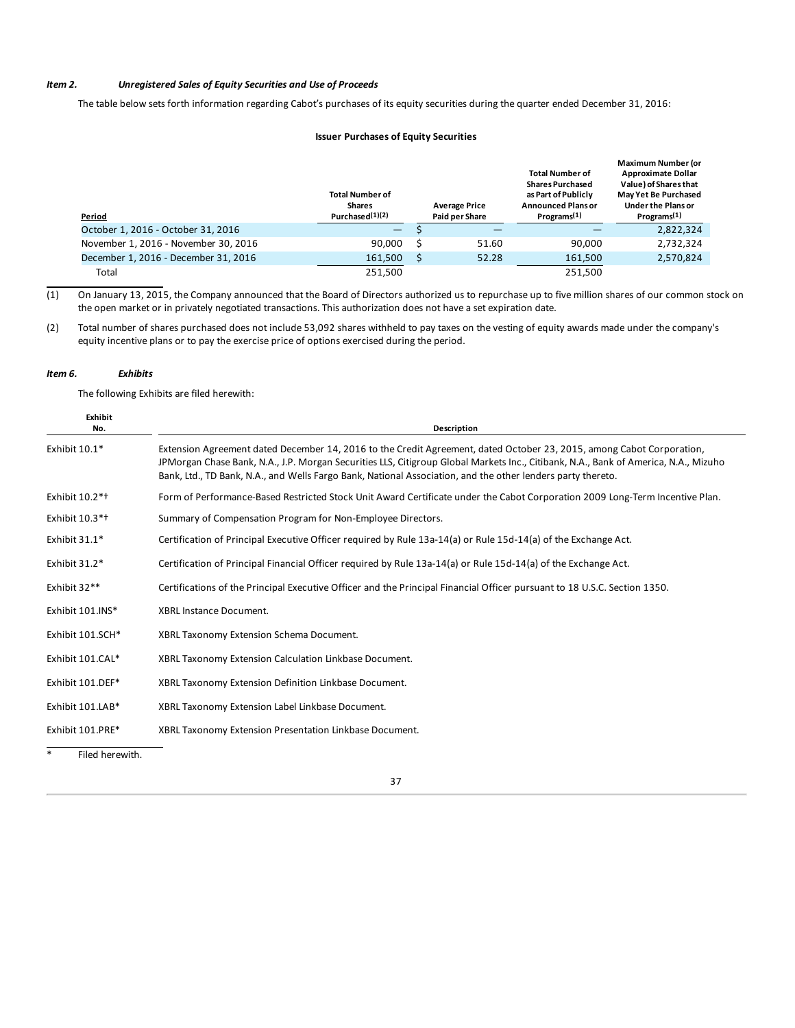### <span id="page-36-0"></span>*Item 2. Unregistered Sales of Equity Securities and Use of Proceeds*

The table below sets forth information regarding Cabot's purchases of its equity securities during the quarter ended December 31, 2016:

### **Issuer Purchases of Equity Securities**

| Period                               | <b>Total Number of</b><br><b>Shares</b><br>Purchased <sup>(1)</sup> (2) | <b>Average Price</b><br><b>Paid per Share</b> | <b>Total Number of</b><br><b>Shares Purchased</b><br>as Part of Publicly<br><b>Announced Plans or</b><br>Programs <sup>(1)</sup> | <b>Maximum Number (or</b><br><b>Approximate Dollar</b><br>Value) of Shares that<br>May Yet Be Purchased<br>Under the Plans or<br>Programs <sup>(1)</sup> |
|--------------------------------------|-------------------------------------------------------------------------|-----------------------------------------------|----------------------------------------------------------------------------------------------------------------------------------|----------------------------------------------------------------------------------------------------------------------------------------------------------|
| October 1, 2016 - October 31, 2016   | -                                                                       |                                               |                                                                                                                                  | 2,822,324                                                                                                                                                |
| November 1, 2016 - November 30, 2016 | 90.000                                                                  | 51.60                                         | 90.000                                                                                                                           | 2,732,324                                                                                                                                                |
| December 1, 2016 - December 31, 2016 | 161,500                                                                 | 52.28                                         | 161,500                                                                                                                          | 2,570,824                                                                                                                                                |
| Total                                | 251.500                                                                 |                                               | 251.500                                                                                                                          |                                                                                                                                                          |

 $(1)$  On January 13, 2015, the Company announced that the Board of Directors authorized us to repurchase up to five million shares of our common stock on the open market or in privately negotiated transactions. This authorization does not have a set expiration date.

(2) Total number of shares purchased does not include 53,092 shares withheld to pay taxes on the vesting of equity awards made under the company's equity incentive plans or to pay the exercise price of options exercised during the period.

### *Item 6. Exhibits*

The following Exhibits are filed herewith:

| Exhibit<br>No.             | <b>Description</b>                                                                                                                                                                                                                                                                                                                                                          |  |  |  |
|----------------------------|-----------------------------------------------------------------------------------------------------------------------------------------------------------------------------------------------------------------------------------------------------------------------------------------------------------------------------------------------------------------------------|--|--|--|
| Exhibit 10.1*              | Extension Agreement dated December 14, 2016 to the Credit Agreement, dated October 23, 2015, among Cabot Corporation,<br>JPMorgan Chase Bank, N.A., J.P. Morgan Securities LLS, Citigroup Global Markets Inc., Citibank, N.A., Bank of America, N.A., Mizuho<br>Bank, Ltd., TD Bank, N.A., and Wells Fargo Bank, National Association, and the other lenders party thereto. |  |  |  |
| Exhibit 10.2* <sup>+</sup> | Form of Performance-Based Restricted Stock Unit Award Certificate under the Cabot Corporation 2009 Long-Term Incentive Plan.                                                                                                                                                                                                                                                |  |  |  |
| Exhibit 10.3* <sup>+</sup> | Summary of Compensation Program for Non-Employee Directors.                                                                                                                                                                                                                                                                                                                 |  |  |  |
| Exhibit $31.1*$            | Certification of Principal Executive Officer required by Rule 13a-14(a) or Rule 15d-14(a) of the Exchange Act.                                                                                                                                                                                                                                                              |  |  |  |
| Exhibit $31.2*$            | Certification of Principal Financial Officer required by Rule 13a-14(a) or Rule 15d-14(a) of the Exchange Act.                                                                                                                                                                                                                                                              |  |  |  |
| Exhibit 32**               | Certifications of the Principal Executive Officer and the Principal Financial Officer pursuant to 18 U.S.C. Section 1350.                                                                                                                                                                                                                                                   |  |  |  |
| Exhibit 101.INS*           | <b>XBRL Instance Document.</b>                                                                                                                                                                                                                                                                                                                                              |  |  |  |
| Exhibit 101.SCH*           | XBRL Taxonomy Extension Schema Document.                                                                                                                                                                                                                                                                                                                                    |  |  |  |
| Exhibit 101.CAL*           | XBRL Taxonomy Extension Calculation Linkbase Document.                                                                                                                                                                                                                                                                                                                      |  |  |  |
| Exhibit 101.DEF*           | XBRL Taxonomy Extension Definition Linkbase Document.                                                                                                                                                                                                                                                                                                                       |  |  |  |
| Exhibit 101.LAB*           | XBRL Taxonomy Extension Label Linkbase Document.                                                                                                                                                                                                                                                                                                                            |  |  |  |
| Exhibit 101.PRE*           | XBRL Taxonomy Extension Presentation Linkbase Document.                                                                                                                                                                                                                                                                                                                     |  |  |  |

\* Filed herewith.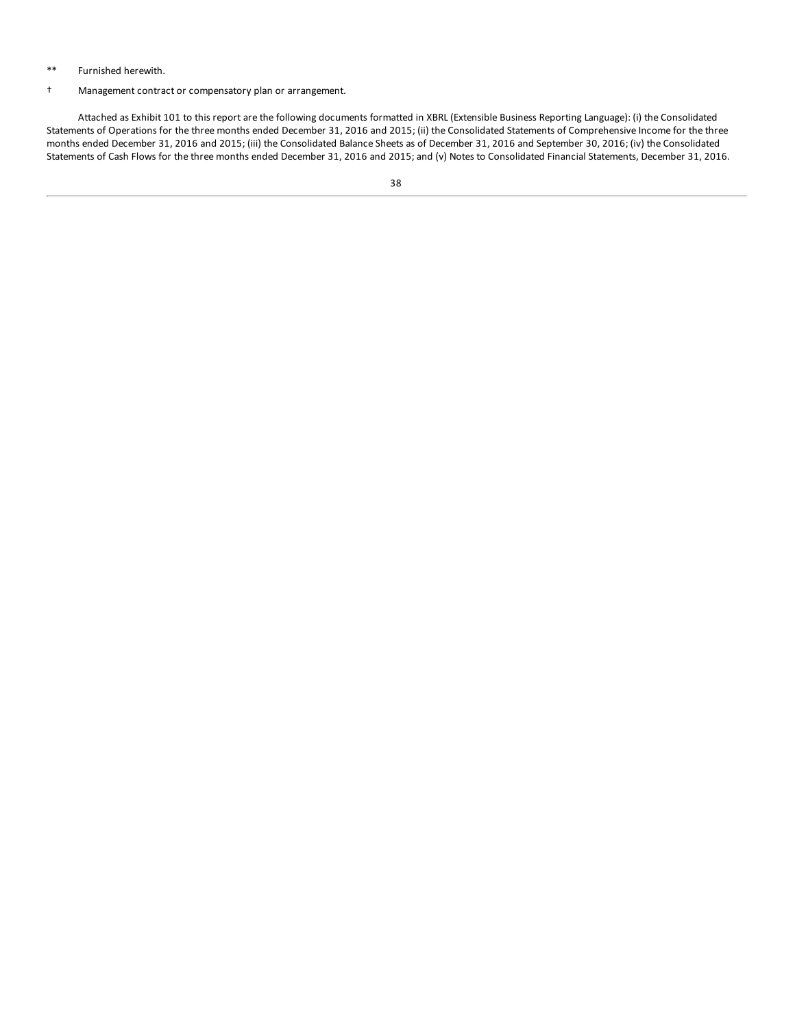### \*\* Furnished herewith.

### † Management contract or compensatory plan or arrangement.

Attached as Exhibit 101 to this report are the following documents formatted in XBRL (Extensible Business Reporting Language): (i) the Consolidated Statements of Operations for the three months ended December 31, 2016 and 2015; (ii) the Consolidated Statements of Comprehensive Income for the three months ended December 31, 2016 and 2015; (iii) the Consolidated Balance Sheets as of December 31, 2016 and September 30, 2016; (iv) the Consolidated Statements of Cash Flows for the three months ended December 31, 2016 and 2015; and (v) Notes to Consolidated Financial Statements, December 31, 2016.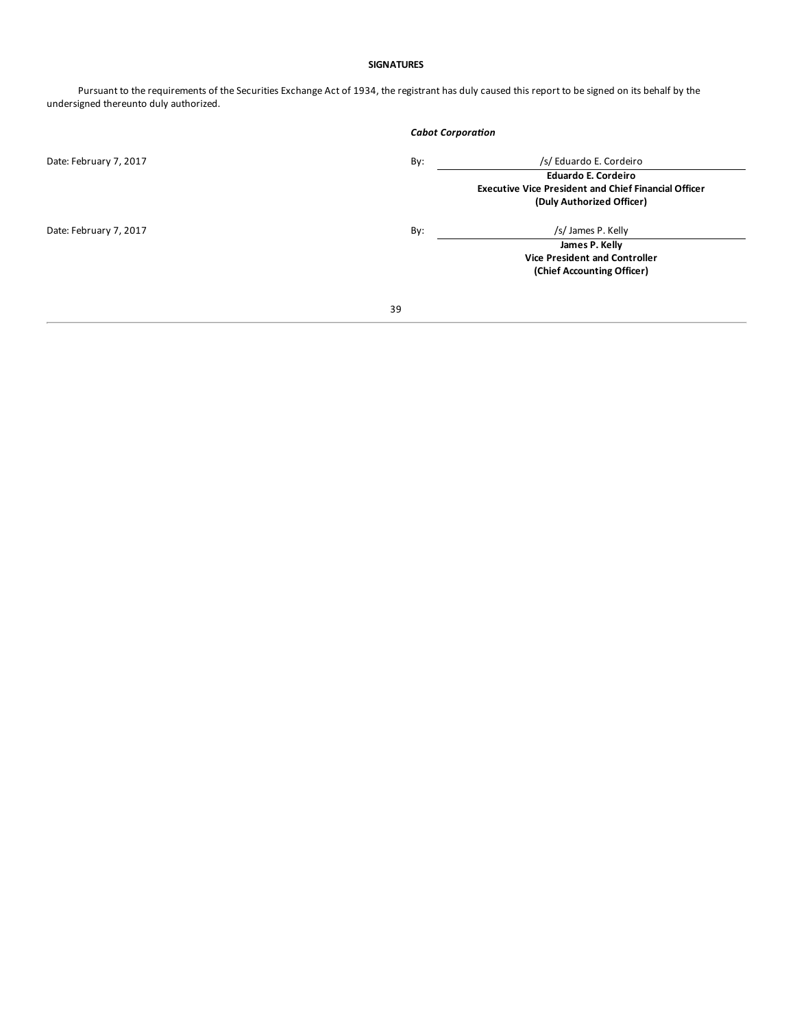### **SIGNATURES**

Pursuant to the requirements of the Securities Exchange Act of 1934, the registrant has duly caused this report to be signed on its behalf by the undersigned thereunto duly authorized.

|                        |     | <b>Cabot Corporation</b>                                    |  |  |
|------------------------|-----|-------------------------------------------------------------|--|--|
| Date: February 7, 2017 | By: | /s/ Eduardo E. Cordeiro                                     |  |  |
|                        |     | <b>Eduardo E. Cordeiro</b>                                  |  |  |
|                        |     | <b>Executive Vice President and Chief Financial Officer</b> |  |  |
|                        |     | (Duly Authorized Officer)                                   |  |  |
| Date: February 7, 2017 | By: | /s/ James P. Kelly                                          |  |  |
|                        |     | James P. Kelly                                              |  |  |
|                        |     | <b>Vice President and Controller</b>                        |  |  |
|                        |     | (Chief Accounting Officer)                                  |  |  |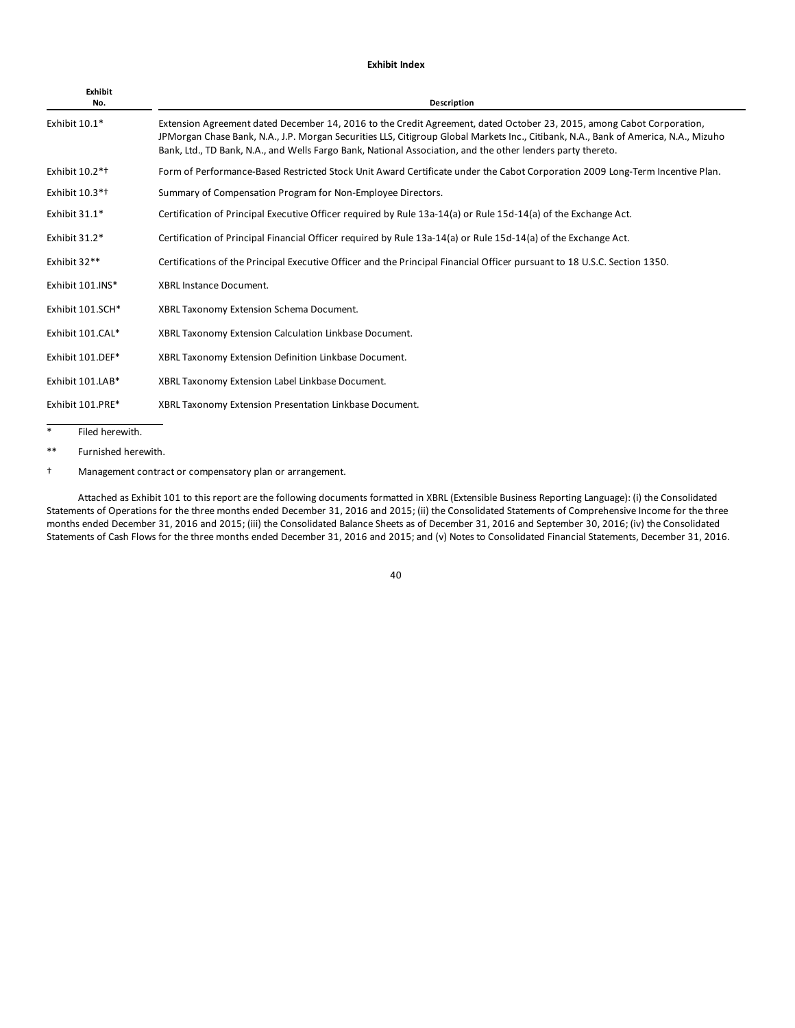### **Exhibit Index**

| Exhibit<br>No.             | <b>Description</b>                                                                                                                                                                                                                                                                                                                                                          |
|----------------------------|-----------------------------------------------------------------------------------------------------------------------------------------------------------------------------------------------------------------------------------------------------------------------------------------------------------------------------------------------------------------------------|
| Exhibit 10.1*              | Extension Agreement dated December 14, 2016 to the Credit Agreement, dated October 23, 2015, among Cabot Corporation,<br>JPMorgan Chase Bank, N.A., J.P. Morgan Securities LLS, Citigroup Global Markets Inc., Citibank, N.A., Bank of America, N.A., Mizuho<br>Bank, Ltd., TD Bank, N.A., and Wells Fargo Bank, National Association, and the other lenders party thereto. |
| Exhibit 10.2* <sup>+</sup> | Form of Performance-Based Restricted Stock Unit Award Certificate under the Cabot Corporation 2009 Long-Term Incentive Plan.                                                                                                                                                                                                                                                |
| Exhibit 10.3* <sup>+</sup> | Summary of Compensation Program for Non-Employee Directors.                                                                                                                                                                                                                                                                                                                 |
| Exhibit $31.1*$            | Certification of Principal Executive Officer required by Rule 13a-14(a) or Rule 15d-14(a) of the Exchange Act.                                                                                                                                                                                                                                                              |
| Exhibit 31.2*              | Certification of Principal Financial Officer required by Rule 13a-14(a) or Rule 15d-14(a) of the Exchange Act.                                                                                                                                                                                                                                                              |
| Exhibit 32**               | Certifications of the Principal Executive Officer and the Principal Financial Officer pursuant to 18 U.S.C. Section 1350.                                                                                                                                                                                                                                                   |
| Exhibit 101.INS*           | <b>XBRL Instance Document.</b>                                                                                                                                                                                                                                                                                                                                              |
| Exhibit 101.SCH*           | XBRL Taxonomy Extension Schema Document.                                                                                                                                                                                                                                                                                                                                    |
| Exhibit 101.CAL*           | XBRL Taxonomy Extension Calculation Linkbase Document.                                                                                                                                                                                                                                                                                                                      |
| Exhibit 101.DEF*           | XBRL Taxonomy Extension Definition Linkbase Document.                                                                                                                                                                                                                                                                                                                       |
| Exhibit 101.LAB*           | XBRL Taxonomy Extension Label Linkbase Document.                                                                                                                                                                                                                                                                                                                            |
| Exhibit 101.PRE*           | XBRL Taxonomy Extension Presentation Linkbase Document.                                                                                                                                                                                                                                                                                                                     |
| $\ast$<br>Filed herewith.  |                                                                                                                                                                                                                                                                                                                                                                             |

\*\* Furnished herewith.

† Management contract or compensatory plan or arrangement.

Attached as Exhibit 101 to this report are the following documents formatted in XBRL (Extensible Business Reporting Language): (i) the Consolidated Statements of Operations for the three months ended December 31, 2016 and 2015; (ii) the Consolidated Statements of Comprehensive Income for the three months ended December 31, 2016 and 2015; (iii) the Consolidated Balance Sheets as of December 31, 2016 and September 30, 2016; (iv) the Consolidated Statements of Cash Flows for the three months ended December 31, 2016 and 2015; and (v) Notes to Consolidated Financial Statements, December 31, 2016.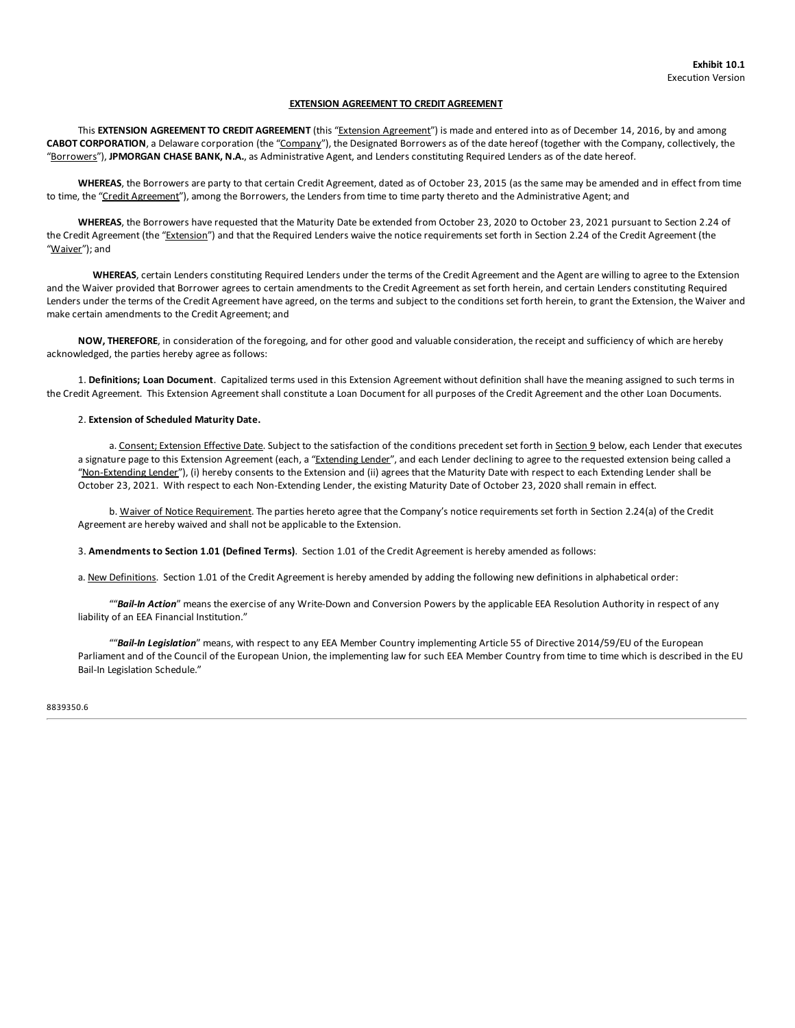### **EXTENSION AGREEMENT TO CREDIT AGREEMENT**

This **EXTENSION AGREEMENT TO CREDIT AGREEMENT** (this "Extension Agreement") is made and entered into as of December 14, 2016, by and among **CABOT CORPORATION**, a Delaware corporation (the "Company"), the Designated Borrowers as of the date hereof (together with the Company, collectively, the "Borrowers"), **JPMORGAN CHASE BANK, N.A.**, as Administrative Agent, and Lenders constituting Required Lenders as of the date hereof.

**WHEREAS**, the Borrowers are party to that certain Credit Agreement, dated as of October 23, 2015 (as the same may be amended and in effect from time to time, the "Credit Agreement"), among the Borrowers, the Lenders from time to time party thereto and the Administrative Agent; and

**WHEREAS**, the Borrowers have requested that the Maturity Date be extended from October 23, 2020 to October 23, 2021 pursuant to Section 2.24 of the Credit Agreement (the "Extension") and that the Required Lenders waive the notice requirements set forth in Section 2.24 of the Credit Agreement (the "<u>Waiver</u>"); and

**WHEREAS**, certain Lenders constituting Required Lenders under the terms of the Credit Agreement and the Agent are willing to agree to the Extension and the Waiver provided that Borrower agrees to certain amendments to the Credit Agreement as set forth herein, and certain Lenders constituting Required Lenders under the terms of the Credit Agreement have agreed, on the terms and subject to the conditions set forth herein, to grant the Extension, the Waiver and make certain amendments to the Credit Agreement; and

**NOW, THEREFORE**, in consideration of the foregoing, and for other good and valuable consideration, the receipt and sufficiency of which are hereby acknowledged, the parties hereby agree as follows:

1. **Definitions; Loan Document**. Capitalized terms used in this Extension Agreement without definition shall have the meaning assigned to such terms in the Credit Agreement. This Extension Agreement shall constitute a Loan Document for all purposes of the Credit Agreement and the other Loan Documents.

### 2. **Extension of Scheduled Maturity Date.**

a. Consent; Extension Effective Date. Subject to the satisfaction of the conditions precedent set forth in Section 9 below, each Lender that executes a signature page to this Extension Agreement (each, a "Extending Lender", and each Lender declining to agree to the requested extension being called a "Non-Extending Lender"), (i) hereby consents to the Extension and (ii) agrees that the Maturity Date with respect to each Extending Lender shall be October 23, 2021. With respect to each Non-Extending Lender, the existing Maturity Date of October 23, 2020 shall remain in effect.

b. Waiver of Notice Requirement. The parties hereto agree that the Company's notice requirements set forth in Section 2.24(a) of the Credit Agreement are hereby waived and shall not be applicable to the Extension.

3. **Amendments to Section 1.01 (Defined Terms)**. Section 1.01 of the Credit Agreement is hereby amended as follows:

a. New Definitions. Section 1.01 of the Credit Agreement is hereby amended by adding the following new definitions in alphabetical order:

""*Bail-In Action*" means the exercise of any Write-Down and Conversion Powers by the applicable EEA Resolution Authority in respect of any liability of an EEA Financial Institution."

""*Bail-In Legislation*" means, with respect to any EEA Member Country implementing Article 55 of Directive 2014/59/EU of the European Parliament and of the Council of the European Union, the implementing law for such EEA Member Country from time to time which is described in the EU Bail-In Legislation Schedule."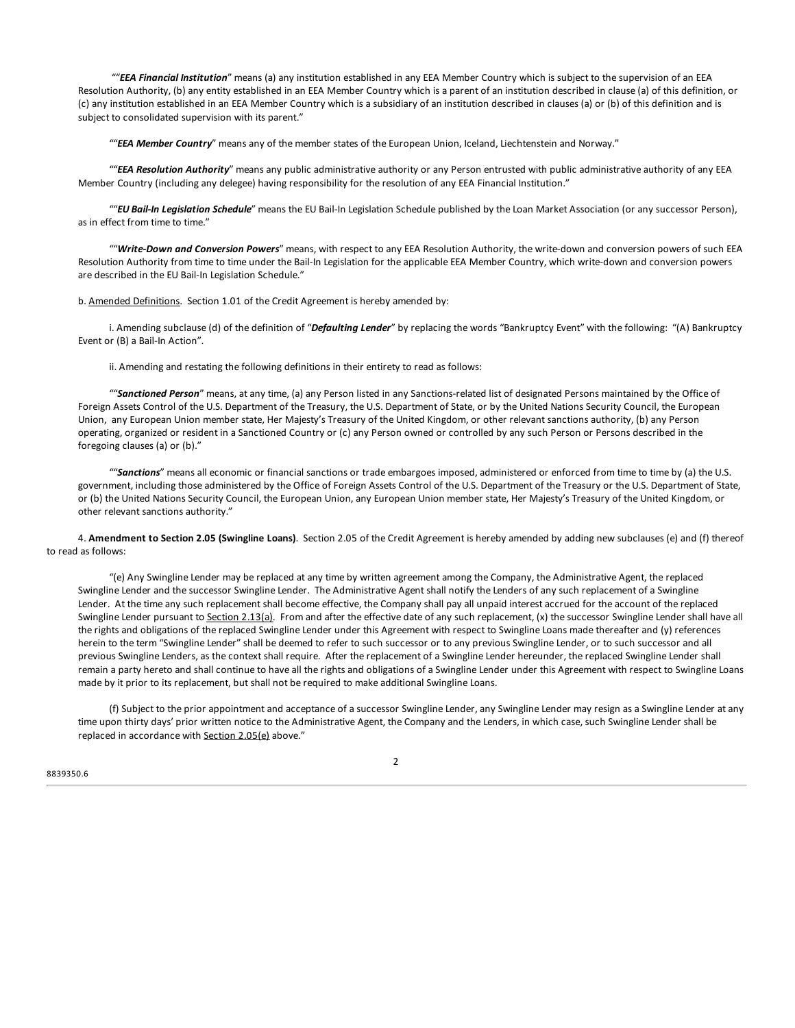""*EEA Financial Institution*" means (a) any institution established in any EEA Member Country which is subject to the supervision of an EEA Resolution Authority, (b) any entity established in an EEA Member Country which is a parent of an institution described in clause (a) of this definition, or (c) any institution established in an EEA Member Country which is a subsidiary of an institution described in clauses (a) or (b) of this definition and is subject to [consolidated](#page-2-0) supervision with its parent."

""*EEA Member [Country](#page-2-0)*" means any of the member states of the European Union, Iceland, Liechtenstein and Norway."

""*EEA Resolution Authority*" means any public [administrat](#page-3-0)ive authority or any Person entrusted with public administrative authority of any EEA Member Country [\(including](#page-4-0) any delegee) having responsibility for the resolution of any EEA Financial Institution."

""*EU Bail-In [Legislation](#page-6-0) Schedule*" means the EU Bail-In Legislation Schedule published by the Loan Market Association (or any successor Person), as in effect from time to [time."](#page-7-0)

""*Write-Down and [Conversion](#page-24-0) Powers*" means, with respect to any EEA Resolution Authority, the write-down and conversion powers of such EEA Resolution Authority from time to time under the Bail-In [Legislation](#page-34-0) for the applicable EEA Member Country, which write-down and conversion powers are described in the EU Bail-In [Legislatio](#page-34-0)n Schedule."

b. [Amended](#page-35-0) D[efinitions.](#page-35-0) Section 1.01 of the Credit Agreement is hereby amended by:

i. Ame[nding](#page-36-0) subclause (d) of the definition of "*[Defaulting](#page-36-0) Lender*" by replacing the words "Bankruptcy Event" with the following: "(A) Bankruptcy Event or (B) a Bail-In Action".

ii. Amending and restating the following definitions in their entirety to read as follows:

""*Sanctioned Person*" means, at any time, (a) any Person listed in any Sanctions-related list of designated Persons maintained by the Office of Foreign Assets Control of the U.S. Department of the Treasury, the U.S. Department of State, or by the United Nations Security Council, the European Union, any European Union member state, Her Majesty's Treasury of the United Kingdom, or other relevant sanctions authority, (b) any Person operating, organized or resident in a Sanctioned Country or (c) any Person owned or controlled by any such Person or Persons described in the foregoing clauses (a) or (b)."

""*Sanctions*" means all economic or financial sanctions or trade embargoes imposed, administered or enforced from time to time by (a) the U.S. government, including those administered by the Office of Foreign Assets Control of the U.S. Department of the Treasury or the U.S. Department of State, or (b) the United Nations Security Council, the European Union, any European Union member state, Her Majesty's Treasury of the United Kingdom, or other relevant sanctions authority."

4. **Amendment to Section 2.05 (Swingline Loans)**. Section 2.05 of the Credit Agreement is hereby amended by adding new subclauses (e) and (f) thereof to read as follows:

"(e) Any Swingline Lender may be replaced at any time by written agreement among the Company, the Administrative Agent, the replaced Swingline Lender and the successor Swingline Lender. The Administrative Agent shall notify the Lenders of any such replacement of a Swingline Lender. At the time any such replacement shall become effective, the Company shall pay all unpaid interest accrued for the account of the replaced Swingline Lender pursuant to Section 2.13(a). From and after the effective date of any such replacement, (x) the successor Swingline Lender shall have all the rights and obligations of the replaced Swingline Lender under this Agreement with respect to Swingline Loans made thereafter and (y) references herein to the term "Swingline Lender" shall be deemed to refer to such successor or to any previous Swingline Lender, or to such successor and all previous Swingline Lenders, as the context shall require. After the replacement of a Swingline Lender hereunder, the replaced Swingline Lender shall remain a party hereto and shall continue to have all the rights and obligations of a Swingline Lender under this Agreement with respect to Swingline Loans made by it prior to its replacement, but shall not be required to make additional Swingline Loans.

(f) Subject to the prior appointment and acceptance of a successor Swingline Lender, any Swingline Lender may resign as a Swingline Lender at any time upon thirty days' prior written notice to the Administrative Agent, the Company and the Lenders, in which case, such Swingline Lender shall be replaced in accordance with Section 2.05(e) above."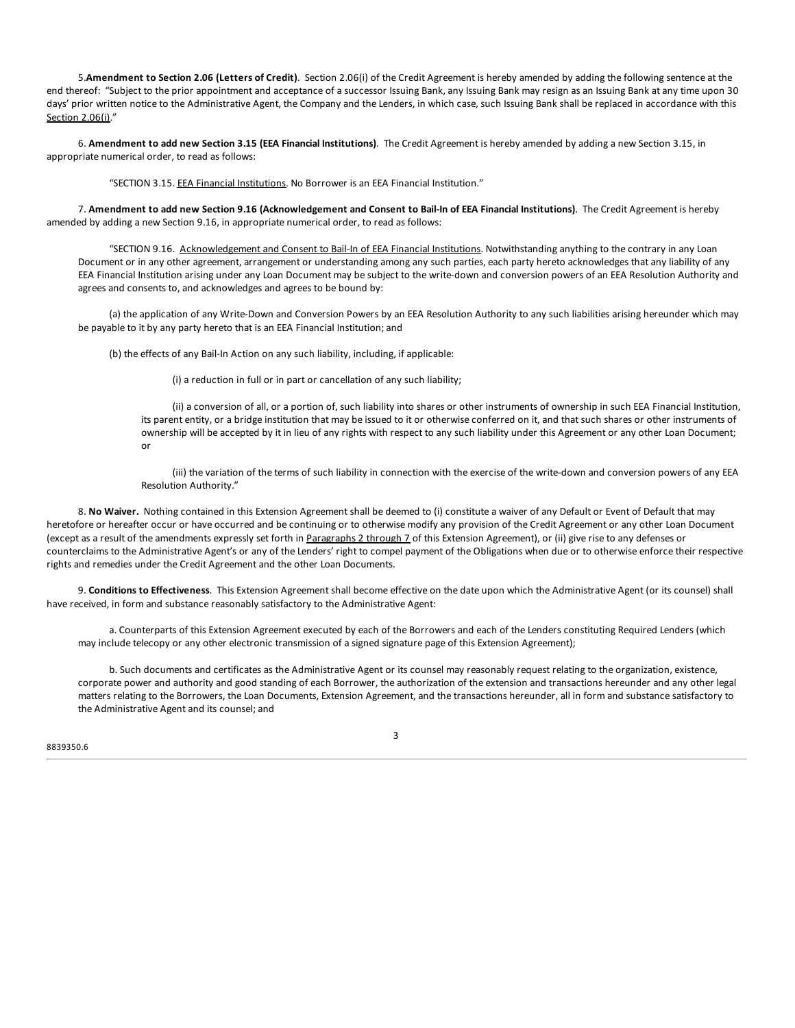5.**Amendment to Section 2.06 (Letters of Credit)**. Section 2.06(i) of the Credit Agreement is hereby amended by adding the following sentence at the end thereof: "Subject to the prior appointment and acceptance of a successor Issuing Bank, any Issuing Bank may resign as an Issuing Bank at any time upon 30 days' prior written notice to the Administrative Agent, the Company and the Lenders, in which case, such Issuing Bank shall be replaced in accordance with this Section 2.06(i)."

6. **Amendment to add new Section 3.15 (EEA Financial Institutions)**. The Credit Agreement is hereby amended by adding a new Section 3.15, in appropriate numerical order, to read as follows:

"SECTION 3.15. EEA Financial Institutions. No Borrower is an EEA Financial Institution."

7. Amendment to add new Section 9.16 (Acknowledgement and Consent to Bail-In of EEA Financial Institutions). The Credit Agreement is hereby amended by adding a new Section 9.16, in appropriate numerical order, to read as follows:

"SECTION 9.16. Acknowledgement and Consent to Bail-In of EEA Financial Institutions. Notwithstanding anything to the contrary in any Loan Document or in any other agreement, arrangement or understanding among any such parties, each party hereto acknowledges that any liability of any EEA Financial Institution arising under any Loan Document may be subject to the write-down and conversion powers of an EEA Resolution Authority and agrees and consents to, and acknowledges and agrees to be bound by:

(a) the application of any Write-Down and Conversion Powers by an EEA Resolution Authority to any such liabilities arising hereunder which may be payable to it by any party hereto that is an EEA Financial Institution; and

(b) the effects of any Bail-In Action on any such liability, including, if applicable:

(i) a reduction in full or in part or cancellation of any such liability;

(ii) a conversion of all, or a portion of, such liability into shares or other instruments of ownership in such EEA Financial Institution, its parent entity, or a bridge institution that may be issued to it or otherwise conferred on it, and that such shares or other instruments of ownership will be accepted by it in lieu of any rights with respect to any such liability under this Agreement or any other Loan Document; or

(iii) the variation of the terms of such liability in connection with the exercise of the write-down and conversion powers of any EEA Resolution Authority."

8. **No Waiver.** Nothing contained in this Extension Agreement shall be deemed to (i) constitute a waiver of any Default or Event of Default that may heretofore or hereafter occur or have occurred and be continuing or to otherwise modify any provision of the Credit Agreement or any other Loan Document (except as a result of the amendments expressly set forth in Paragraphs 2 through 7 of this Extension Agreement), or (ii) give rise to any defenses or counterclaims to the Administrative Agent's or any of the Lenders' right to compel payment of the Obligations when due or to otherwise enforce their respective rights and remedies under the Credit Agreement and the other Loan Documents.

9. **Conditions to Effectiveness**. This Extension Agreement shall become effective on the date upon which the Administrative Agent (or its counsel) shall have received, in form and substance reasonably satisfactory to the Administrative Agent:

a. Counterparts of this Extension Agreement executed by each of the Borrowers and each of the Lenders constituting Required Lenders (which may include telecopy or any other electronic transmission of a signed signature page of this Extension Agreement);

b. Such documents and certificates as the Administrative Agent or its counsel may reasonably request relating to the organization, existence, corporate power and authority and good standing of each Borrower, the authorization of the extension and transactions hereunder and any other legal matters relating to the Borrowers, the Loan Documents, Extension Agreement, and the transactions hereunder, all in form and substance satisfactory to the Administrative Agent and its counsel; and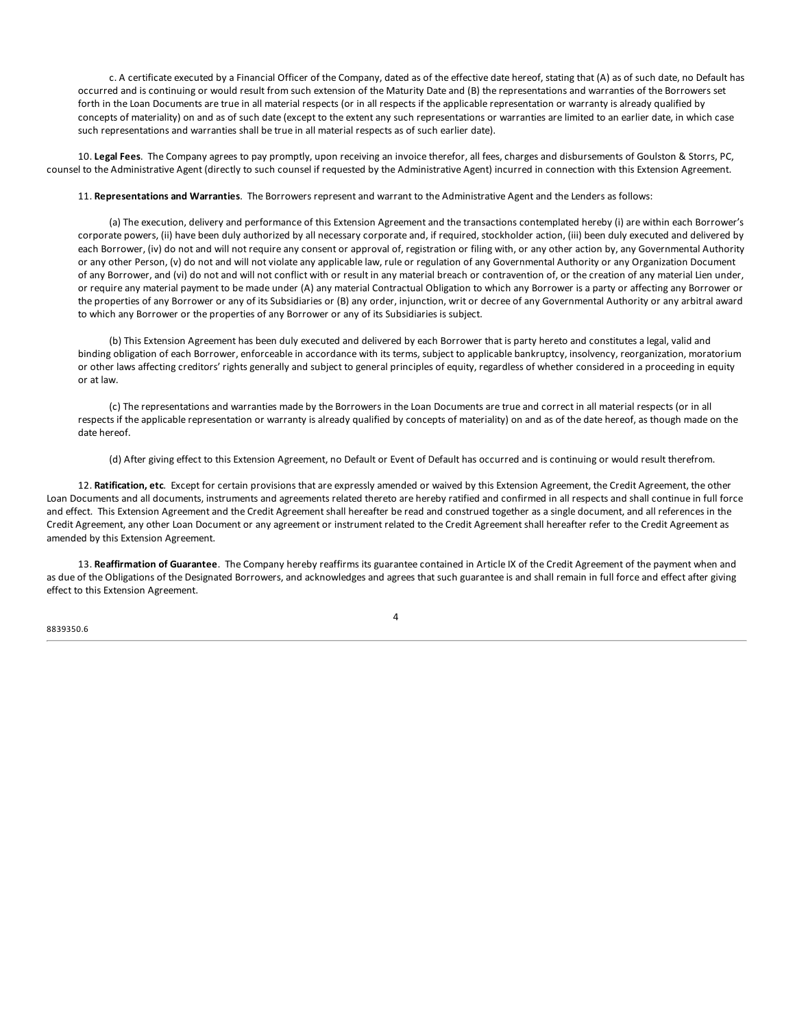c. A certificate executed by a Financial Officer of the Company, dated as of the effective date hereof, stating that (A) as of such date, no Default has occurred and is continuing or would result from such extension of the Maturity Date and (B) the representations and warranties of the Borrowers set forth in the Loan Documents are true in all material respects (or in all respects if the applicable representation or warranty is already qualified by concepts of materiality) on and as of such date (except to the extent any such representations or warranties are limited to an earlier date, in which case such representations and warranties shall be true in all material respects as of such earlier date).

10. **Legal Fees**. The Company agrees to pay promptly, upon receiving an invoice therefor, all fees, charges and disbursements of Goulston & Storrs, PC, counsel to the Administrative Agent (directly to such counsel if requested by the Administrative Agent) incurred in connection with this Extension Agreement.

11. **Representations and Warranties**. The Borrowers represent and warrant to the Administrative Agent and the Lenders as follows:

(a) The execution, delivery and performance of this Extension Agreement and the transactions contemplated hereby (i) are within each Borrower's corporate powers, (ii) have been duly authorized by all necessary corporate and, if required, stockholder action, (iii) been duly executed and delivered by each Borrower, (iv) do not and will not require any consent or approval of, registration or filing with, or any other action by, any Governmental Authority or any other Person, (v) do not and will not violate any applicable law, rule or regulation of any Governmental Authority or any Organization Document of any Borrower, and (vi) do not and will not conflict with or result in any material breach or contravention of, or the creation of any material Lien under, or require any material payment to be made under (A) any material Contractual Obligation to which any Borrower is a party or affecting any Borrower or the properties of any Borrower or any of its Subsidiaries or (B) any order, injunction, writ or decree of any Governmental Authority or any arbitral award to which any Borrower or the properties of any Borrower or any of its Subsidiaries is subject.

(b) This Extension Agreement has been duly executed and delivered by each Borrower that is party hereto and constitutes a legal, valid and binding obligation of each Borrower, enforceable in accordance with its terms, subject to applicable bankruptcy, insolvency, reorganization, moratorium or other laws affecting creditors' rights generally and subject to general principles of equity, regardless of whether considered in a proceeding in equity or at law.

(c) The representations and warranties made by the Borrowers in the Loan Documents are true and correct in all material respects (or in all respects if the applicable representation or warranty is already qualified by concepts of materiality) on and as of the date hereof, as though made on the date hereof.

(d) After giving effect to this Extension Agreement, no Default or Event of Default has occurred and is continuing or would result therefrom.

12. **Ratification, etc**. Except for certain provisions that are expressly amended or waived by this Extension Agreement, the Credit Agreement, the other Loan Documents and all documents, instruments and agreements related thereto are hereby ratified and confirmed in all respects and shall continue in full force and effect. This Extension Agreement and the Credit Agreement shall hereafter be read and construed together as a single document, and all references in the Credit Agreement, any other Loan Document or any agreement or instrument related to the Credit Agreement shall hereafter refer to the Credit Agreement as amended by this Extension Agreement.

13. **Reaffirmation of Guarantee**. The Company hereby reaffirms its guarantee contained in Article IX of the Credit Agreement of the payment when and as due of the Obligations of the Designated Borrowers, and acknowledges and agrees that such guarantee is and shall remain in full force and effect after giving effect to this Extension Agreement.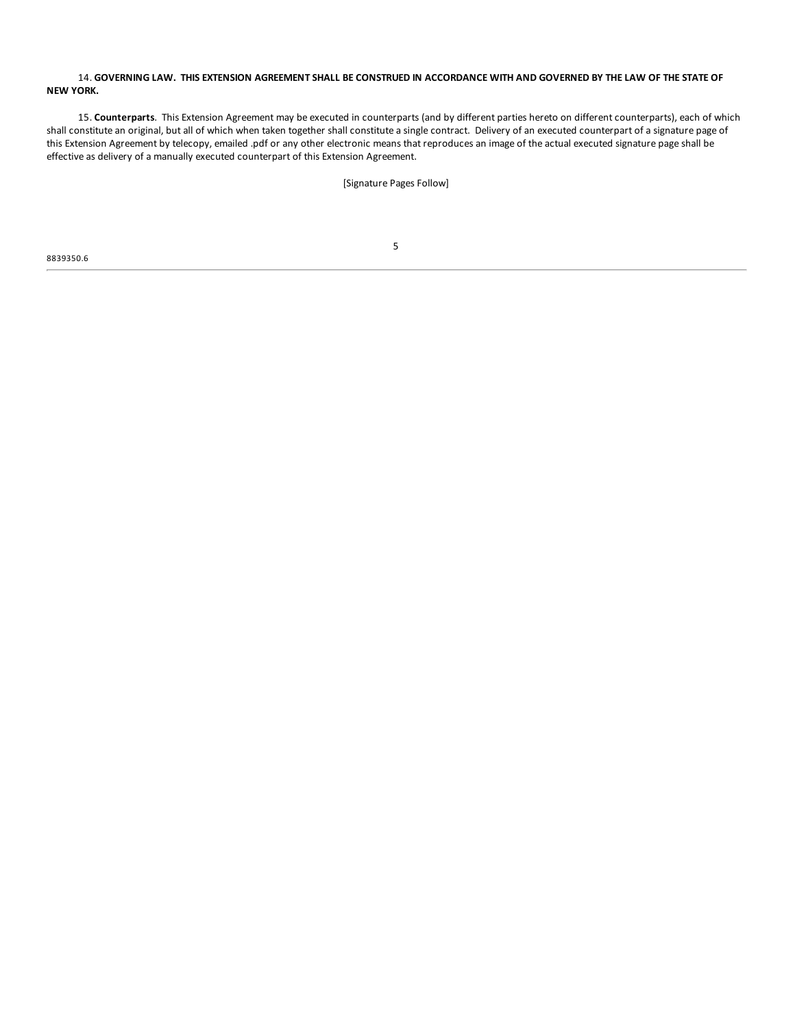### 14. GOVERNING LAW. THIS EXTENSION AGREEMENT SHALL BE CONSTRUED IN ACCORDANCE WITH AND GOVERNED BY THE LAW OF THE STATE OF **NEW YORK.**

15. **Counterparts**. This Extension Agreement may be executed in counterparts (and by different parties hereto on different counterparts), each of which shall constitute an original, but all of which when taken together shall constitute a single contract. Delivery of an executed counterpart of a signature page of this Extension Agreement by telecopy, emailed .pdf or any other electronic means that reproduces an image of the actual executed signature page shall be effective as delivery of a manually executed counterpart of this Extension Agreement.

[Signature Pages Follow]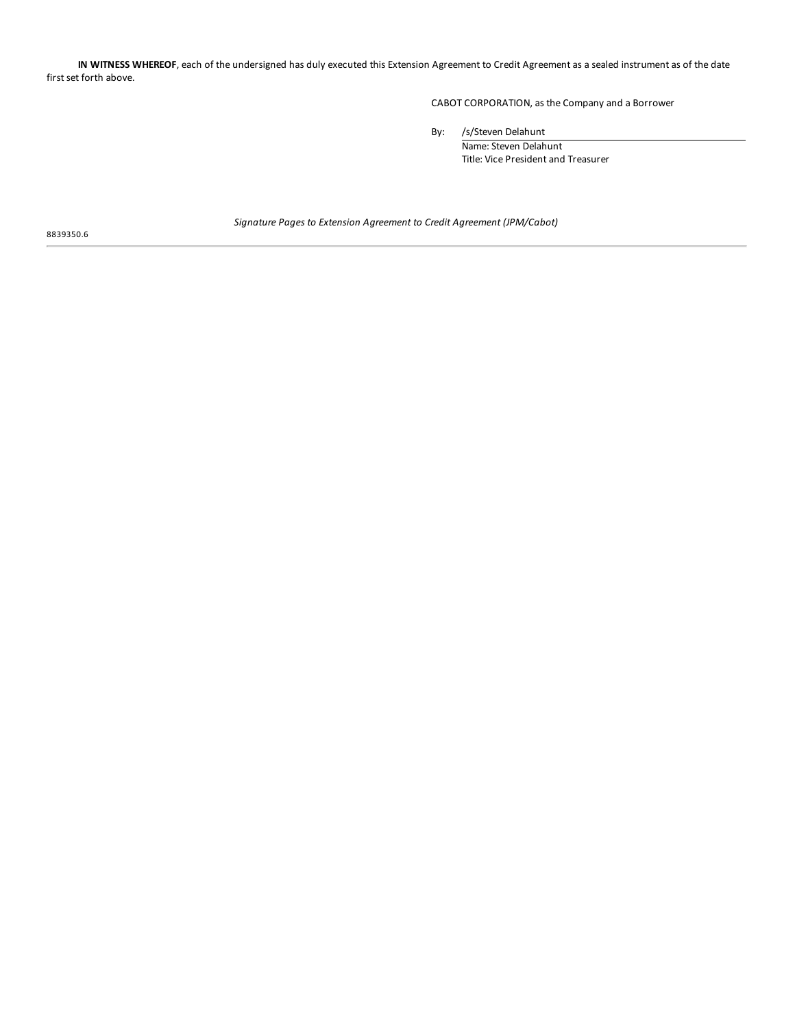**IN WITNESS WHEREOF**, each of the undersigned has duly executed this Extension Agreement to Credit Agreement as a sealed instrument as of the date first set forth above.

CABOT CORPORATION, as the Company and a Borrower

By: /s/Steven Delahunt

Name: Steven Delahunt Title: Vice President and Treasurer

8839350.6

*Signature Pages to Extension Agreement to Credit Agreement (JPM/Cabot)*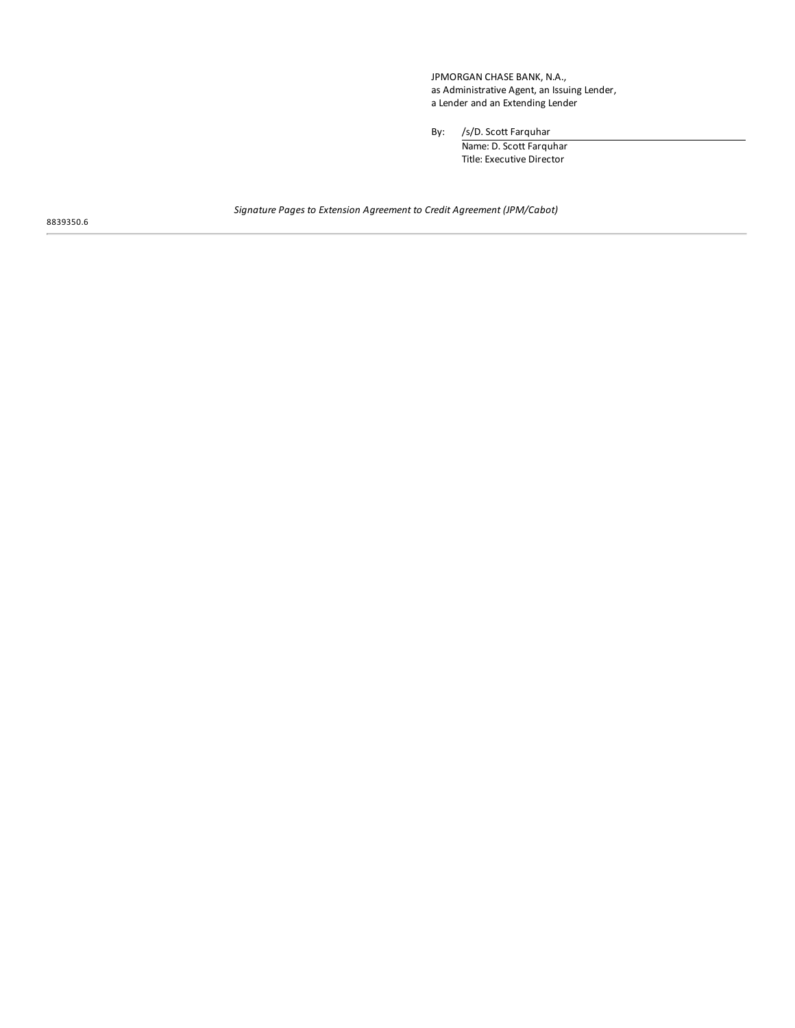JPMORGAN CHASE BANK, N.A., as Administrative Agent, an Issuing Lender, a Lender and an Extending Lender

By: /s/D. Scott Farquhar

Name: D. Scott Farquhar Title: Executive Director

*Signature Pages to Extension Agreement to Credit Agreement (JPM/Cabot)*

8839350.6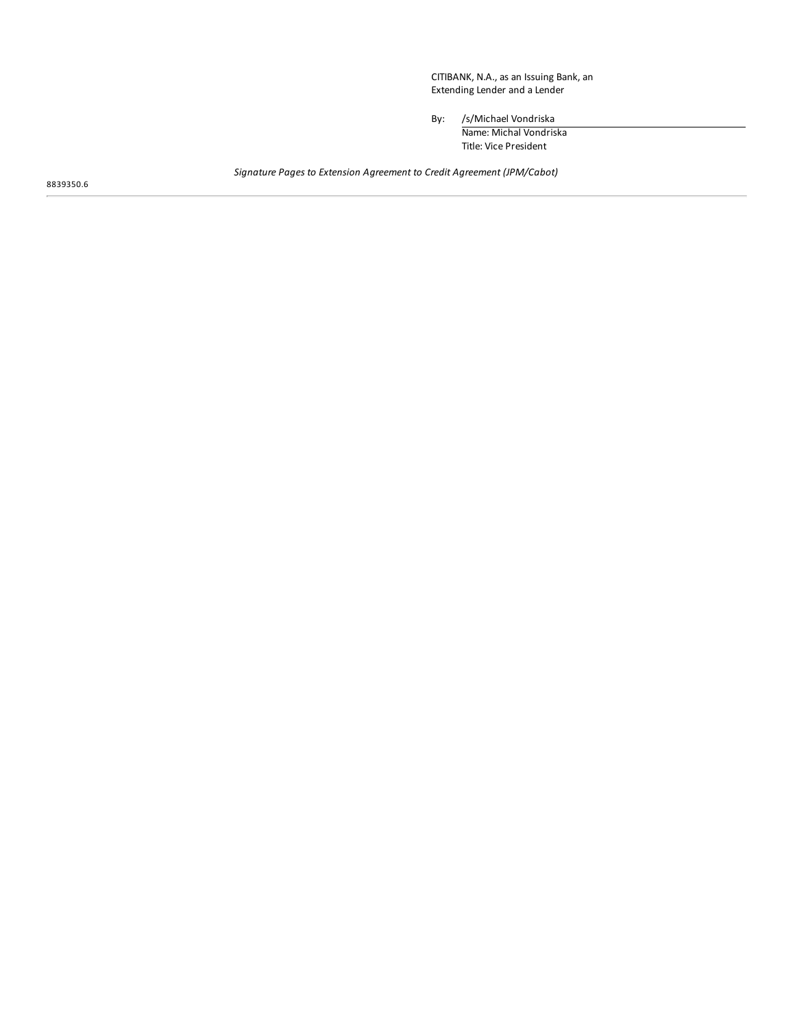CITIBANK, N.A., as an Issuing Bank, an Extending Lender and a Lender

By: /s/Michael Vondriska

Name: Michal Vondriska Title: Vice President

*Signature Pages to Extension Agreement to Credit Agreement (JPM/Cabot)*

8839350.6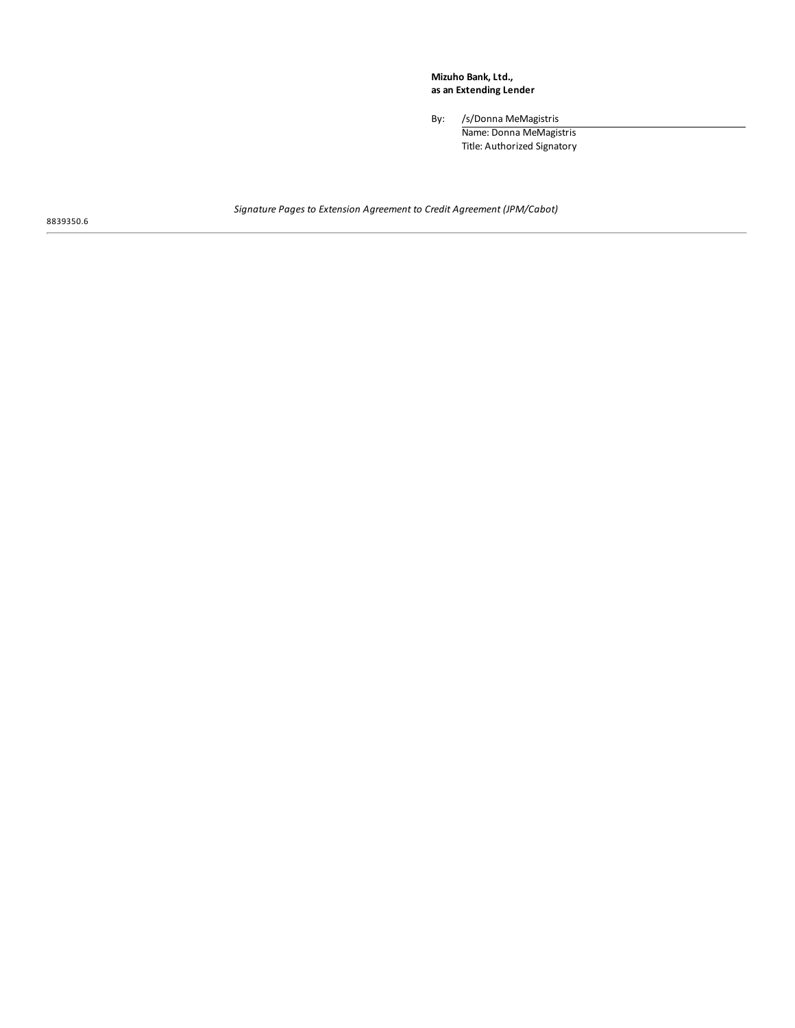**Mizuho Bank, Ltd., as an Extending Lender**

By: /s/Donna MeMagistris

Name: Donna MeMagistris Title: Authorized Signatory

*Signature Pages to Extension Agreement to Credit Agreement (JPM/Cabot)*

8839350.6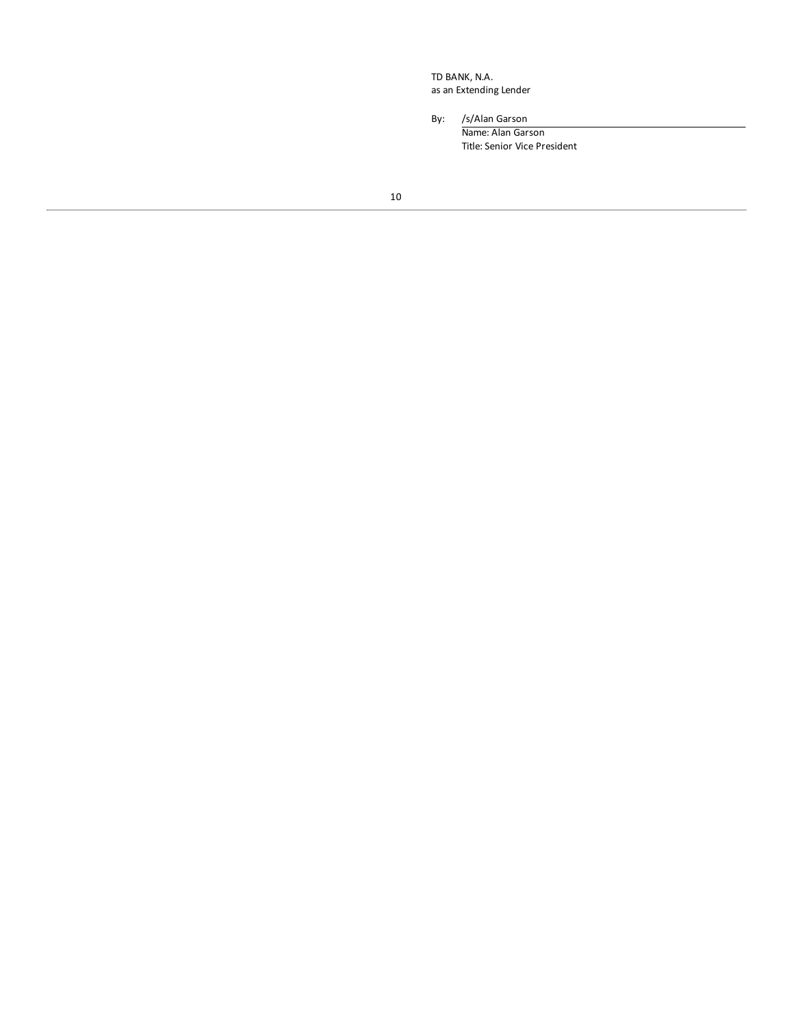TD BANK, N.A. as an Extending Lender

By: /s/Alan Garson

Name: Alan Garson Title: Senior Vice President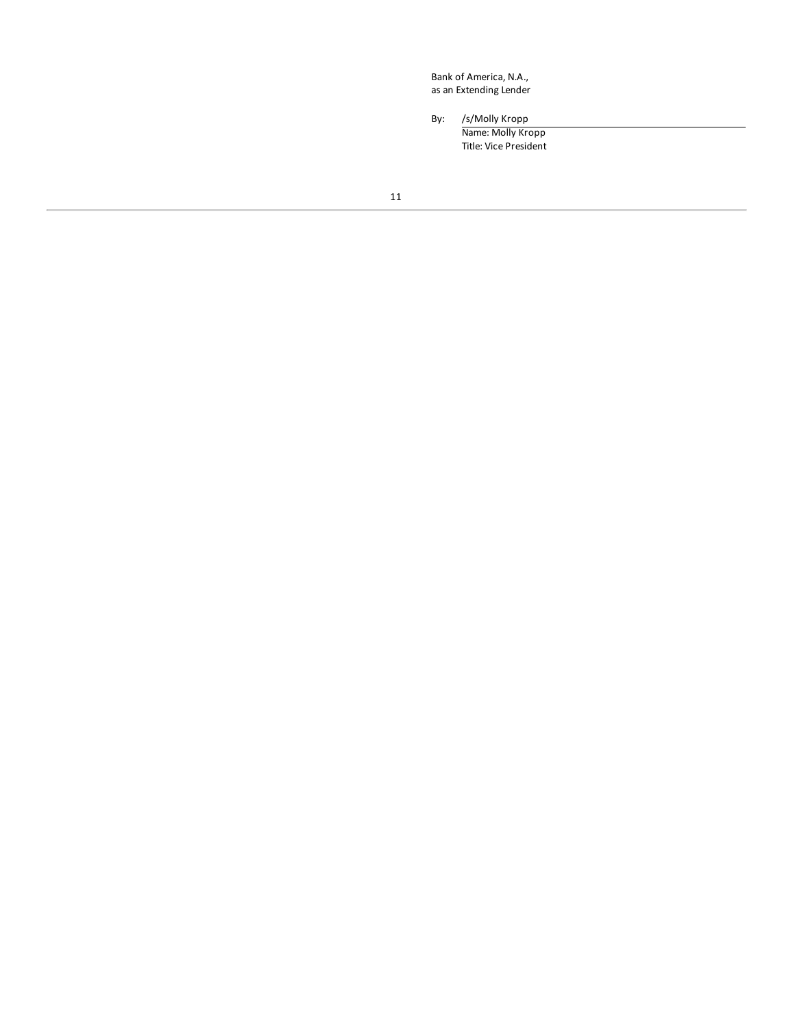Bank of America, N.A., as an Extending Lender

By: /s/Molly Kropp

Name: Molly Kropp Title: Vice President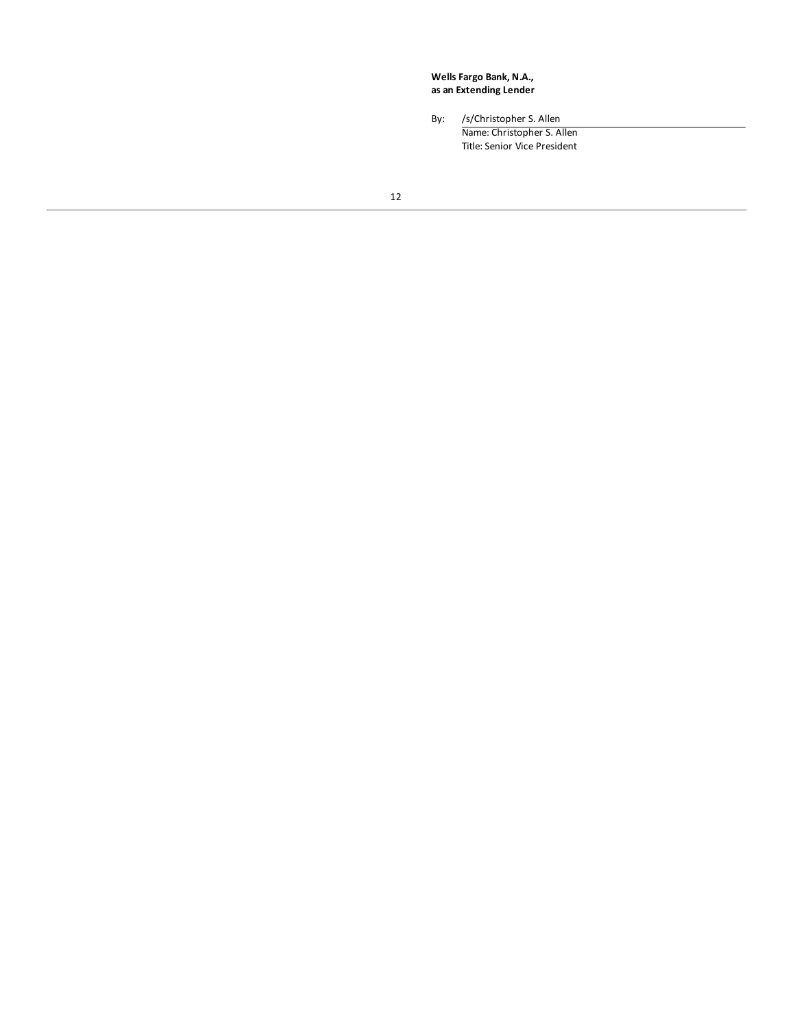**Wells Fargo Bank, N.A., as an Extending Lender**

By: /s/Christopher S. Allen Name: Christopher S. Allen Title: Senior Vice President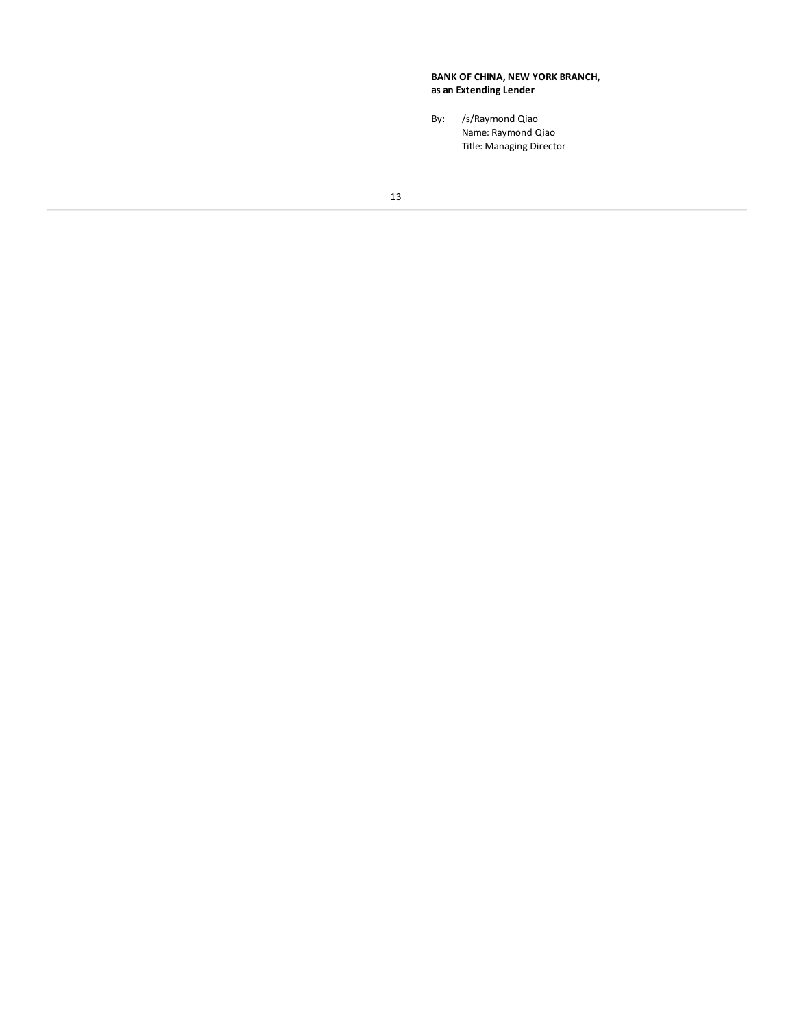### **BANK OF CHINA, NEW YORK BRANCH, as an Extending Lender**

By: /s/Raymond Qiao

Name: Raymond Qiao Title: Managing Director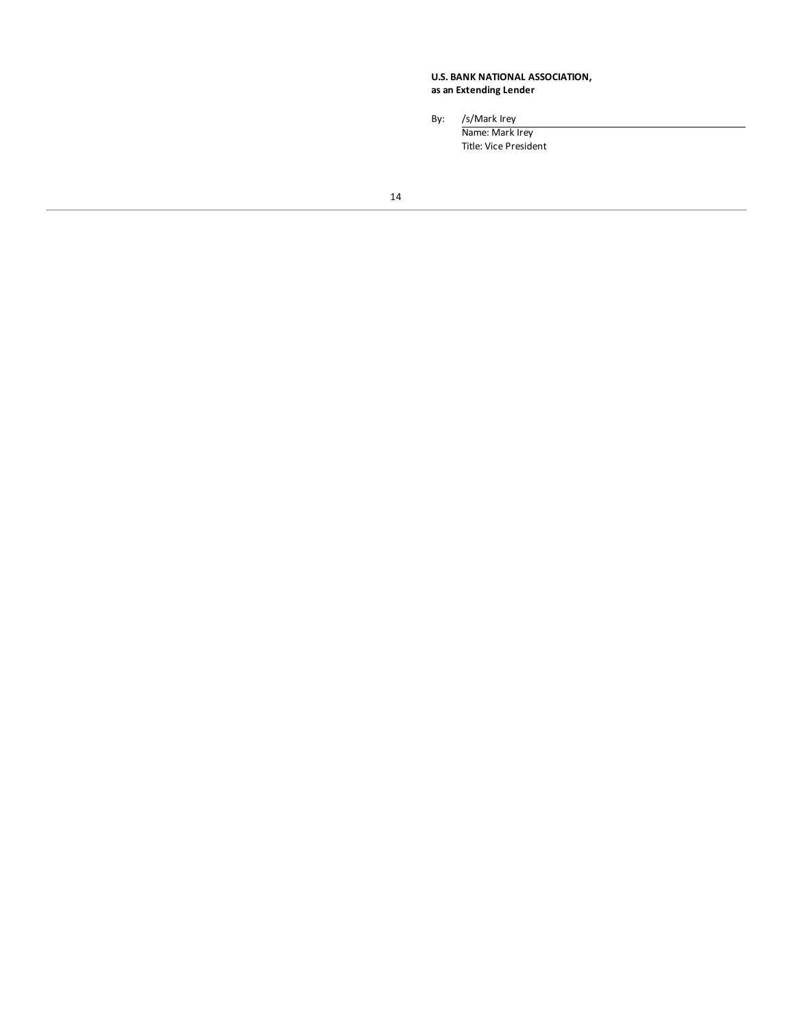### **U.S. BANK NATIONAL ASSOCIATION, as an Extending Lender**

By: /s/Mark Irey

Name: Mark Irey Title: Vice President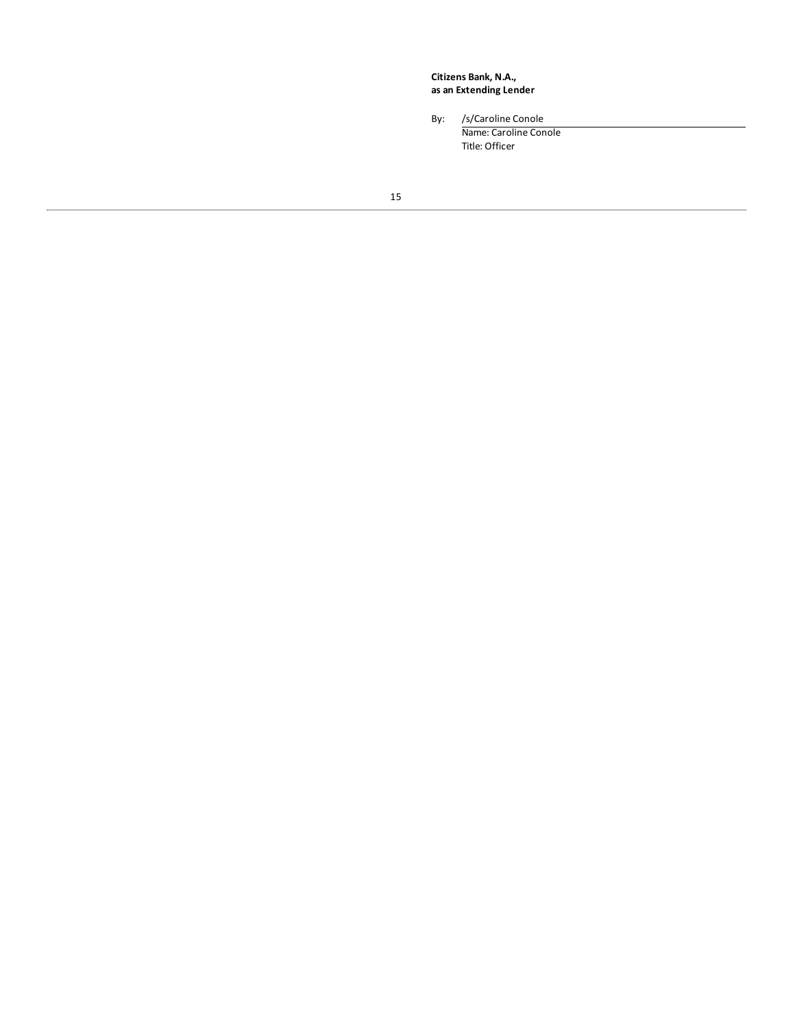**Citizens Bank, N.A., as an Extending Lender**

By: /s/Caroline Conole

Name: Caroline Conole Title: Officer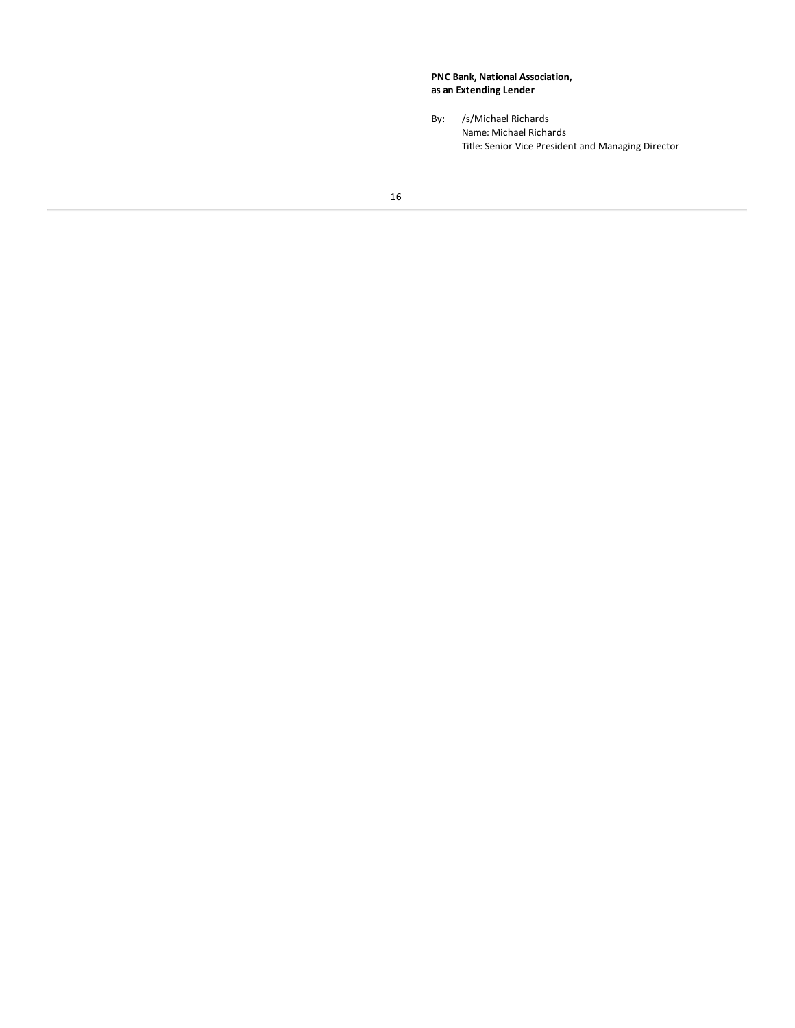**PNC Bank, National Association, as an Extending Lender**

By: /s/Michael Richards Name: Michael Richards Title: Senior Vice President and Managing Director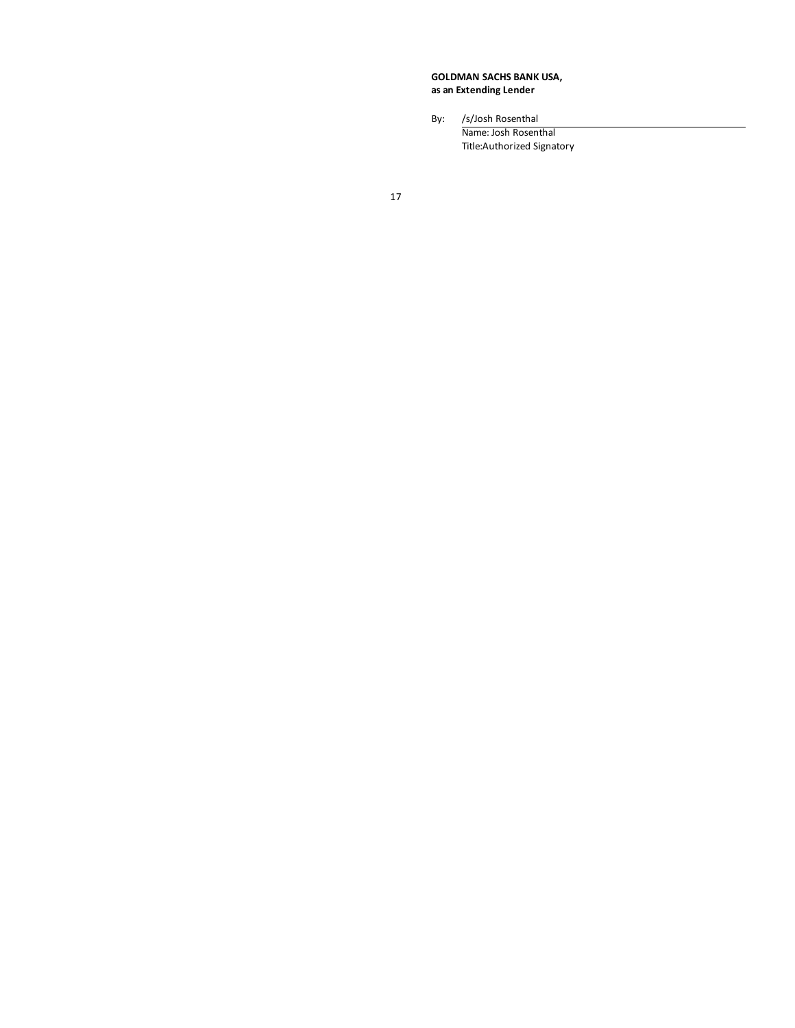**GOLDMAN SACHS BANK USA, as an Extending Lender**

By: /s/Josh Rosenthal

Name: Josh Rosenthal Title:Authorized Signatory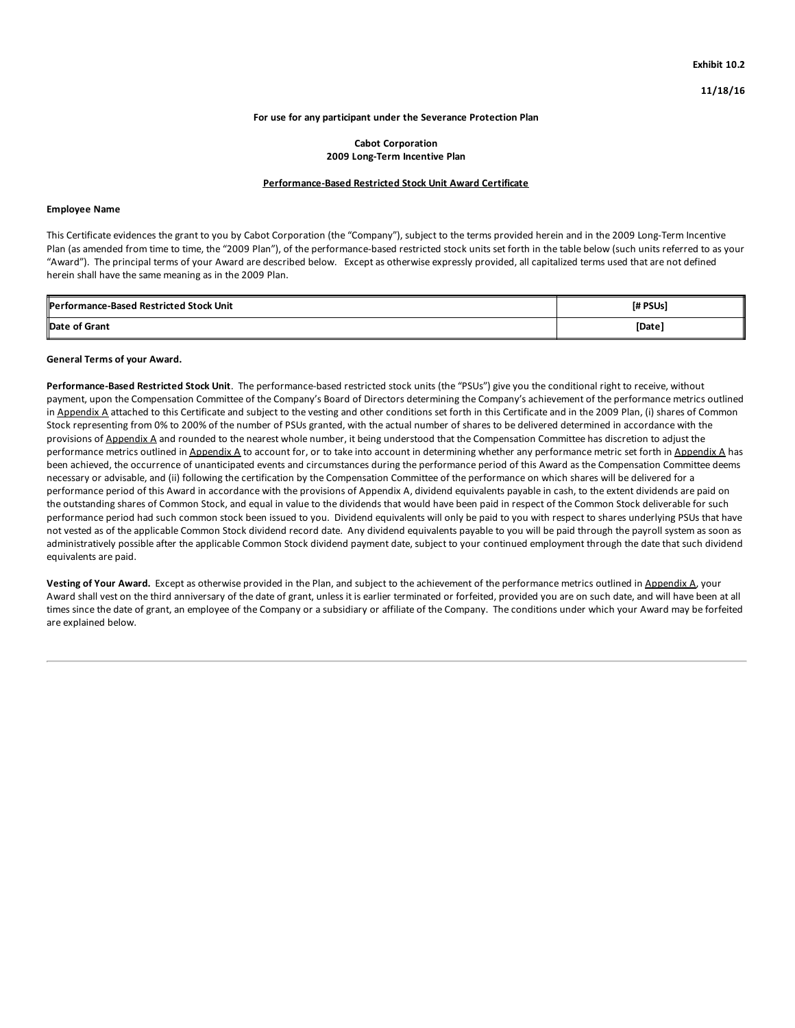### **For use for any participant under the Severance Protection Plan**

### **Cabot Corporation 2009 Long-Term Incentive Plan**

### **Performance-Based Restricted Stock Unit Award Certificate**

### **Employee Name**

This Certificate evidences the grant to you by Cabot Corporation (the "Company"), subject to the terms provided herein and in the 2009 Long-Term Incentive Plan (as amended from time to time, the "2009 Plan"), of the performance-based restricted stock units set forth in the table below (such units referred to as your "Award"). The principal terms of your Award are described below. Except as otherwise expressly provided, all capitalized terms used that are not defined herein shall have the same meaning as in the 2009 Plan.

| <b>IPerformance-Based Restricted Stock Unit</b> | <b>I# PSUsl</b> |  |  |  |
|-------------------------------------------------|-----------------|--|--|--|
| Date of Grant                                   | [Date]          |  |  |  |

### **General Terms of your Award.**

**Performance-Based Restricted Stock Unit**. The performance-based restricted stock units (the "PSUs") give you the conditional right to receive, without payment, upon the Compensation Committee of the Company's Board of Directors determining the Company's achievement of the performance metrics outlined in Appendix A attached to this Certificate and subject to the vesting and other conditions set forth in this Certificate and in the 2009 Plan, (i) shares of Common Stock representing from 0% to 200% of the number of PSUs granted, with the actual number of shares to be delivered determined in accordance with the provisions of Appendix A and rounded to the nearest whole number, it being understood that the Compensation Committee has discretion to adjust the performance metrics outlined in Appendix A to account for, or to take into account in determining whether any performance metric set forth in Appendix A has been achieved, the occurrence of unanticipated events and circumstances during the performance period of this Award as the Compensation Committee deems necessary or advisable, and (ii) following the certification by the Compensation Committee of the performance on which shares will be delivered for a performance period of this Award in accordance with the provisions of Appendix A, dividend equivalents payable in cash, to the extent dividends are paid on the outstanding shares of Common Stock, and equal in value to the dividends that would have been paid in respect of the Common Stock deliverable for such performance period had such common stock been issued to you. Dividend equivalents will only be paid to you with respect to shares underlying PSUs that have not vested as of the applicable Common Stock dividend record date. Any dividend equivalents payable to you will be paid through the payroll system as soon as administratively possible after the applicable Common Stock dividend payment date, subject to your continued employment through the date that such dividend equivalents are paid.

**Vesting of Your Award.** Except as otherwise provided in the Plan, and subject to the achievement of the performance metrics outlined in Appendix A, your Award shall vest on the third anniversary of the date of grant, unless it is earlier terminated or forfeited, provided you are on such date, and will have been at all times since the date of grant, an employee of the Company or a subsidiary or affiliate of the Company. The conditions under which your Award may be forfeited are explained below.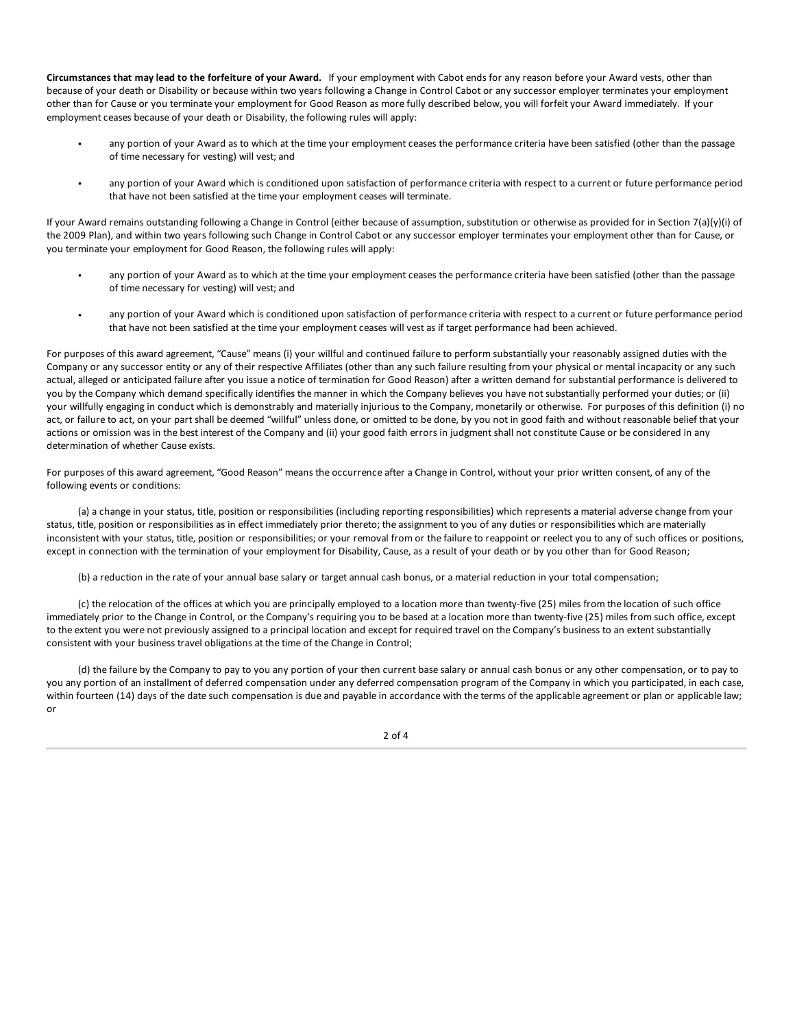**Circumstances that may lead to the forfeiture of your Award.** If your employment with Cabot ends for any reason before your Award vests, other than because of your death or Disability or because within two years following a Change in Control Cabot or any successor employer terminates your employment other than for Cause or you terminate your employment for Good Reason as more fully described below, you will forfeit your Award immediately. If your employment ceases [because](#page-2-0) of your death or Disability, the following rules will apply:

- any portion of your [Award](#page-2-0) as to which at the time your employment ceases the performance criteria have been satisfied (other than the passage of time [necessary](#page-2-0) for vesting) will vest; and
- any portion of your [Award](#page-4-0) which is conditioned upon satisfaction of performance criteria with respect to a current or future performance period that have not been [satisfied](#page-6-0) at the time your employment ceases will terminate.

If your Award remains [outstanding](#page-7-0) following a Change in Control (either because of assumption, substitution or otherwise as provided for in Section 7(a)(y)(i) of the 2009 Plan), and within two years following such Change in Control Cabot or any successor employer terminates your employment other than for Cause, or you terminate your e[mployment](#page-24-0) for Good Reason, the following rules will apply:

- any portion of your [Award](#page-34-0) as to which at the time your employment ceases the performance criteria have been satisfied (other than the passage of time [neces](#page-35-0)sary for vesting) will vest; and
- any portion of your [Awar](#page-35-0)d which is [conditioned](#page-36-0) upon satisfaction of performance criteria with respect to a current or future performance period that have [not](#page-36-0) been satisfied at the time your employment ceases will vest as if target performance had been achieved.

For purposes of this award agreement, "Cause" means (i) your willful and continued failure to perform substantially your reasonably assigned duties with the Company or any successor entity or any of their respective Affiliates (other than any such failure resulting from your physical or mental incapacity or any such actual, alleged or anticipated failure after you issue a notice of termination for Good Reason) after a written demand for substantial performance is delivered to you by the Company which demand specifically identifies the manner in which the Company believes you have not substantially performed your duties; or (ii) your willfully engaging in conduct which is demonstrably and materially injurious to the Company, monetarily or otherwise. For purposes of this definition (i) no act, or failure to act, on your part shall be deemed "willful" unless done, or omitted to be done, by you not in good faith and without reasonable belief that your actions or omission was in the best interest of the Company and (ii) your good faith errors in judgment shall not constitute Cause or be considered in any determination of whether Cause exists.

For purposes of this award agreement, "Good Reason" means the occurrence after a Change in Control, without your prior written consent, of any of the following events or conditions:

(a) a change in your status, title, position or responsibilities (including reporting responsibilities) which represents a material adverse change from your status, title, position or responsibilities as in effect immediately prior thereto; the assignment to you of any duties or responsibilities which are materially inconsistent with your status, title, position or responsibilities; or your removal from or the failure to reappoint or reelect you to any of such offices or positions, except in connection with the termination of your employment for Disability, Cause, as a result of your death or by you other than for Good Reason;

(b) a reduction in the rate of your annual base salary or target annual cash bonus, or a material reduction in your total compensation;

(c) the relocation of the offices at which you are principally employed to a location more than twenty-five (25) miles from the location of such office immediately prior to the Change in Control, or the Company's requiring you to be based at a location more than twenty-five (25) miles from such office, except to the extent you were not previously assigned to a principal location and except for required travel on the Company's business to an extent substantially consistent with your business travel obligations at the time of the Change in Control;

(d) the failure by the Company to pay to you any portion of your then current base salary or annual cash bonus or any other compensation, or to pay to you any portion of an installment of deferred compensation under any deferred compensation program of the Company in which you participated, in each case, within fourteen (14) days of the date such compensation is due and payable in accordance with the terms of the applicable agreement or plan or applicable law; or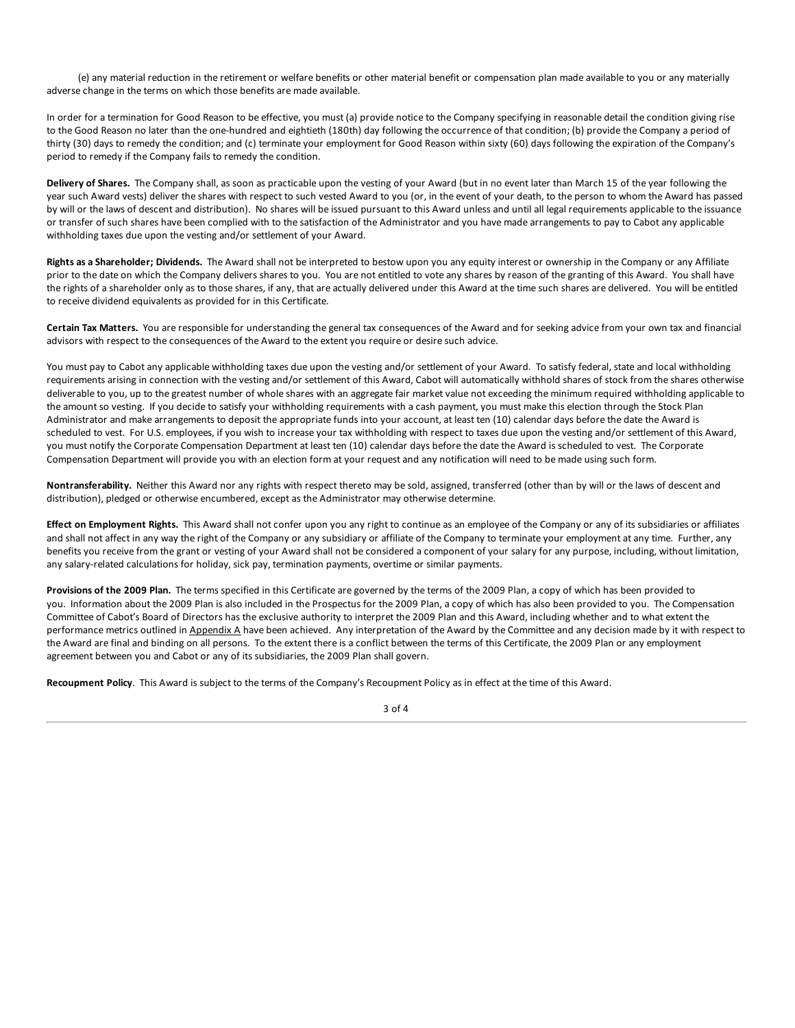(e) any material reduction in the retirement or welfare benefits or other material benefit or compensation plan made available to you or any materially adverse change in the terms on which those benefits are made available.

In order for a termination for Good Reason to be effective, you must (a) provide notice to the Company specifying in reasonable detail the condition giving rise to the Good Reason no later than the one-hundred and eightieth (180th) day following the occurrence of that condition; (b) provide the Company a period of thirty (30) days to remedy the condition; and (c) terminate your employment for Good Reason within sixty (60) days following the expiration of the Company's period to remedy if the Company fails to remedy the condition.

**Delivery of Shares.** The Company shall, as soon as practicable upon the vesting of your Award (but in no event later than March 15 of the year following the year such Award vests) deliver the shares with respect to such vested Award to you (or, in the event of your death, to the person to whom the Award has passed by will or the laws of descent and distribution). No shares will be issued pursuant to this Award unless and until all legal requirements applicable to the issuance or transfer of such shares have been complied with to the satisfaction of the Administrator and you have made arrangements to pay to Cabot any applicable withholding taxes due upon the vesting and/or settlement of your Award.

**Rights as a Shareholder; Dividends.** The Award shall not be interpreted to bestow upon you any equity interest or ownership in the Company or any Affiliate prior to the date on which the Company delivers shares to you. You are not entitled to vote any shares by reason of the granting of this Award. You shall have the rights of a shareholder only as to those shares, if any, that are actually delivered under this Award at the time such shares are delivered. You will be entitled to receive dividend equivalents as provided for in this Certificate.

**Certain Tax Matters.** You are responsible for understanding the general tax consequences of the Award and for seeking advice from your own tax and financial advisors with respect to the consequences of the Award to the extent you require or desire such advice.

You must pay to Cabot any applicable withholding taxes due upon the vesting and/or settlement of your Award. To satisfy federal, state and local withholding requirements arising in connection with the vesting and/or settlement of this Award, Cabot will automatically withhold shares of stock from the shares otherwise deliverable to you, up to the greatest number of whole shares with an aggregate fair market value not exceeding the minimum required withholding applicable to the amount so vesting. If you decide to satisfy your withholding requirements with a cash payment, you must make this election through the Stock Plan Administrator and make arrangements to deposit the appropriate funds into your account, at least ten (10) calendar days before the date the Award is scheduled to vest. For U.S. employees, if you wish to increase your tax withholding with respect to taxes due upon the vesting and/or settlement of this Award, you must notify the Corporate Compensation Department at least ten (10) calendar days before the date the Award is scheduled to vest. The Corporate Compensation Department will provide you with an election form at your request and any notification will need to be made using such form.

**Nontransferability.** Neither this Award nor any rights with respect thereto may be sold, assigned, transferred (other than by will or the laws of descent and distribution), pledged or otherwise encumbered, except as the Administrator may otherwise determine.

**Effect on Employment Rights.** This Award shall not confer upon you any right to continue as an employee of the Company or any of its subsidiaries or affiliates and shall not affect in any way the right of the Company or any subsidiary or affiliate of the Company to terminate your employment at any time. Further, any benefits you receive from the grant or vesting of your Award shall not be considered a component of your salary for any purpose, including, without limitation, any salary-related calculations for holiday, sick pay, termination payments, overtime or similar payments.

**Provisions of the 2009 Plan.** The terms specified in this Certificate are governed by the terms of the 2009 Plan, a copy of which has been provided to you. Information about the 2009 Plan is also included in the Prospectus for the 2009 Plan, a copy of which has also been provided to you. The Compensation Committee of Cabot's Board of Directors has the exclusive authority to interpret the 2009 Plan and this Award, including whether and to what extent the performance metrics outlined in Appendix A have been achieved. Any interpretation of the Award by the Committee and any decision made by it with respect to the Award are final and binding on all persons. To the extent there is a conflict between the terms of this Certificate, the 2009 Plan or any employment agreement between you and Cabot or any of its subsidiaries, the 2009 Plan shall govern.

**Recoupment Policy**. This Award is subject to the terms of the Company's Recoupment Policy as in effect at the time of this Award.

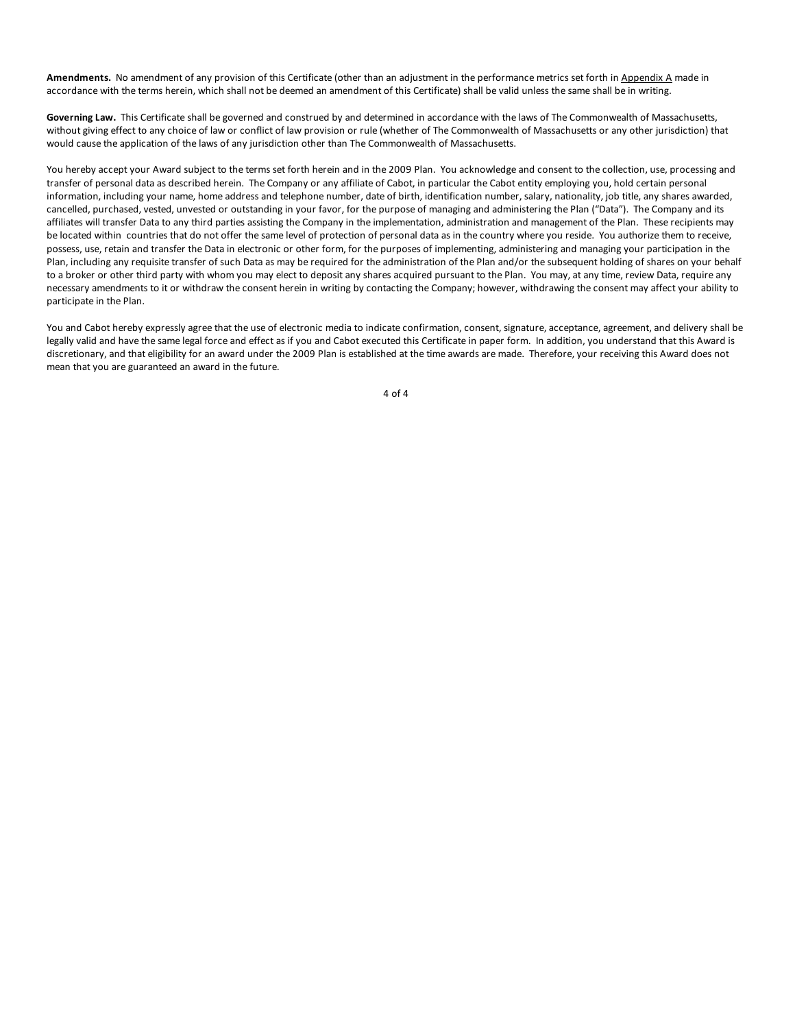Amendments. No amendment of any provision of this Certificate (other than an adjustment in the performance metrics set forth in Appendix A made in accordance with the terms herein, which shall not be deemed an amendment of this Certificate) shall be valid unless the same shall be in writing.

**Governing Law.** This Certificate shall be governed and construed by and determined in accordance with the laws of The Commonwealth of Massachusetts, without giving effect to any choice of law or conflict of law provision or rule (whether of The Commonwealth of Massachusetts or any other jurisdiction) that would cause the application of the laws of any jurisdiction other than The Commonwealth of Massachusetts.

You hereby accept your Award subject to the terms set forth herein and in the 2009 Plan. You acknowledge and consent to the collection, use, processing and transfer of personal data as described herein. The Company or any affiliate of Cabot, in particular the Cabot entity employing you, hold certain personal information, including your name, home address and telephone number, date of birth, identification number, salary, nationality, job title, any shares awarded, cancelled, purchased, vested, unvested or outstanding in your favor, for the purpose of managing and administering the Plan ("Data"). The Company and its affiliates will transfer Data to any third parties assisting the Company in the implementation, administration and management of the Plan. These recipients may be located within countries that do not offer the same level of protection of personal data as in the country where you reside. You authorize them to receive, possess, use, retain and transfer the Data in electronic or other form, for the purposes of implementing, administering and managing your participation in the Plan, including any requisite transfer of such Data as may be required for the administration of the Plan and/or the subsequent holding of shares on your behalf to a broker or other third party with whom you may elect to deposit any shares acquired pursuant to the Plan. You may, at any time, review Data, require any necessary amendments to it or withdraw the consent herein in writing by contacting the Company; however, withdrawing the consent may affect your ability to participate in the Plan.

You and Cabot hereby expressly agree that the use of electronic media to indicate confirmation, consent, signature, acceptance, agreement, and delivery shall be legally valid and have the same legal force and effect as if you and Cabot executed this Certificate in paper form. In addition, you understand that this Award is discretionary, and that eligibility for an award under the 2009 Plan is established at the time awards are made. Therefore, your receiving this Award does not mean that you are guaranteed an award in the future.

4 of 4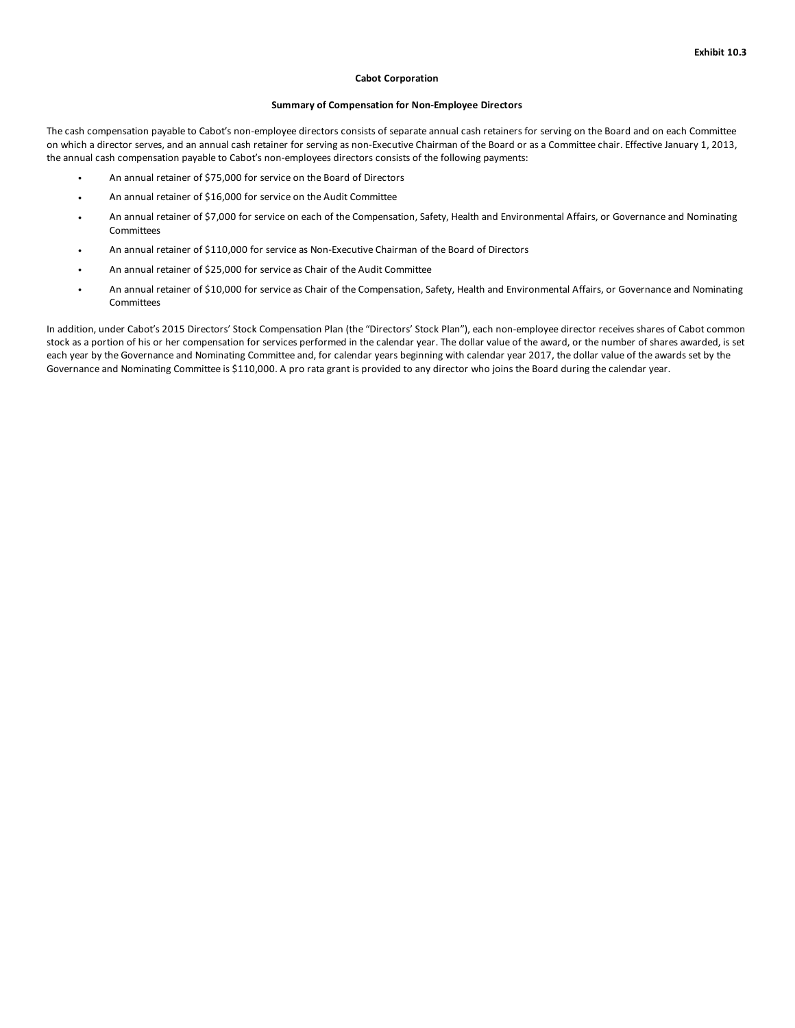### **Cabot Corporation**

### **Summary of Compensation for Non-Employee Directors**

The cash compensation payable to Cabot's non-employee directors consists of separate annual cash retainers for serving on the Board and on each Committee on which a director serves, and an annual cash retainer for serving as non-Executive Chairman of the Board or as a Committee chair. Effective January 1, 2013, the annual cash compensation payable to Cabot's non-employees directors consists of the following payments:

- An annual retainer of \$75,000 for service on the Board of Directors
- An annual retainer of \$16,000 for service on the Audit Committee
- An annual retainer of \$7,000 for service on each of the Compensation, Safety, Health and Environmental Affairs, or Governance and Nominating Committees
- An annual retainer of \$110,000 for service as Non-Executive Chairman of the Board of Directors
- An annual retainer of \$25,000 for service as Chair of the Audit Committee
- An annual retainer of \$10,000 for service as Chair of the Compensation, Safety, Health and Environmental Affairs, or Governance and Nominating Committees

In addition, under Cabot's 2015 Directors' Stock Compensation Plan (the "Directors' Stock Plan"), each non-employee director receives shares of Cabot common stock as a portion of his or her compensation for services performed in the calendar year. The dollar value of the award, or the number of shares awarded, is set each year by the Governance and Nominating Committee and, for calendar years beginning with calendar year 2017, the dollar value of the awards set by the Governance and Nominating Committee is \$110,000. A pro rata grant is provided to any director who joins the Board during the calendar year.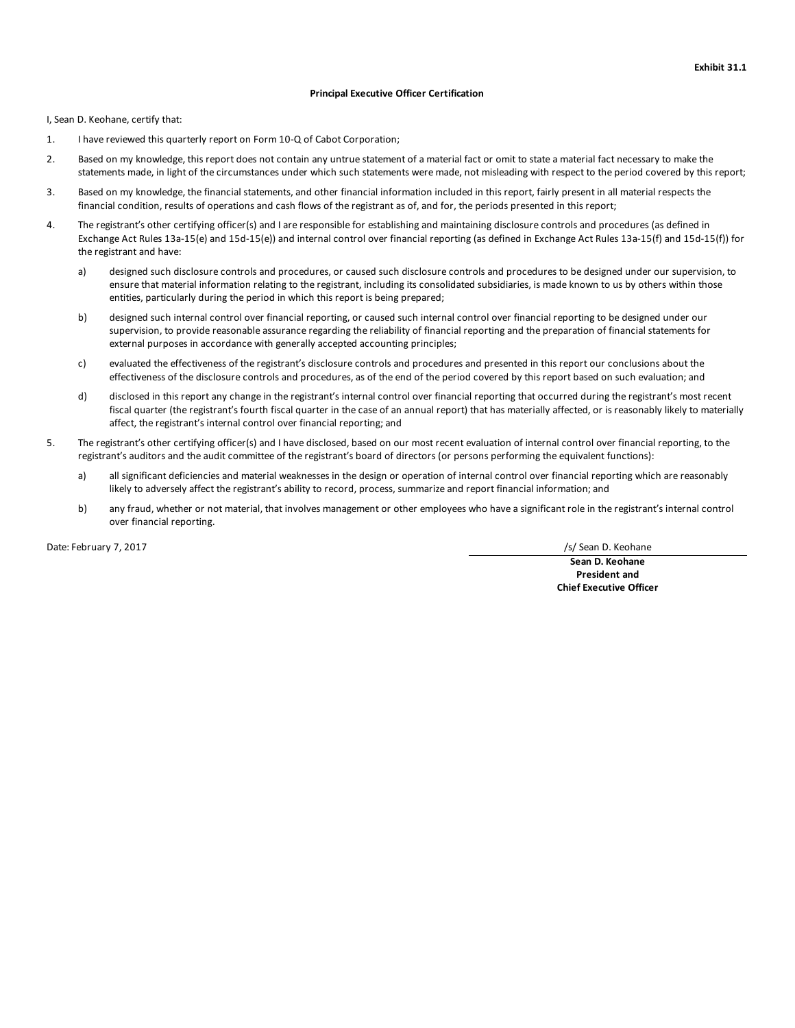### **Principal Executive Officer Certification**

I, Sean D. Keohane, certify that:

- 1. I have reviewed this quarterly report on Form 10-Q of Cabot Corporation;
- 2. Based on my knowledge, this report does not contain any untrue statement of a material fact or omit to state a material fact necessary to make the statements made, in light of the circumstances under which such statements were made, not misleading with respect to the period covered by this report;
- 3. Based on my knowledge, the financial statements, and other financial information included in this report, fairly present in all material respects the financial condition, results of operations and cash flows of the registrant as of, and for, the periods presented in this report;
- 4. The registrant's other certifying officer(s) and I are responsible for establishing and maintaining disclosure controls and procedures (as defined in Exchange Act Rules 13a-15(e) and 15d-15(e)) and internal control over financial reporting (as defined in Exchange Act Rules 13a-15(f) and 15d-15(f)) for the registrant and have:
	- a) designed such disclosure controls and procedures, or caused such disclosure controls and procedures to be designed under our supervision, to ensure that material information relating to the registrant, including its consolidated subsidiaries, is made known to us by others within those entities, particularly during the period in which this report is being prepared;
	- b) designed such internal control over financial reporting, or caused such internal control over financial reporting to be designed under our supervision, to provide reasonable assurance regarding the reliability of financial reporting and the preparation of financial statements for external purposes in accordance with generally accepted accounting principles;
	- c) evaluated the effectiveness of the registrant's disclosure controls and procedures and presented in this report our conclusions about the effectiveness of the disclosure controls and procedures, as of the end of the period covered by this report based on such evaluation; and
	- d) disclosed in this report any change in the registrant's internal control over financial reporting that occurred during the registrant's most recent fiscal quarter (the registrant's fourth fiscal quarter in the case of an annual report) that has materially affected, or is reasonably likely to materially affect, the registrant's internal control over financial reporting; and
- 5. The registrant's other certifying officer(s) and I have disclosed, based on our most recent evaluation of internal control over financial reporting, to the registrant's auditors and the audit committee of the registrant's board of directors (or persons performing the equivalent functions):
	- a) all significant deficiencies and material weaknesses in the design or operation of internal control over financial reporting which are reasonably likely to adversely affect the registrant's ability to record, process, summarize and report financial information; and
	- b) any fraud, whether or not material, that involves management or other employees who have a significant role in the registrant's internal control over financial reporting.

Date: February 7, 2017 **1998** and 2017 *S/Sean D. Keohane* 

**Sean D. Keohane President and Chief Executive Officer**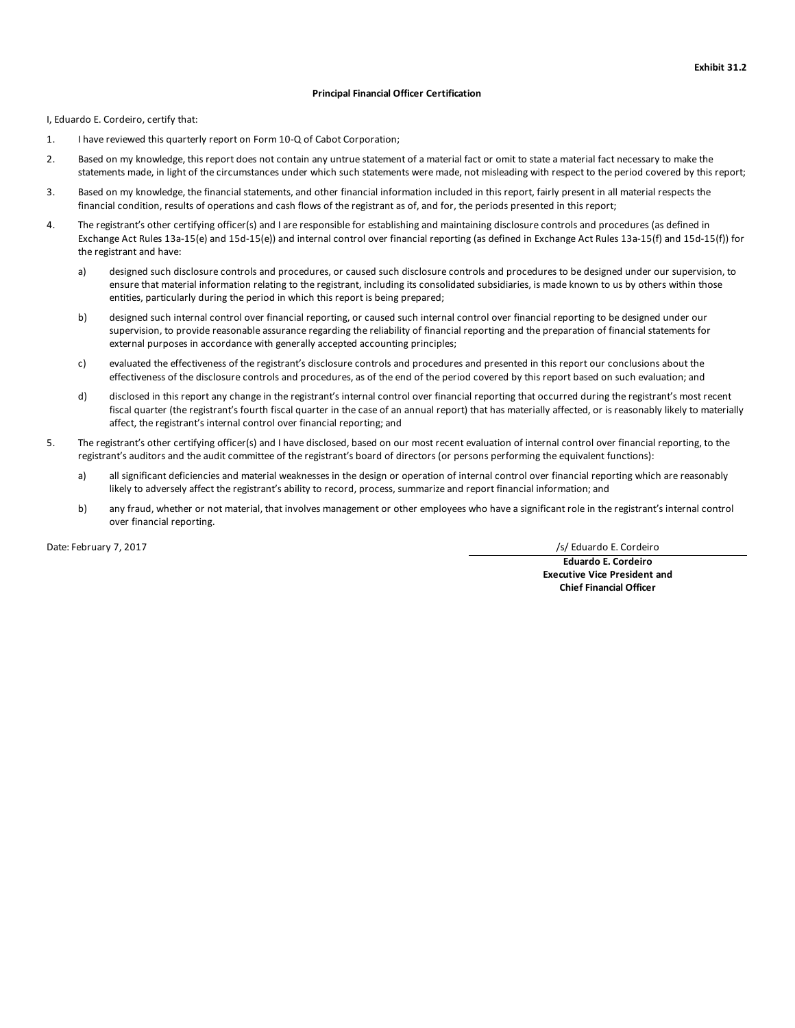### **Principal Financial Officer Certification**

I, Eduardo E. Cordeiro, certify that:

- 1. I have reviewed this quarterly report on Form 10-Q of Cabot Corporation;
- 2. Based on my knowledge, this report does not contain any untrue statement of a material fact or omit to state a material fact necessary to make the statements made, in light of the circumstances under which such statements were made, not misleading with respect to the period covered by this report;
- 3. Based on my knowledge, the financial statements, and other financial information included in this report, fairly present in all material respects the financial condition, results of operations and cash flows of the registrant as of, and for, the periods presented in this report;
- 4. The registrant's other certifying officer(s) and I are responsible for establishing and maintaining disclosure controls and procedures (as defined in Exchange Act Rules 13a-15(e) and 15d-15(e)) and internal control over financial reporting (as defined in Exchange Act Rules 13a-15(f) and 15d-15(f)) for the registrant and have:
	- a) designed such disclosure controls and procedures, or caused such disclosure controls and procedures to be designed under our supervision, to ensure that material information relating to the registrant, including its consolidated subsidiaries, is made known to us by others within those entities, particularly during the period in which this report is being prepared;
	- b) designed such internal control over financial reporting, or caused such internal control over financial reporting to be designed under our supervision, to provide reasonable assurance regarding the reliability of financial reporting and the preparation of financial statements for external purposes in accordance with generally accepted accounting principles;
	- c) evaluated the effectiveness of the registrant's disclosure controls and procedures and presented in this report our conclusions about the effectiveness of the disclosure controls and procedures, as of the end of the period covered by this report based on such evaluation; and
	- d) disclosed in this report any change in the registrant's internal control over financial reporting that occurred during the registrant's most recent fiscal quarter (the registrant's fourth fiscal quarter in the case of an annual report) that has materially affected, or is reasonably likely to materially affect, the registrant's internal control over financial reporting; and
- 5. The registrant's other certifying officer(s) and I have disclosed, based on our most recent evaluation of internal control over financial reporting, to the registrant's auditors and the audit committee of the registrant's board of directors (or persons performing the equivalent functions):
	- a) all significant deficiencies and material weaknesses in the design or operation of internal control over financial reporting which are reasonably likely to adversely affect the registrant's ability to record, process, summarize and report financial information; and
	- b) any fraud, whether or not material, that involves management or other employees who have a significant role in the registrant's internal control over financial reporting.

Date: February 7, 2017 **/ 2017** *COLLEGATE: Cordeiro Cordeiro Cordeiro* **<b>***Cordeiro Cordeiro Cordeiro Cordeiro COLLEGATE: CORDEIRO CORDEIRO CORDEIRO CORDEIRO CORDEIRO* **<b>***CORDEIRO*

**Eduardo E. Cordeiro Executive Vice President and Chief Financial Officer**